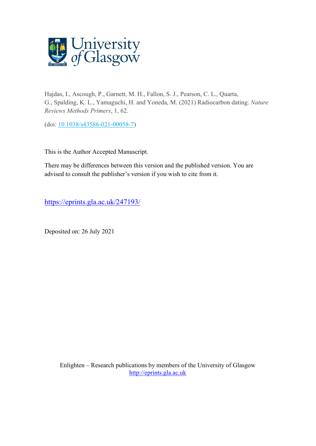

Hajdas, I., Ascough, P., Garnett, M. H., Fallon, S. J., Pearson, C. L., Quarta, G., Spalding, K. L., Yamaguchi, H. and Yoneda, M. (2021) Radiocarbon dating. *Nature Reviews Methods Primers*, 1, 62.

(doi: [10.1038/s43586-021-00058-7\)](http://dx.doi.org/10.1038/s43586-021-00058-7)

This is the Author Accepted Manuscript.

There may be differences between this version and the published version. You are advised to consult the publisher's version if you wish to cite from it.

<https://eprints.gla.ac.uk/247193/>

Deposited on: 26 July 2021

Enlighten – Research publications by members of the University of Glasgow [http://eprints.gla.ac.uk](http://eprints.gla.ac.uk/)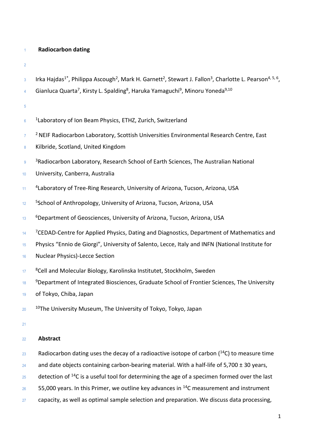## <sup>1</sup> **Radiocarbon dating**

2

- $_3$  Irka Hajdas<sup>1\*</sup>, Philippa Ascough<sup>2</sup>, Mark H. Garnett<sup>2</sup>, Stewart J. Fallon<sup>3</sup>, Charlotte L. Pearson<sup>4, 5, 6</sup>,
- <sup>4</sup> Gianluca Quarta<sup>7</sup>, Kirsty L. Spalding<sup>8</sup>, Haruka Yamaguchi<sup>9</sup>, Minoru Yoneda<sup>9,10</sup>

5

- $6$   $^{-1}$ Laboratory of Ion Beam Physics, ETHZ, Zurich, Switzerland
- <sup>7</sup> PNEIF Radiocarbon Laboratory, Scottish Universities Environmental Research Centre, East
- 8 Kilbride, Scotland, United Kingdom
- <sup>9</sup> <sup>3</sup>Radiocarbon Laboratory, Research School of Earth Sciences, The Australian National
- <sup>10</sup> University, Canberra, Australia
- <sup>11</sup> <sup>4</sup>Laboratory of Tree-Ring Research, University of Arizona, Tucson, Arizona, USA
- <sup>5</sup>School of Anthropology, University of Arizona, Tucson, Arizona, USA
- 13 *G* Bepartment of Geosciences, University of Arizona, Tucson, Arizona, USA
- $14$  <sup>7</sup>CEDAD-Centre for Applied Physics, Dating and Diagnostics, Department of Mathematics and
- <sup>15</sup> Physics "Ennio de Giorgi", University of Salento, Lecce, Italy and INFN (National Institute for
- <sup>16</sup> Nuclear Physics)-Lecce Section
- <sup>8</sup>Cell and Molecular Biology, Karolinska Institutet, Stockholm, Sweden
- <sup>9</sup>Department of Integrated Biosciences, Graduate School of Frontier Sciences, The University
- <sup>19</sup> of Tokyo, Chiba, Japan
- $10<sup>10</sup>$ The University Museum, The University of Tokyo, Tokyo, Japan
- 21

## <sup>22</sup> **Abstract**

- 23 Radiocarbon dating uses the decay of a radioactive isotope of carbon  $(^{14}C)$  to measure time
- 24 and date objects containing carbon-bearing material. With a half-life of 5,700  $\pm$  30 years,
- $25$  detection of <sup>14</sup>C is a useful tool for determining the age of a specimen formed over the last
- $26$  55,000 years. In this Primer, we outline key advances in <sup>14</sup>C measurement and instrument
- $27$  capacity, as well as optimal sample selection and preparation. We discuss data processing,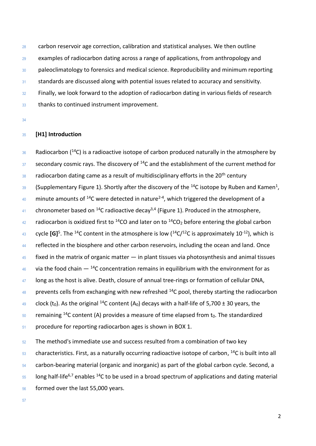carbon reservoir age correction, calibration and statistical analyses. We then outline examples of radiocarbon dating across a range of applications, from anthropology and 30 paleoclimatology to forensics and medical science. Reproducibility and minimum reporting 31 standards are discussed along with potential issues related to accuracy and sensitivity. Finally, we look forward to the adoption of radiocarbon dating in various fields of research thanks to continued instrument improvement.

## **[H1] Introduction**

36 Radiocarbon (C) is a radioactive isotope of carbon produced naturally in the atmosphere by secondary cosmic rays. The discovery of  $14$ C and the establishment of the current method for radiocarbon dating came as a result of multidisciplinary efforts in the 20<sup>th</sup> century 39 (Supplementary Figure 1). Shortly after the discovery of the <sup>14</sup>C isotope by Ruben and Kamen<sup>1</sup>, minute amounts of <sup>14</sup>C were detected in nature<sup>2-4</sup>, which triggered the development of a <sup>41</sup> chronometer based on <sup>14</sup>C radioactive decay<sup>3,4</sup> (Figure 1). Produced in the atmosphere, radiocarbon is oxidized first to <sup>14</sup>CO and later on to <sup>14</sup>CO<sub>2</sub> before entering the global carbon <sup>43</sup> cycle [G]<sup>5</sup>. The <sup>14</sup>C content in the atmosphere is low (<sup>14</sup>C/<sup>12</sup>C is approximately 10<sup>-12</sup>), which is 44 reflected in the biosphere and other carbon reservoirs, including the ocean and land. Once fixed in the matrix of organic matter  $-$  in plant tissues via photosynthesis and animal tissues 46 via the food chain  $-$  <sup>14</sup>C concentration remains in equilibrium with the environment for as 47 long as the host is alive. Death, closure of annual tree-rings or formation of cellular DNA, prevents cells from exchanging with new refreshed  $14C$  pool, thereby starting the radiocarbon <sup>49</sup> clock (t<sub>0</sub>). As the original <sup>14</sup>C content (A<sub>0</sub>) decays with a half-life of 5,700  $\pm$  30 years, the remaining <sup>14</sup>C content (A) provides a measure of time elapsed from  $t_0$ . The standardized procedure for reporting radiocarbon ages is shown in BOX 1. The method's immediate use and success resulted from a combination of two key characteristics. First, as a naturally occurring radioactive isotope of carbon,  $^{14}$ C is built into all

carbon-bearing material (organic and inorganic) as part of the global carbon cycle. Second, a

Iong half-life<sup>6,7</sup> enables <sup>14</sup>C to be used in a broad spectrum of applications and dating material

- formed over the last 55,000 years.
-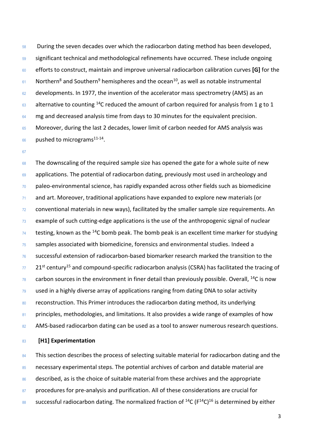58 During the seven decades over which the radiocarbon dating method has been developed, 59 significant technical and methodological refinements have occurred. These include ongoing <sup>60</sup> efforts to construct, maintain and improve universal radiocarbon calibration curves **[G]** for the  $61$  Northern<sup>8</sup> and Southern<sup>9</sup> hemispheres and the ocean<sup>10</sup>, as well as notable instrumental 62 developments. In 1977, the invention of the accelerator mass spectrometry (AMS) as an  $63$  alternative to counting <sup>14</sup>C reduced the amount of carbon required for analysis from 1 g to 1 64 mg and decreased analysis time from days to 30 minutes for the equivalent precision. <sup>65</sup> Moreover, during the last 2 decades, lower limit of carbon needed for AMS analysis was  $66$  pushed to micrograms<sup>11-14</sup>.

67

68 The downscaling of the required sample size has opened the gate for a whole suite of new 69 applications. The potential of radiocarbon dating, previously most used in archeology and  $70$  paleo-environmental science, has rapidly expanded across other fields such as biomedicine <sup>71</sup> and art. Moreover, traditional applications have expanded to explore new materials (or <sup>72</sup> conventional materials in new ways), facilitated by the smaller sample size requirements. An  $73$  example of such cutting-edge applications is the use of the anthropogenic signal of nuclear testing, known as the  $^{14}$ C bomb peak. The bomb peak is an excellent time marker for studying <sup>75</sup> samples associated with biomedicine, forensics and environmental studies. Indeed a <sup>76</sup> successful extension of radiocarbon-based biomarker research marked the transition to the  $77$  21<sup>st</sup> century<sup>15</sup> and compound-specific radiocarbon analysis (CSRA) has facilitated the tracing of  $78$  carbon sources in the environment in finer detail than previously possible. Overall, <sup>14</sup>C is now  $79$  used in a highly diverse array of applications ranging from dating DNA to solar activity 80 reconstruction. This Primer introduces the radiocarbon dating method, its underlying 81 principles, methodologies, and limitations. It also provides a wide range of examples of how 82 AMS-based radiocarbon dating can be used as a tool to answer numerous research questions.

## <sup>83</sup> **[H1] Experimentation**

84 This section describes the process of selecting suitable material for radiocarbon dating and the 85 necessary experimental steps. The potential archives of carbon and datable material are 86 described, as is the choice of suitable material from these archives and the appropriate 87 procedures for pre-analysis and purification. All of these considerations are crucial for successful radiocarbon dating. The normalized fraction of  $^{14}C$  ( $F^{14}C$ )<sup>16</sup> is determined by either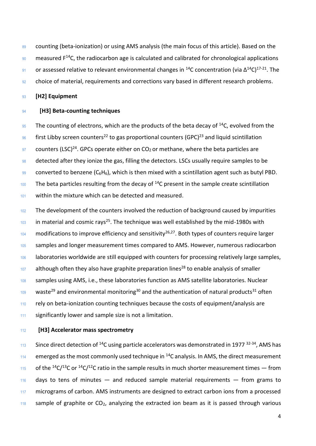89 counting (beta-ionization) or using AMS analysis (the main focus of this article). Based on the  $\frac{90}{20}$  measured F<sup>14</sup>C, the radiocarbon age is calculated and calibrated for chronological applications 91 **or assessed relative to relevant environmental changes in <sup>14</sup>C concentration (via Δ<sup>14</sup>C)<sup>17-21</sup>. The** 92 choice of material, requirements and corrections vary based in different research problems.

<sup>93</sup> **[H2] Equipment**

## <sup>94</sup> **[H3] Beta-counting techniques**

 $\frac{95}{25}$  The counting of electrons, which are the products of the beta decay of <sup>14</sup>C, evolved from the  $96$  first Libby screen counters<sup>22</sup> to gas proportional counters (GPC)<sup>23</sup> and liquid scintillation  $\frac{97}{2}$  counters (LSC)<sup>24</sup>. GPCs operate either on CO<sub>2</sub> or methane, where the beta particles are 98 detected after they ionize the gas, filling the detectors. LSCs usually require samples to be 99 converted to benzene  $(C_6H_6)$ , which is then mixed with a scintillation agent such as butyl PBD.  $100$  The beta particles resulting from the decay of  $14$ C present in the sample create scintillation <sup>101</sup> within the mixture which can be detected and measured.

102 The development of the counters involved the reduction of background caused by impurities  $103$  in material and cosmic rays<sup>25</sup>. The technique was well established by the mid-1980s with  $104$  modifications to improve efficiency and sensitivity<sup>26,27</sup>. Both types of counters require larger 105 samples and longer measurement times compared to AMS. However, numerous radiocarbon 106 laboratories worldwide are still equipped with counters for processing relatively large samples,  $107$  although often they also have graphite preparation lines<sup>28</sup> to enable analysis of smaller 108 samples using AMS, i.e., these laboratories function as AMS satellite laboratories. Nuclear waste<sup>29</sup> and environmental monitoring<sup>30</sup> and the authentication of natural products<sup>31</sup> often 110 rely on beta-ionization counting techniques because the costs of equipment/analysis are 111 significantly lower and sample size is not a limitation.

## <sup>112</sup> **[H3] Accelerator mass spectrometry**

113 Since direct detection of <sup>14</sup>C using particle accelerators was demonstrated in 1977 <sup>32-34</sup>, AMS has  $114$  emerged as the most commonly used technique in <sup>14</sup>C analysis. In AMS, the direct measurement 115 of the <sup>14</sup>C/<sup>13</sup>C or <sup>14</sup>C/<sup>12</sup>C ratio in the sample results in much shorter measurement times – from  $116$  days to tens of minutes  $-$  and reduced sample material requirements  $-$  from grams to 117 micrograms of carbon. AMS instruments are designed to extract carbon ions from a processed  $118$  sample of graphite or CO<sub>2</sub>, analyzing the extracted ion beam as it is passed through various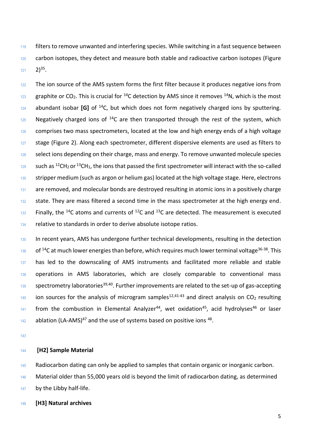119 filters to remove unwanted and interfering species. While switching in a fast sequence between carbon isotopes, they detect and measure both stable and radioactive carbon isotopes (Figure **2)<sup>35</sup>.** 

 The ion source of the AMS system forms the first filter because it produces negative ions from graphite or CO<sub>2</sub>. This is crucial for <sup>14</sup>C detection by AMS since it removes <sup>14</sup>N, which is the most abundant isobar **[G]** of <sup>14</sup>C, but which does not form negatively charged ions by sputtering. Negatively charged ions of <sup>14</sup>C are then transported through the rest of the system, which 126 comprises two mass spectrometers, located at the low and high energy ends of a high voltage stage (Figure 2). Along each spectrometer, different dispersive elements are used as filters to select ions depending on their charge, mass and energy. To remove unwanted molecule species such as <sup>12</sup>CH<sub>2</sub> or <sup>13</sup>CH<sub>1</sub>, the ions that passed the first spectrometer will interact with the so-called 130 stripper medium (such as argon or helium gas) located at the high voltage stage. Here, electrons 131 are removed, and molecular bonds are destroyed resulting in atomic ions in a positively charge 132 state. They are mass filtered a second time in the mass spectrometer at the high energy end. Finally, the <sup>14</sup>C atoms and currents of <sup>12</sup>C and <sup>13</sup>C are detected. The measurement is executed relative to standards in order to derive absolute isotope ratios.

 In recent years, AMS has undergone further technical developments, resulting in the detection of <sup>14</sup>C at much lower energies than before, which requires much lower terminal voltage<sup>36-38</sup>. This 137 has led to the downscaling of AMS instruments and facilitated more reliable and stable 138 operations in AMS laboratories, which are closely comparable to conventional mass spectrometry laboratories<sup>39,40</sup>. Further improvements are related to the set-up of gas-accepting ion sources for the analysis of microgram samples<sup>12,41-43</sup> and direct analysis on CO<sub>2</sub> resulting from the combustion in Elemental Analyzer<sup>44</sup>, wet oxidation<sup>45</sup>, acid hydrolyses<sup>46</sup> or laser ablation (LA-AMS)<sup>47</sup> and the use of systems based on positive ions <sup>48</sup>.

#### **[H2] Sample Material**

Radiocarbon dating can only be applied to samples that contain organic or inorganic carbon.

Material older than 55,000 years old is beyond the limit of radiocarbon dating, as determined

147 by the Libby half-life.

**[H3] Natural archives**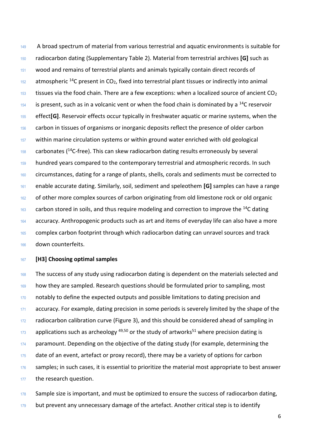A broad spectrum of material from various terrestrial and aquatic environments is suitable for radiocarbon dating (Supplementary Table 2). Material from terrestrial archives **[G]** such as wood and remains of terrestrial plants and animals typically contain direct records of atmospheric <sup>14</sup>C present in CO<sub>2</sub>, fixed into terrestrial plant tissues or indirectly into animal 153 tissues via the food chain. There are a few exceptions: when a localized source of ancient  $CO<sub>2</sub>$  is present, such as in a volcanic vent or when the food chain is dominated by a <sup>14</sup>C reservoir effect**[G]**. Reservoir effects occur typically in freshwater aquatic or marine systems, when the carbon in tissues of organisms or inorganic deposits reflect the presence of older carbon within marine circulation systems or within ground water enriched with old geological carbonates ( $14$ C-free). This can skew radiocarbon dating results erroneously by several hundred years compared to the contemporary terrestrial and atmospheric records. In such 160 circumstances, dating for a range of plants, shells, corals and sediments must be corrected to enable accurate dating. Similarly, soil, sediment and speleothem **[G]** samples can have a range 162 of other more complex sources of carbon originating from old limestone rock or old organic carbon stored in soils, and thus require modeling and correction to improve the <sup>14</sup>C dating accuracy. Anthropogenic products such as art and items of everyday life can also have a more 165 complex carbon footprint through which radiocarbon dating can unravel sources and track down counterfeits.

## **[H3] Choosing optimal samples**

 The success of any study using radiocarbon dating is dependent on the materials selected and how they are sampled. Research questions should be formulated prior to sampling, most 170 notably to define the expected outputs and possible limitations to dating precision and 171 accuracy. For example, dating precision in some periods is severely limited by the shape of the 172 radiocarbon calibration curve (Figure 3), and this should be considered ahead of sampling in applications such as archeology  $49,50$  or the study of artworks<sup>51</sup> where precision dating is 174 paramount. Depending on the objective of the dating study (for example, determining the date of an event, artefact or proxy record), there may be a variety of options for carbon samples; in such cases, it is essential to prioritize the material most appropriate to best answer 177 the research question.

178 Sample size is important, and must be optimized to ensure the success of radiocarbon dating, 179 but prevent any unnecessary damage of the artefact. Another critical step is to identify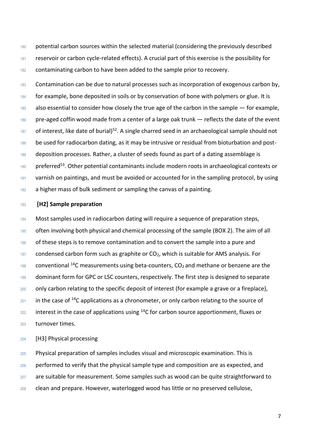180 potential carbon sources within the selected material (considering the previously described <sup>181</sup> reservoir or carbon cycle-related effects). A crucial part of this exercise is the possibility for <sup>182</sup> contaminating carbon to have been added to the sample prior to recovery.

<sup>183</sup> Contamination can be due to natural processes such as incorporation of exogenous carbon by, 184 for example, bone deposited in soils or by conservation of bone with polymers or glue. It is  $185$  also essential to consider how closely the true age of the carbon in the sample  $-$  for example, 186 pre-aged coffin wood made from a center of a large oak trunk — reflects the date of the event  $187$  of interest, like date of burial)<sup>52</sup>. A single charred seed in an archaeological sample should not 188 be used for radiocarbon dating, as it may be intrusive or residual from bioturbation and post-<sup>189</sup> deposition processes. Rather, a cluster of seeds found as part of a dating assemblage is  $190$  preferred<sup>53</sup>. Other potential contaminants include modern roots in archaeological contexts or 191 varnish on paintings, and must be avoided or accounted for in the sampling protocol, by using 192 a higher mass of bulk sediment or sampling the canvas of a painting.

#### <sup>193</sup> **[H2] Sample preparation**

<sup>194</sup> Most samples used in radiocarbon dating will require a sequence of preparation steps, 195 often involving both physical and chemical processing of the sample (BOX 2). The aim of all 196 of these steps is to remove contamination and to convert the sample into a pure and  $197$  condensed carbon form such as graphite or  $CO<sub>2</sub>$ , which is suitable for AMS analysis. For 198 conventional <sup>14</sup>C measurements using beta-counters,  $CO<sub>2</sub>$  and methane or benzene are the 199 dominant form for GPC or LSC counters, respectively. The first step is designed to separate 200 only carbon relating to the specific deposit of interest (for example a grave or a fireplace),  $201$  in the case of <sup>14</sup>C applications as a chronometer, or only carbon relating to the source of  $202$  interest in the case of applications using <sup>14</sup>C for carbon source apportionment, fluxes or <sup>203</sup> turnover times.

<sup>204</sup> [H3] Physical processing

 Physical preparation of samples includes visual and microscopic examination. This is performed to verify that the physical sample type and composition are as expected, and are suitable for measurement. Some samples such as wood can be quite straightforward to 208 clean and prepare. However, waterlogged wood has little or no preserved cellulose,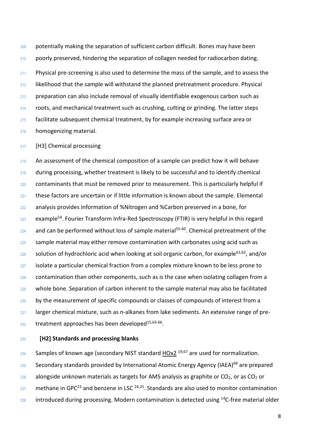potentially making the separation of sufficient carbon difficult. Bones may have been poorly preserved, hindering the separation of collagen needed for radiocarbon dating. Physical pre-screening is also used to determine the mass of the sample, and to assess the likelihood that the sample will withstand the planned pretreatment procedure. Physical preparation can also include removal of visually identifiable exogenous carbon such as roots, and mechanical treatment such as crushing, cutting or grinding. The latter steps facilitate subsequent chemical treatment, by for example increasing surface area or homogenizing material.

217 [H3] Chemical processing

 An assessment of the chemical composition of a sample can predict how it will behave 219 during processing, whether treatment is likely to be successful and to identify chemical contaminants that must be removed prior to measurement. This is particularly helpful if these factors are uncertain or if little information is known about the sample. Elemental analysis provides information of %Nitrogen and %Carbon preserved in a bone, for example<sup>54</sup>. Fourier Transform Infra-Red Spectroscopy (FTIR) is very helpful in this regard and can be performed without loss of sample material<sup>55-60</sup>. Chemical pretreatment of the 225 sample material may either remove contamination with carbonates using acid such as solution of hydrochloric acid when looking at soil organic carbon, for example<sup>61,62</sup>, and/or 227 isolate a particular chemical fraction from a complex mixture known to be less prone to contamination than other components, such as is the case when isolating collagen from a whole bone. Separation of carbon inherent to the sample material may also be facilitated by the measurement of specific compounds or classes of compounds of interest from a larger chemical mixture, such as n-alkanes from lake sediments. An extensive range of pre-treatment approaches has been developed<sup>15,63-66</sup>.

**[H2] Standards and processing blanks**

 Samples of known age (secondary NIST standard  $\underline{HOx2}$  19,67 are used for normalization. 235 Secondary standards provided by International Atomic Energy Agency (IAEA)<sup>68</sup> are prepared alongside unknown materials as targets for AMS analysis as graphite or CO<sub>2</sub>, or as CO<sub>2</sub> or methane in GPC<sup>23</sup> and benzene in LSC <sup>24,25</sup>. Standards are also used to monitor contamination introduced during processing. Modern contamination is detected using <sup>14</sup>C-free material older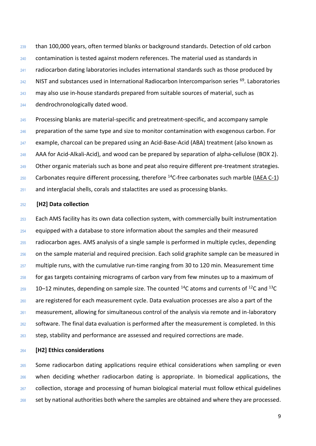than 100,000 years, often termed blanks or background standards. Detection of old carbon contamination is tested against modern references. The material used as standards in radiocarbon dating laboratories includes international standards such as those produced by NIST and substances used in International Radiocarbon Intercomparison series  $69$ . Laboratories may also use in-house standards prepared from suitable sources of material, such as dendrochronologically dated wood.

 Processing blanks are material-specific and pretreatment-specific, and accompany sample preparation of the same type and size to monitor contamination with exogenous carbon. For example, charcoal can be prepared using an Acid-Base-Acid (ABA) treatment (also known as AAA for Acid-Alkali-Acid), and wood can be prepared by separation of alpha-cellulose (BOX 2). Other organic materials such as bone and peat also require different pre-treatment strategies. 250 Carbonates require different processing, therefore  $^{14}$ C-free carbonates such marble [\(IAEA C-1\)](https://nucleus.iaea.org/sites/ReferenceMaterials/Pages/IAEA-C-1.aspx) and interglacial shells, corals and stalactites are used as processing blanks.

## **[H2] Data collection**

253 Each AMS facility has its own data collection system, with commercially built instrumentation 254 equipped with a database to store information about the samples and their measured radiocarbon ages. AMS analysis of a single sample is performed in multiple cycles, depending 256 on the sample material and required precision. Each solid graphite sample can be measured in multiple runs, with the cumulative run-time ranging from 30 to 120 min. Measurement time for gas targets containing micrograms of carbon vary from few minutes up to a maximum of 10–12 minutes, depending on sample size. The counted <sup>14</sup>C atoms and currents of <sup>12</sup>C and <sup>13</sup>C are registered for each measurement cycle. Data evaluation processes are also a part of the measurement, allowing for simultaneous control of the analysis via remote and in-laboratory software. The final data evaluation is performed after the measurement is completed. In this step, stability and performance are assessed and required corrections are made.

**[H2] Ethics considerations** 

 Some radiocarbon dating applications require ethical considerations when sampling or even when deciding whether radiocarbon dating is appropriate. In biomedical applications, the 267 collection, storage and processing of human biological material must follow ethical guidelines set by national authorities both where the samples are obtained and where they are processed.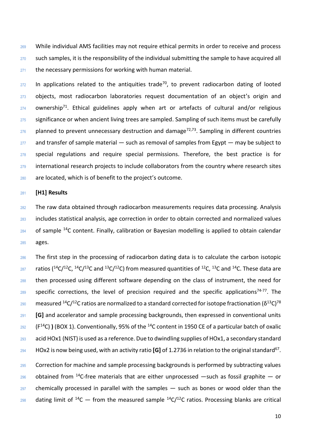269 While individual AMS facilities may not require ethical permits in order to receive and process such samples, it is the responsibility of the individual submitting the sample to have acquired all the necessary permissions for working with human material.

 In applications related to the antiquities trade<sup>70</sup>, to prevent radiocarbon dating of looted 273 objects, most radiocarbon laboratories request documentation of an object's origin and ownership<sup>71</sup>. Ethical guidelines apply when art or artefacts of cultural and/or religious significance or when ancient living trees are sampled. Sampling of such items must be carefully planned to prevent unnecessary destruction and damage<sup>72,73</sup>. Sampling in different countries and transfer of sample material  $-$  such as removal of samples from Egypt  $-$  may be subject to special regulations and require special permissions. Therefore, the best practice is for international research projects to include collaborators from the country where research sites are located, which is of benefit to the project's outcome.

#### **[H1] Results**

 The raw data obtained through radiocarbon measurements requires data processing. Analysis includes statistical analysis, age correction in order to obtain corrected and normalized values of sample <sup>14</sup>C content. Finally, calibration or Bayesian modelling is applied to obtain calendar ages.

 The first step in the processing of radiocarbon dating data is to calculate the carbon isotopic <sup>287</sup> ratios (<sup>14</sup>C/<sup>12</sup>C, <sup>14</sup>C/<sup>13</sup>C and <sup>13</sup>C/<sup>12</sup>C) from measured quantities of <sup>12</sup>C, <sup>13</sup>C and <sup>14</sup>C. These data are 288 then processed using different software depending on the class of instrument, the need for specific corrections, the level of precision required and the specific applications<sup>74-77</sup>. The measured <sup>14</sup>C/<sup>12</sup>C ratios are normalized to a standard corrected for isotope fractionation (δ<sup>13</sup>C)<sup>78</sup> **[G]** and accelerator and sample processing backgrounds, then expressed in conventional units (F<sup>14</sup>C) **)** (BOX 1). Conventionally, 95% of the <sup>14</sup>C content in 1950 CE of a particular batch of oxalic acid HOx1 (NIST) is used as a reference. Due to dwindling supplies of HOx1, a secondary standard <sup>294</sup> HOx2 is now being used, with an activity ratio [G] of 1.2736 in relation to the original standard<sup>67</sup>.

295 Correction for machine and sample processing backgrounds is performed by subtracting values 296 obtained from <sup>14</sup>C-free materials that are either unprocessed —such as fossil graphite — or chemically processed in parallel with the samples  $-$  such as bones or wood older than the 298 dating limit of <sup>14</sup>C — from the measured sample <sup>14</sup>C/<sup>12</sup>C ratios. Processing blanks are critical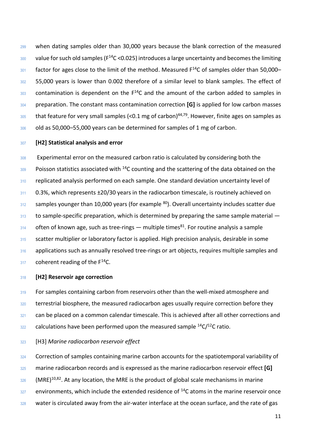when dating samples older than 30,000 years because the blank correction of the measured  $_{300}$  value for such old samples (F $^{14}$ C <0.025) introduces a large uncertainty and becomes the limiting factor for ages close to the limit of the method. Measured  $F^{14}C$  of samples older than 50,000– 302 55,000 years is lower than 0.002 therefore of a similar level to blank samples. The effect of contamination is dependent on the  $F^{14}C$  and the amount of the carbon added to samples in preparation. The constant mass contamination correction **[G]** is applied for low carbon masses  $_{305}$  that feature for very small samples (<0.1 mg of carbon)<sup>44,79</sup>. However, finite ages on samples as old as 50,000–55,000 years can be determined for samples of 1 mg of carbon.

## **[H2] Statistical analysis and error**

 Experimental error on the measured carbon ratio is calculated by considering both the  $\frac{309}{200}$  Poisson statistics associated with <sup>14</sup>C counting and the scattering of the data obtained on the 310 replicated analysis performed on each sample. One standard deviation uncertainty level of 0.3%, which represents  $\pm$ 20/30 years in the radiocarbon timescale, is routinely achieved on samples younger than 10,000 years (for example  $80$ ). Overall uncertainty includes scatter due to sample-specific preparation, which is determined by preparing the same sample material  $-$  often of known age, such as tree-rings — multiple times<sup>81</sup>. For routine analysis a sample scatter multiplier or laboratory factor is applied. High precision analysis, desirable in some 316 applications such as annually resolved tree-rings or art objects, requires multiple samples and coherent reading of the  $F^{14}C$ .

## **[H2] Reservoir age correction**

319 For samples containing carbon from reservoirs other than the well-mixed atmosphere and 320 terrestrial biosphere, the measured radiocarbon ages usually require correction before they 321 can be placed on a common calendar timescale. This is achieved after all other corrections and calculations have been performed upon the measured sample  $14C/12C$  ratio.

## [H3] *Marine radiocarbon reservoir effect*

324 Correction of samples containing marine carbon accounts for the spatiotemporal variability of marine radiocarbon records and is expressed as the marine radiocarbon reservoir effect **[G]** (MRE)<sup>10,82</sup>. At any location, the MRE is the product of global scale mechanisms in marine environments, which include the extended residence of  $14C$  atoms in the marine reservoir once 328 water is circulated away from the air-water interface at the ocean surface, and the rate of gas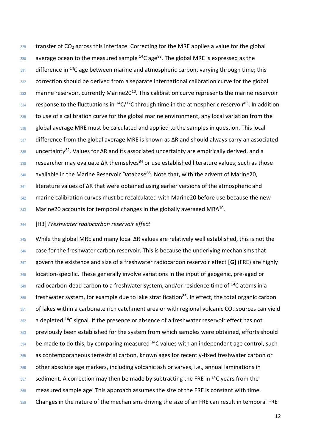transfer of CO<sub>2</sub> across this interface. Correcting for the MRE applies a value for the global average ocean to the measured sample  $14C$  age<sup>83</sup>. The global MRE is expressed as the difference in <sup>14</sup>C age between marine and atmospheric carbon, varying through time; this 332 correction should be derived from a separate international calibration curve for the global marine reservoir, currently Marine20<sup>10</sup>. This calibration curve represents the marine reservoir response to the fluctuations in  $^{14}C/^{12}C$  through time in the atmospheric reservoir<sup>83</sup>. In addition 335 to use of a calibration curve for the global marine environment, any local variation from the global average MRE must be calculated and applied to the samples in question. This local difference from the global average MRE is known as  $\Delta$ R and should always carry an associated 338 uncertainty<sup>82</sup>. Values for ΔR and its associated uncertainty are empirically derived, and a researcher may evaluate ΔR themselves<sup>84</sup> or use established literature values, such as those available in the Marine Reservoir Database<sup>85</sup>. Note that, with the advent of Marine20, 341 literature values of ΔR that were obtained using earlier versions of the atmospheric and marine calibration curves must be recalculated with Marine20 before use because the new Marine 20 accounts for temporal changes in the globally averaged MRA<sup>10</sup>.

## [H3] *Freshwater radiocarbon reservoir effect*

 While the global MRE and many local ΔR values are relatively well established, this is not the 346 case for the freshwater carbon reservoir. This is because the underlying mechanisms that govern the existence and size of a freshwater radiocarbon reservoir effect **[G]** (FRE) are highly 348 location-specific. These generally involve variations in the input of geogenic, pre-aged or radiocarbon-dead carbon to a freshwater system, and/or residence time of  $^{14}$ C atoms in a  $\frac{350}{250}$  freshwater system, for example due to lake stratification<sup>86</sup>. In effect, the total organic carbon of lakes within a carbonate rich catchment area or with regional volcanic CO<sub>2</sub> sources can yield a depleted <sup>14</sup>C signal. If the presence or absence of a freshwater reservoir effect has not 353 previously been established for the system from which samples were obtained, efforts should be made to do this, by comparing measured  $14$ C values with an independent age control, such 355 as contemporaneous terrestrial carbon, known ages for recently-fixed freshwater carbon or other absolute age markers, including volcanic ash or varves, i.e., annual laminations in sediment. A correction may then be made by subtracting the FRE in  $^{14}$ C years from the measured sample age. This approach assumes the size of the FRE is constant with time. 359 Changes in the nature of the mechanisms driving the size of an FRE can result in temporal FRE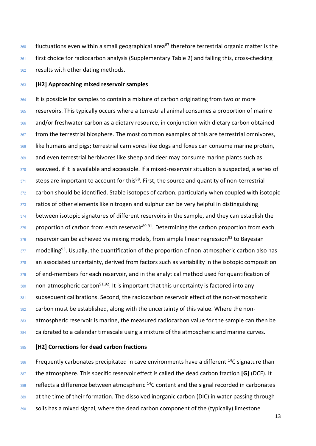$360$  fluctuations even within a small geographical area<sup>87</sup> therefore terrestrial organic matter is the 361 first choice for radiocarbon analysis (Supplementary Table 2) and failing this, cross-checking <sup>362</sup> results with other dating methods.

## <sup>363</sup> **[H2] Approaching mixed reservoir samples**

364 It is possible for samples to contain a mixture of carbon originating from two or more <sup>365</sup> reservoirs. This typically occurs where a terrestrial animal consumes a proportion of marine 366 and/or freshwater carbon as a dietary resource, in conjunction with dietary carbon obtained 367 from the terrestrial biosphere. The most common examples of this are terrestrial omnivores, 368 like humans and pigs; terrestrial carnivores like dogs and foxes can consume marine protein, <sup>369</sup> and even terrestrial herbivores like sheep and deer may consume marine plants such as <sup>370</sup> seaweed, if it is available and accessible. If a mixed-reservoir situation is suspected, a series of  $371$  steps are important to account for this<sup>88</sup>. First, the source and quantity of non-terrestrial 372 carbon should be identified. Stable isotopes of carbon, particularly when coupled with isotopic  $373$  ratios of other elements like nitrogen and sulphur can be very helpful in distinguishing 374 between isotopic signatures of different reservoirs in the sample, and they can establish the  $375$  proportion of carbon from each reservoir<sup>89-91</sup>. Determining the carbon proportion from each  $376$  reservoir can be achieved via mixing models, from simple linear regression<sup>92</sup> to Bayesian  $377$  modelling<sup>93</sup>. Usually, the quantification of the proportion of non-atmospheric carbon also has 378 an associated uncertainty, derived from factors such as variability in the isotopic composition 379 of end-members for each reservoir, and in the analytical method used for quantification of  $380$  non-atmospheric carbon<sup>91,92</sup>. It is important that this uncertainty is factored into any 381 subsequent calibrations. Second, the radiocarbon reservoir effect of the non-atmospheric <sup>382</sup> carbon must be established, along with the uncertainty of this value. Where the non-<sup>383</sup> atmospheric reservoir is marine, the measured radiocarbon value for the sample can then be 384 calibrated to a calendar timescale using a mixture of the atmospheric and marine curves.

## <sup>385</sup> **[H2] Corrections for dead carbon fractions**

 $386$  Frequently carbonates precipitated in cave environments have a different <sup>14</sup>C signature than <sup>387</sup> the atmosphere. This specific reservoir effect is called the dead carbon fraction **[G]** (DCF). It  $388$  reflects a difference between atmospheric  $14$ C content and the signal recorded in carbonates 389 at the time of their formation. The dissolved inorganic carbon (DIC) in water passing through 390 soils has a mixed signal, where the dead carbon component of the (typically) limestone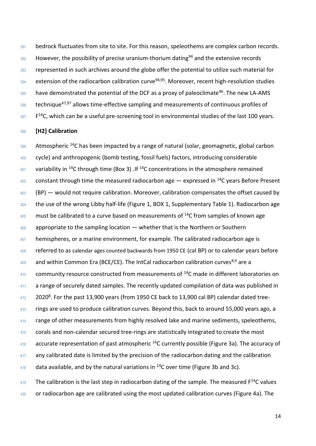391 bedrock fluctuates from site to site. For this reason, speleothems are complex carbon records. However, the possibility of precise uranium-thorium dating<sup>94</sup> and the extensive records 393 represented in such archives around the globe offer the potential to utilize such material for extension of the radiocarbon calibration curve<sup>94,95</sup>. Moreover, recent high-resolution studies have demonstrated the potential of the DCF as a proxy of paleoclimate<sup>96</sup>. The new LA-AMS technique<sup>47,97</sup> allows time-effective sampling and measurements of continuous profiles of F<sup>14</sup>C, which can be a useful pre-screening tool in environmental studies of the last 100 years.

### **[H2] Calibration**

 Atmospheric <sup>14</sup>C has been impacted by a range of natural (solar, geomagnetic, global carbon cycle) and anthropogenic (bomb testing, fossil fuels) factors, introducing considerable 401 variability in <sup>14</sup>C through time (Box 3) . If <sup>14</sup>C concentrations in the atmosphere remained constant through time the measured radiocarbon age  $-$  expressed in <sup>14</sup>C years Before Present (BP) — would not require calibration. Moreover, calibration compensates the offset caused by 404 the use of the wrong Libby half-life (Figure 1, BOX 1, Supplementary Table 1). Radiocarbon age must be calibrated to a curve based on measurements of  $14C$  from samples of known age 406 appropriate to the sampling location — whether that is the Northern or Southern hemispheres, or a marine environment, for example. The calibrated radiocarbon age is 408 referred to as calendar ages counted backwards from 1950 CE (cal BP) or to calendar years before and within Common Era (BCE/CE). The IntCal radiocarbon calibration curves<sup>8,9</sup> are a community resource constructed from measurements of  $14$ C made in different laboratories on a range of securely dated samples. The recently updated compilation of data was published in  $2020^8$ . For the past 13,900 years (from 1950 CE back to 13,900 cal BP) calendar dated tree-<sup>413</sup> rings are used to produce calibration curves. Beyond this, back to around 55,000 years ago, a 414 range of other measurements from highly resolved lake and marine sediments, speleothems, 415 corals and non-calendar secured tree-rings are statistically integrated to create the most accurate representation of past atmospheric <sup>14</sup>C currently possible (Figure 3a). The accuracy of any calibrated date is limited by the precision of the radiocarbon dating and the calibration 418 data available, and by the natural variations in  $^{14}$ C over time (Figure 3b and 3c). The calibration is the last step in radiocarbon dating of the sample. The measured  $F^{14}C$  values

420 or radiocarbon age are calibrated using the most updated calibration curves (Figure 4a). The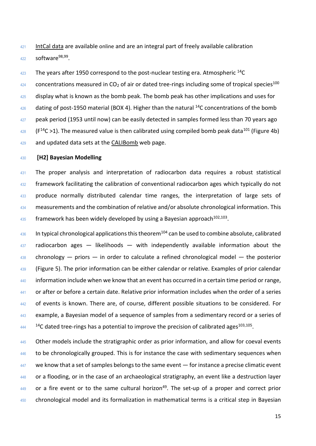421 [IntCal data](http://intcal.org/) are available online and are an integral part of freely available calibration  $422$  software<sup>98,99</sup>.

 $423$  The years after 1950 correspond to the post-nuclear testing era. Atmospheric  $14C$ 

 concentrations measured in CO<sub>2</sub> of air or dated tree-rings including some of tropical species<sup>100</sup> display what is known as the bomb peak. The bomb peak has other implications and uses for dating of post-1950 material (BOX 4). Higher than the natural <sup>14</sup>C concentrations of the bomb 427 peak period (1953 until now) can be easily detected in samples formed less than 70 years ago (F<sup>14</sup>C >1). The measured value is then calibrated using compiled bomb peak data<sup>101</sup> (Figure 4b) 429 and updated data sets at the [CALIBomb](http://calib.org/CALIBomb/) web page.

#### <sup>430</sup> **[H2] Bayesian Modelling**

<sup>431</sup> The proper analysis and interpretation of radiocarbon data requires a robust statistical 432 framework facilitating the calibration of conventional radiocarbon ages which typically do not 433 produce normally distributed calendar time ranges, the interpretation of large sets of <sup>434</sup> measurements and the combination of relative and/or absolute chronological information. This  $\frac{435}{100}$  framework has been widely developed by using a Bayesian approach<sup>102,103</sup>.

 $436$  In typical chronological applications this theorem<sup>104</sup> can be used to combine absolute, calibrated  $437$  radiocarbon ages  $-$  likelihoods  $-$  with independently available information about the  $438$  chronology — priors — in order to calculate a refined chronological model — the posterior 439 (Figure 5). The prior information can be either calendar or relative. Examples of prior calendar 440 information include when we know that an event has occurred in a certain time period or range, <sup>441</sup> or after or before a certain date. Relative prior information includes when the order of a series 442 of events is known. There are, of course, different possible situations to be considered. For 443 example, a Bayesian model of a sequence of samples from a sedimentary record or a series of  $144$  <sup>14</sup>C dated tree-rings has a potential to improve the precision of calibrated ages<sup>103,105</sup>.

445 Other models include the stratigraphic order as prior information, and allow for coeval events 446 to be chronologically grouped. This is for instance the case with sedimentary sequences when  $447$  we know that a set of samples belongs to the same event  $-$  for instance a precise climatic event 448 or a flooding, or in the case of an archaeological stratigraphy, an event like a destruction layer  $449$  or a fire event or to the same cultural horizon<sup>49</sup>. The set-up of a proper and correct prior 450 chronological model and its formalization in mathematical terms is a critical step in Bayesian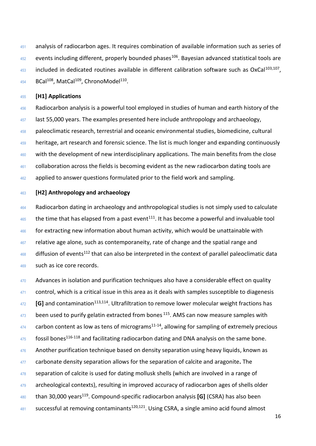451 analysis of radiocarbon ages. It requires combination of available information such as series of events including different, properly bounded phases<sup>106</sup>. Bayesian advanced statistical tools are included in dedicated routines available in different calibration software such as OxCal<sup>103,107</sup>, BCal<sup>108</sup>, MatCal<sup>109</sup>, ChronoModel<sup>110</sup>.

## **[H1] Applications**

456 Radiocarbon analysis is a powerful tool employed in studies of human and earth history of the last 55,000 years. The examples presented here include anthropology and archaeology, paleoclimatic research, terrestrial and oceanic environmental studies, biomedicine, cultural 459 heritage, art research and forensic science. The list is much longer and expanding continuously with the development of new interdisciplinary applications. The main benefits from the close collaboration across the fields is becoming evident as the new radiocarbon dating tools are 462 applied to answer questions formulated prior to the field work and sampling.

#### **[H2] Anthropology and archaeology**

464 Radiocarbon dating in archaeology and anthropological studies is not simply used to calculate the time that has elapsed from a past event<sup>111</sup>. It has become a powerful and invaluable tool for extracting new information about human activity, which would be unattainable with relative age alone, such as contemporaneity, rate of change and the spatial range and diffusion of events<sup>112</sup> that can also be interpreted in the context of parallel paleoclimatic data such as ice core records.

470 Advances in isolation and purification techniques also have a considerable effect on quality 471 control, which is a critical issue in this area as it deals with samples susceptible to diagenesis <sup>472</sup> [G] and contamination<sup>113,114</sup>. Ultrafiltration to remove lower molecular weight fractions has been used to purify gelatin extracted from bones  $115$ . AMS can now measure samples with carbon content as low as tens of micrograms<sup>11-14</sup>, allowing for sampling of extremely precious fossil bones<sup>116-118</sup> and facilitating radiocarbon dating and DNA analysis on the same bone. 476 Another purification technique based on density separation using heavy liquids, known as carbonate density separation allows for the separation of calcite and aragonite**.** The 478 separation of calcite is used for dating mollusk shells (which are involved in a range of 479 archeological contexts), resulting in improved accuracy of radiocarbon ages of shells older <sup>480</sup> than 30,000 years<sup>119</sup>. Compound-specific radiocarbon analysis [G] (CSRA) has also been successful at removing contaminants<sup>120,121</sup>. Using CSRA, a single amino acid found almost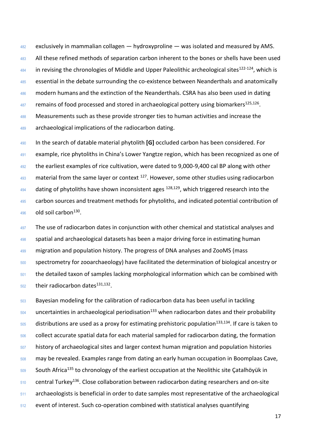exclusively in mammalian collagen — hydroxyproline — was isolated and measured by AMS. All these refined methods of separation carbon inherent to the bones or shells have been used in revising the chronologies of Middle and Upper Paleolithic archeological sites<sup>122-124</sup>, which is essential in the debate surrounding the co-existence between Neanderthals and anatomically 486 modern humans and the extinction of the Neanderthals. CSRA has also been used in dating remains of food processed and stored in archaeological pottery using biomarkers<sup>125,126</sup>. 488 Measurements such as these provide stronger ties to human activities and increase the 489 archaeological implications of the radiocarbon dating.

 In the search of datable material phytolith **[G]** occluded carbon has been considered. For example, rice phytoliths in China's Lower Yangtze region, which has been recognized as one of the earliest examples of rice cultivation, were dated to 9,000-9,400 cal BP along with other material from the same layer or context  $127$ . However, some other studies using radiocarbon dating of phytoliths have shown inconsistent ages  $128,129$ , which triggered research into the 495 carbon sources and treatment methods for phytoliths, and indicated potential contribution of old soil carbon<sup>130</sup>.

497 The use of radiocarbon dates in conjunction with other chemical and statistical analyses and spatial and archaeological datasets has been a major driving force in estimating human migration and population history. The progress of DNA analyses and ZooMS (mass spectrometry for zooarchaeology) have facilitated the determination of biological ancestry or the detailed taxon of samples lacking morphological information which can be combined with their radiocarbon dates<sup>131,132</sup>.

 Bayesian modeling for the calibration of radiocarbon data has been useful in tackling uncertainties in archaeological periodisation<sup>133</sup> when radiocarbon dates and their probability distributions are used as a proxy for estimating prehistoric population<sup>133,134</sup>. If care is taken to collect accurate spatial data for each material sampled for radiocarbon dating, the formation 507 history of archaeological sites and larger context human migration and population histories may be revealed. Examples range from dating an early human occupation in Boomplaas Cave, 509 South Africa<sup>135</sup> to chronology of the earliest occupation at the Neolithic site Çatalhöyük in central Turkey<sup>136</sup>. Close collaboration between radiocarbon dating researchers and on-site archaeologists is beneficial in order to date samples most representative of the archaeological event of interest. Such co-operation combined with statistical analyses quantifying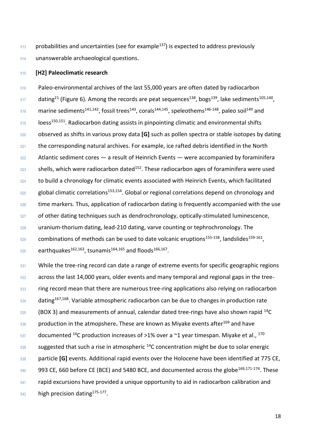probabilities and uncertainties (see for example<sup>137</sup>) is expected to address previously unanswerable archaeological questions.

#### **[H2] Paleoclimatic research**

 Paleo-environmental archives of the last 55,000 years are often dated by radiocarbon  $_{517}$  dating<sup>21</sup> (Figure 6). Among the records are peat sequences<sup>138</sup>, bogs<sup>139</sup>, lake sediments<sup>105,140</sup>,  $_{518}$  marine sediments<sup>141,142</sup>, fossil trees<sup>143</sup>, corals<sup>144,145</sup>, speleothems<sup>146-148</sup>, paleo soil<sup>149</sup> and 19 **19 100** loess<sup>150,151</sup>. Radiocarbon dating assists in pinpointing climatic and environmental shifts observed as shifts in various proxy data **[G]** such as pollen spectra or stable isotopes by dating 521 the corresponding natural archives. For example, ice rafted debris identified in the North Atlantic sediment cores  $-$  a result of Heinrich Events  $-$  were accompanied by foraminifera shells, which were radiocarbon dated<sup>152</sup>. These radiocarbon ages of foraminifera were used to build a chronology for climatic events associated with Heinrich Events, which facilitated 525 global climatic correlations<sup>153,154</sup>. Global or regional correlations depend on chronology and 526 time markers. Thus, application of radiocarbon dating is frequently accompanied with the use of other dating techniques such as dendrochronology, optically-stimulated luminescence, uranium-thorium dating, lead-210 dating, varve counting or tephrochronology. The combinations of methods can be used to date volcanic eruptions<sup>155-158</sup>, landslides<sup>159-161</sup>.  $_{530}$  earthquakes<sup>162,163</sup>, tsunamis<sup>164,165</sup> and floods<sup>166,167</sup>.

531 While the tree-ring record can date a range of extreme events for specific geographic regions across the last 14,000 years, older events and many temporal and regional gaps in the tree- ring record mean that there are numerous tree-ring applications also relying on radiocarbon dating<sup>167,168</sup>. Variable atmospheric radiocarbon can be due to changes in production rate (BOX 3) and measurements of annual, calendar dated tree-rings have also shown rapid <sup>14</sup>C 536 production in the atmopshere. These are known as Miyake events after<sup>169</sup> and have documented <sup>14</sup>C production increases of >1% over a  $\sim$ 1 year timespan. Miyake et al., <sup>170</sup> sas suggested that such a rise in atmospheric C concentration might be due to solar energic particle **[G]** events. Additional rapid events over the Holocene have been identified at 775 CE, CE, 660 before CE (BCE) and 5480 BCE, and documented across the globe<sup>169,171-174</sup>. These rapid excursions have provided a unique opportunity to aid in radiocarbon calibration and  $_{542}$  high precision dating<sup>175-177</sup>.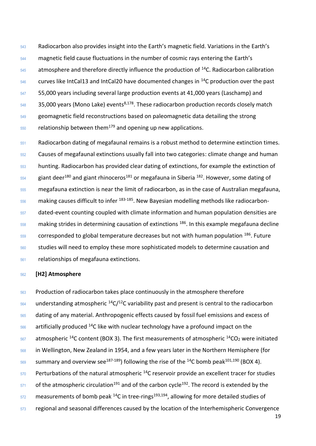Radiocarbon also provides insight into the Earth's magnetic field. Variations in the Earth's magnetic field cause fluctuations in the number of cosmic rays entering the Earth's atmosphere and therefore directly influence the production of  $14$ C. Radiocarbon calibration curves like IntCal13 and IntCal20 have documented changes in  $^{14}$ C production over the past 55,000 years including several large production events at 41,000 years (Laschamp) and  $35,000$  years (Mono Lake) events<sup>8,178</sup>. These radiocarbon production records closely match geomagnetic field reconstructions based on paleomagnetic data detailing the strong relationship between them<sup>179</sup> and opening up new applications.

 Radiocarbon dating of megafaunal remains is a robust method to determine extinction times. Causes of megafaunal extinctions usually fall into two categories: climate change and human hunting. Radiocarbon has provided clear dating of extinctions, for example the extinction of giant deer<sup>180</sup> and giant rhinoceros<sup>181</sup> or megafauna in Siberia <sup>182</sup>. However, some dating of megafauna extinction is near the limit of radiocarbon, as in the case of Australian megafauna, making causes difficult to infer  $183-185$ . New Bayesian modelling methods like radiocarbon- dated-event counting coupled with climate information and human population densities are making strides in determining causation of extinctions  $186$ . In this example megafauna decline corresponded to global temperature decreases but not with human population  $186$ . Future studies will need to employ these more sophisticated models to determine causation and relationships of megafauna extinctions.

#### **[H2] Atmosphere**

 Production of radiocarbon takes place continuously in the atmosphere therefore understanding atmospheric  $14C/12C$  variability past and present is central to the radiocarbon dating of any material. Anthropogenic effects caused by fossil fuel emissions and excess of artificially produced <sup>14</sup>C like with nuclear technology have a profound impact on the atmospheric <sup>14</sup>C content (BOX 3). The first measurements of atmospheric <sup>14</sup>CO<sub>2</sub> were initiated 568 in Wellington, New Zealand in 1954, and a few years later in the Northern Hemisphere (for s<sub>69</sub> summary and overview see<sup>187-189</sup>) following the rise of the <sup>14</sup>C bomb peak<sup>101,190</sup> (BOX 4). Perturbations of the natural atmospheric  $^{14}$ C reservoir provide an excellent tracer for studies of the atmospheric circulation<sup>191</sup> and of the carbon cycle<sup>192</sup>. The record is extended by the measurements of bomb peak <sup>14</sup>C in tree-rings<sup>193,194</sup>, allowing for more detailed studies of 573 regional and seasonal differences caused by the location of the Interhemispheric Convergence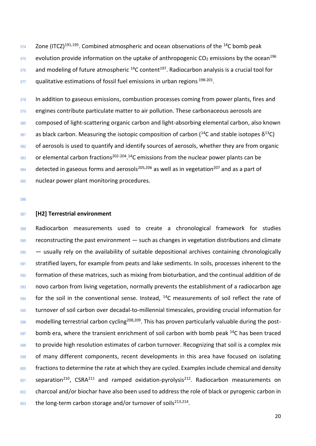Zone (ITCZ)<sup>191,195</sup>. Combined atmospheric and ocean observations of the <sup>14</sup>C bomb peak evolution provide information on the uptake of anthropogenic CO<sub>2</sub> emissions by the ocean<sup>196</sup> and modeling of future atmospheric <sup>14</sup>C content<sup>197</sup>. Radiocarbon analysis is a crucial tool for qualitative estimations of fossil fuel emissions in urban regions  $198-201$ .

 In addition to gaseous emissions, combustion processes coming from power plants, fires and engines contribute particulate matter to air pollution. These carbonaceous aerosols are composed of light-scattering organic carbon and light-absorbing elemental carbon, also known as black carbon. Measuring the isotopic composition of carbon (<sup>14</sup>C and stable isotopes δ<sup>13</sup>C) of aerosols is used to quantify and identify sources of aerosols, whether they are from organic or elemental carbon fractions<sup>202-204</sup>.<sup>14</sup>C emissions from the nuclear power plants can be detected in gaseous forms and aerosols<sup>205,206</sup> as well as in vegetation<sup>207</sup> and as a part of nuclear power plant monitoring procedures.

#### **[H2] Terrestrial environment**

 Radiocarbon measurements used to create a chronological framework for studies reconstructing the past environment — such as changes in vegetation distributions and climate — usually rely on the availability of suitable depositional archives containing chronologically 591 stratified layers, for example from peats and lake sediments. In soils, processes inherent to the formation of these matrices, such as mixing from bioturbation, and the continual addition of de novo carbon from living vegetation, normally prevents the establishment of a radiocarbon age for the soil in the conventional sense. Instead,  $14C$  measurements of soil reflect the rate of turnover of soil carbon over decadal-to-millennial timescales, providing crucial information for modelling terrestrial carbon cycling<sup>208,209</sup>. This has proven particularly valuable during the post- bomb era, where the transient enrichment of soil carbon with bomb peak  $^{14}$ C has been traced 598 to provide high resolution estimates of carbon turnover. Recognizing that soil is a complex mix of many different components, recent developments in this area have focused on isolating 600 fractions to determine the rate at which they are cycled. Examples include chemical and density separation<sup>210</sup>, CSRA<sup>211</sup> and ramped oxidation-pyrolysis<sup>212</sup>. Radiocarbon measurements on 602 charcoal and/or biochar have also been used to address the role of black or pyrogenic carbon in  $\frac{603}{100}$  the long-term carbon storage and/or turnover of soils<sup>213,214</sup>.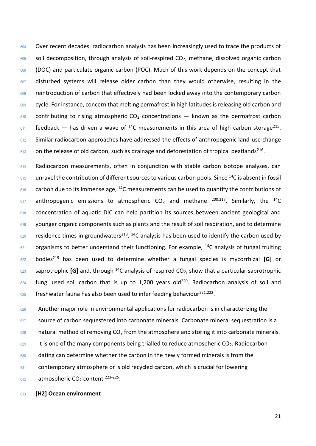Over recent decades, radiocarbon analysis has been increasingly used to trace the products of soil decomposition, through analysis of soil-respired CO2, methane, dissolved organic carbon (DOC) and particulate organic carbon (POC). Much of this work depends on the concept that 607 disturbed systems will release older carbon than they would otherwise, resulting in the 608 reintroduction of carbon that effectively had been locked away into the contemporary carbon cycle. For instance, concern that melting permafrost in high latitudes is releasing old carbon and contributing to rising atmospheric CO<sub>2</sub> concentrations  $-$  known as the permafrost carbon feedback — has driven a wave of <sup>14</sup>C measurements in this area of high carbon storage<sup>215</sup>. 612 Similar radiocarbon approaches have addressed the effects of anthropogenic land-use change on the release of old carbon, such as drainage and deforestation of tropical peatlands<sup>216</sup>.

614 Radiocarbon measurements, often in conjunction with stable carbon isotope analyses, can unravel the contribution of different sources to various carbon pools. Since  $14$ C is absent in fossil carbon due to its immense age, <sup>14</sup>C measurements can be used to quantify the contributions of 617 anthropogenic emissions to atmospheric  $CO<sub>2</sub>$  and methane <sup>200,217</sup>. Similarly, the <sup>14</sup>C 618 concentration of aquatic DIC can help partition its sources between ancient geological and younger organic components such as plants and the result of soil respiration, and to determine  $\frac{620}{2}$  residence times in groundwaters<sup>218</sup>. <sup>14</sup>C analysis has been used to identify the carbon used by organisms to better understand their functioning. For example, <sup>14</sup>C analysis of fungal fruiting bodies<sup>219</sup> has been used to determine whether a fungal species is mycorrhizal **[G]** or  $\frac{623}{2}$  saprotrophic **[G]** and, through <sup>14</sup>C analysis of respired CO<sub>2</sub>, show that a particular saprotrophic fungi used soil carbon that is up to 1,200 years old<sup>220</sup>. Radiocarbon analysis of soil and freshwater fauna has also been used to infer feeding behaviour<sup>221,222</sup>.

 Another major role in environmental applications for radiocarbon is in characterizing the source of carbon sequestered into carbonate minerals. Carbonate mineral sequestration is a natural method of removing CO<sub>2</sub> from the atmosphere and storing it into carbonate minerals. It is one of the many components being trialled to reduce atmospheric CO<sub>2</sub>. Radiocarbon dating can determine whether the carbon in the newly formed minerals is from the contemporary atmosphere or is old recycled carbon, which is crucial for lowering atmospheric CO<sub>2</sub> content  $223-225$ .

#### **[H2] Ocean environment**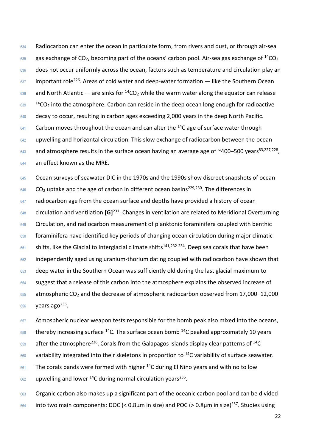Radiocarbon can enter the ocean in particulate form, from rivers and dust, or through air-sea gas exchange of CO<sub>2</sub>, becoming part of the oceans' carbon pool. Air-sea gas exchange of <sup>14</sup>CO<sub>2</sub> 636 does not occur uniformly across the ocean, factors such as temperature and circulation play an  $\frac{637}{103}$  important role<sup>226</sup>. Areas of cold water and deep-water formation — like the Southern Ocean  $\frac{638}{2}$  and North Atlantic — are sinks for <sup>14</sup>CO<sub>2</sub> while the warm water along the equator can release  $CO<sub>2</sub>$  into the atmosphere. Carbon can reside in the deep ocean long enough for radioactive 640 decay to occur, resulting in carbon ages exceeding 2,000 years in the deep North Pacific. Carbon moves throughout the ocean and can alter the <sup>14</sup>C age of surface water through 642 upwelling and horizontal circulation. This slow exchange of radiocarbon between the ocean 643 and atmosphere results in the surface ocean having an average age of  $\sim$ 400–500 years<sup>83,227,228</sup>, an effect known as the MRE.

645 Ocean surveys of seawater DIC in the 1970s and the 1990s show discreet snapshots of ocean CO<sub>2</sub> uptake and the age of carbon in different ocean basins<sup>229,230</sup>. The differences in radiocarbon age from the ocean surface and depths have provided a history of ocean 648 circulation and ventilation **[G]**<sup>231</sup>. Changes in ventilation are related to Meridional Overturning 649 Circulation, and radiocarbon measurement of planktonic foraminifera coupled with benthic foraminifera have identified key periods of changing ocean circulation during major climatic shifts, like the Glacial to Interglacial climate shifts<sup>141,232-234</sup>. Deep sea corals that have been 652 independently aged using uranium-thorium dating coupled with radiocarbon have shown that 653 deep water in the Southern Ocean was sufficiently old during the last glacial maximum to suggest that a release of this carbon into the atmosphere explains the observed increase of atmospheric CO<sup>2</sup> and the decrease of atmospheric radiocarbon observed from 17,000–12,000 years ago<sup>235</sup>.

657 Atmospheric nuclear weapon tests responsible for the bomb peak also mixed into the oceans, thereby increasing surface <sup>14</sup>C. The surface ocean bomb <sup>14</sup>C peaked approximately 10 years after the atmosphere<sup>226</sup>. Corals from the Galapagos Islands display clear patterns of <sup>14</sup>C variability integrated into their skeletons in proportion to  $14$ C variability of surface seawater. The corals bands were formed with higher <sup>14</sup>C during El Nino years and with no to low upwelling and lower <sup>14</sup>C during normal circulation years<sup>236</sup>.

 Organic carbon also makes up a significant part of the oceanic carbon pool and can be divided into two main components: DOC (< 0.8 $\mu$ m in size) and POC (> 0.8 $\mu$ m in size)<sup>237</sup>. Studies using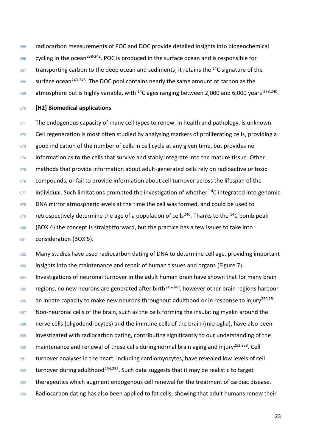<sup>665</sup> radiocarbon measurements of POC and DOC provide detailed insights into biogeochemical  $666$  cycling in the ocean<sup>238-242</sup>. POC is produced in the surface ocean and is responsible for  $667$  transporting carbon to the deep ocean and sediments; it retains the <sup>14</sup>C signature of the

 $668$  surface ocean<sup>243-245</sup>. The DOC pool contains nearly the same amount of carbon as the

 $669$  atmosphere but is highly variable, with <sup>14</sup>C ages ranging between 2,000 and 6,000 years <sup>238,240</sup>.

## <sup>670</sup> **[H2] Biomedical applications**

 $671$  The endogenous capacity of many cell types to renew, in health and pathology, is unknown. 672 Cell regeneration is most often studied by analysing markers of proliferating cells, providing a 673 good indication of the number of cells in cell cycle at any given time, but provides no  $674$  information as to the cells that survive and stably integrate into the mature tissue. Other 675 methods that provide information about adult-generated cells rely on radioactive or toxic 676 compounds, or fail to provide information about cell turnover across the lifespan of the  $677$  individual. Such limitations prompted the investigation of whether <sup>14</sup>C integrated into genomic 678 DNA mirror atmospheric levels at the time the cell was formed, and could be used to  $\frac{679}{100}$  retrospectively determine the age of a population of cells<sup>246</sup>. Thanks to the <sup>14</sup>C bomb peak <sup>680</sup> (BOX 4) the concept is straightforward, but the practice has a few issues to take into <sup>681</sup> consideration (BOX 5).

682 Many studies have used radiocarbon dating of DNA to determine cell age, providing important

<sup>683</sup> insights into the maintenance and repair of human tissues and organs (Figure 7).

684 Investigations of neuronal turnover in the adult human brain have shown that for many brain

 $685$  regions, no new neurons are generated after birth<sup>246-249</sup>, however other brain regions harbour

 $\frac{686}{100}$  an innate capacity to make new neurons throughout adulthood or in response to injury<sup>250,251</sup>.

687 Non-neuronal cells of the brain, such as the cells forming the insulating myelin around the

<sup>688</sup> nerve cells (oligodendrocytes) and the immune cells of the brain (microglia), have also been

<sup>689</sup> investigated with radiocarbon dating, contributing significantly to our understanding of the

 $690$  maintenance and renewal of these cells during normal brain aging and injury<sup>252,253</sup>. Cell

691 turnover analyses in the heart, including cardiomyocytes, have revealed low levels of cell

 $692$  turnover during adulthood<sup>254,255</sup>. Such data suggests that it may be realistic to target

693 therapeutics which augment endogenous cell renewal for the treatment of cardiac disease.

694 Radiocarbon dating has also been applied to fat cells, showing that adult humans renew their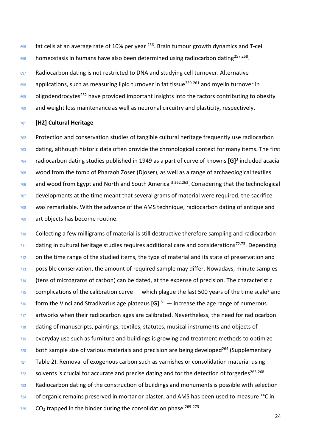fat cells at an average rate of 10% per year <sup>256</sup>. Brain tumour growth dynamics and T-cell  $\frac{696}{257}$  homeostasis in humans have also been determined using radiocarbon dating<sup>257,258</sup>.

697 Radiocarbon dating is not restricted to DNA and studying cell turnover. Alternative

applications, such as measuring lipid turnover in fat tissue<sup>259-261</sup> and myelin turnover in

oligodendrocytes<sup>252</sup> have provided important insights into the factors contributing to obesity

and weight loss maintenance as well as neuronal circuitry and plasticity, respectively.

#### **[H2] Cultural Heritage**

702 Protection and conservation studies of tangible cultural heritage frequently use radiocarbon 703 dating, although historic data often provide the chronological context for many items. The first radiocarbon dating studies published in 1949 as a part of curve of knowns **[G]**<sup>3</sup> included acacia wood from the tomb of Pharaoh Zoser (Djoser), as well as a range of archaeological textiles  $\frac{706}{100}$  and wood from Egypt and North and South America  $\frac{3,262,263}{100}$ . Considering that the technological developments at the time meant that several grams of material were required, the sacrifice was remarkable. With the advance of the AMS technique, radiocarbon dating of antique and art objects has become routine.

 Collecting a few milligrams of material is still destructive therefore sampling and radiocarbon dating in cultural heritage studies requires additional care and considerations<sup>72,73</sup>. Depending on the time range of the studied items, the type of material and its state of preservation and possible conservation, the amount of required sample may differ. Nowadays, minute samples (tens of micrograms of carbon) can be dated, at the expense of precision. The characteristic complications of the calibration curve  $-$  which plague the last 500 years of the time scale<sup>8</sup> and  $\frac{716}{10}$  form the Vinci and Stradivarius age plateaus **[G]**  $51$  — increase the age range of numerous 717 artworks when their radiocarbon ages are calibrated. Nevertheless, the need for radiocarbon dating of manuscripts, paintings, textiles, statutes, musical instruments and objects of everyday use such as furniture and buildings is growing and treatment methods to optimize both sample size of various materials and precision are being developed<sup>264</sup> (Supplementary Table 2). Removal of exogenous carbon such as varnishes or consolidation material using  $\frac{722}{2}$  solvents is crucial for accurate and precise dating and for the detection of forgeries<sup>265-268</sup>. Radiocarbon dating of the construction of buildings and monuments is possible with selection of organic remains preserved in mortar or plaster, and AMS has been used to measure  $^{14}C$  in CO<sub>2</sub> trapped in the binder during the consolidation phase  $269-273$ .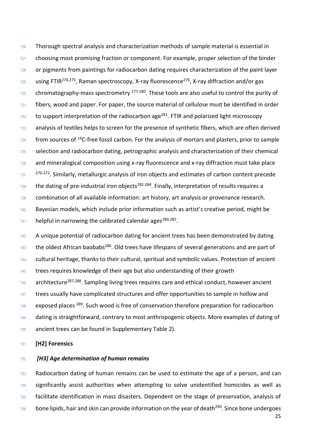Thorough spectral analysis and characterization methods of sample material is essential in choosing most promising fraction or component. For example, proper selection of the binder 728 or pigments from paintings for radiocarbon dating requires characterization of the paint layer  $\frac{729}{20}$  using FTIR<sup>274,275</sup>, Raman spectroscopy, X-ray fluorescence<sup>276</sup>, X-ray diffraction and/or gas  $\frac{730}{20}$  chromatography-mass spectrometry  $\frac{277-280}{27}$ . These tools are also useful to control the purity of fibers, wood and paper. For paper, the source material of cellulose must be identified in order to support interpretation of the radiocarbon age<sup>281</sup>. FTIR and polarized light microscopy analysis of textiles helps to screen for the presence of synthetic fibers, which are often derived  $\frac{734}{100}$  from sources of <sup>14</sup>C-free fossil carbon. For the analysis of mortars and plasters, prior to sample selection and radiocarbon dating, petrographic analysis and characterization of their chemical and mineralogical composition using x-ray fluorescence and x-ray diffraction must take place  $270-272$ . Similarly, metallurgic analysis of iron objects and estimates of carbon content precede the dating of pre-industrial iron objects<sup>282-284</sup>. Finally, interpretation of results requires a combination of all available information: art history, art analysis or provenance research. Bayesian models, which include prior information such as artist's creative period, might be  $\frac{741}{4}$  helpful in narrowing the calibrated calendar ages<sup>280,285</sup>.

742 A unique potential of radiocarbon dating for ancient trees has been demonstrated by dating the oldest African baobabs<sup>286</sup>. Old trees have lifespans of several generations and are part of cultural heritage, thanks to their cultural, spiritual and symbolic values. Protection of ancient trees requires knowledge of their age but also understanding of their growth architecture<sup>287,288</sup>. Sampling living trees requires care and ethical conduct, however ancient 747 trees usually have complicated structures and offer opportunities to sample in hollow and exposed places  $289$ . Such wood is free of conservation therefore preparation for radiocarbon dating is straightforward, contrary to most anthropogenic objects. More examples of dating of ancient trees can be found in Supplementary Table 2).

#### **[H2] Forensics**

## *[H3] Age determination of human remains*

 Radiocarbon dating of human remains can be used to estimate the age of a person, and can significantly assist authorities when attempting to solve unidentified homicides as well as facilitate identification in mass disasters. Dependent on the stage of preservation, analysis of bone lipids, hair and skin can provide information on the year of death<sup>290</sup>. Since bone undergoes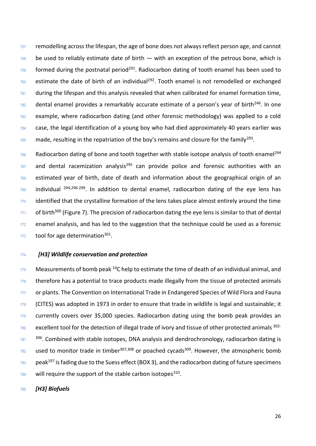757 remodelling across the lifespan, the age of bone does not always reflect person age, and cannot be used to reliably estimate date of birth  $-$  with an exception of the petrous bone, which is formed during the postnatal period<sup>291</sup>. Radiocarbon dating of tooth enamel has been used to estimate the date of birth of an individual<sup>292</sup>. Tooth enamel is not remodelled or exchanged 761 during the lifespan and this analysis revealed that when calibrated for enamel formation time, dental enamel provides a remarkably accurate estimate of a person's year of birth<sup>246</sup>. In one example, where radiocarbon dating (and other forensic methodology) was applied to a cold case, the legal identification of a young boy who had died approximately 40 years earlier was  $\frac{765}{165}$  made, resulting in the repatriation of the boy's remains and closure for the family<sup>293</sup>.

766 Radiocarbon dating of bone and tooth together with stable isotope analysis of tooth enamel<sup>294</sup> and dental racemization analysis<sup>295</sup> can provide police and forensic authorities with an estimated year of birth, date of death and information about the geographical origin of an individual  $294,296-299$ . In addition to dental enamel, radiocarbon dating of the eye lens has 770 identified that the crystalline formation of the lens takes place almost entirely around the time of birth<sup>300</sup> (Figure 7). The precision of radiocarbon dating the eye lens is similar to that of dental enamel analysis, and has led to the suggestion that the technique could be used as a forensic tool for age determination<sup>301</sup>.

*[H3] Wildlife conservation and protection*

 $\frac{775}{175}$  Measurements of bomb peak <sup>14</sup>C help to estimate the time of death of an individual animal, and 776 therefore has a potential to trace products made illegally from the tissue of protected animals 777 or plants. The Convention on International Trade in Endangered Species of Wild Flora and Fauna 778 (CITES) was adopted in 1973 in order to ensure that trade in wildlife is legal and sustainable; it currently covers over 35,000 species. Radiocarbon dating using the bomb peak provides an excellent tool for the detection of illegal trade of ivory and tissue of other protected animals 302-  $\frac{306}{781}$  . Combined with stable isotopes, DNA analysis and dendrochronology, radiocarbon dating is used to monitor trade in timber<sup>307,308</sup> or poached cycads<sup>309</sup>. However, the atmospheric bomb peak<sup>197</sup> is fading due to the Suess effect (BOX 3), and the radiocarbon dating of future specimens  $\frac{784}{8}$  will require the support of the stable carbon isotopes<sup>310</sup>.

*[H3] Biofuels*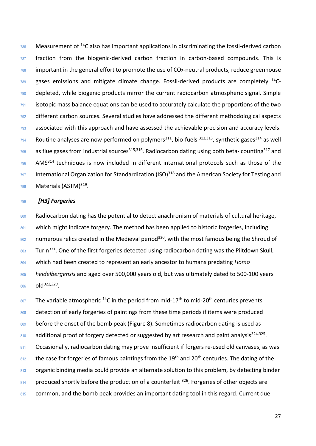$\frac{786}{286}$  Measurement of <sup>14</sup>C also has important applications in discriminating the fossil-derived carbon 787 fraction from the biogenic-derived carbon fraction in carbon-based compounds. This is  $788$  important in the general effort to promote the use of  $CO<sub>2</sub>$ -neutral products, reduce greenhouse  $789$  gases emissions and mitigate climate change. Fossil-derived products are completely  $^{14}$ C-<sup>790</sup> depleted, while biogenic products mirror the current radiocarbon atmospheric signal. Simple  $791$  isotopic mass balance equations can be used to accurately calculate the proportions of the two <sup>792</sup> different carbon sources. Several studies have addressed the different methodological aspects 793 associated with this approach and have assessed the achievable precision and accuracy levels.  $\frac{794}{294}$  Routine analyses are now performed on polymers<sup>311</sup>, bio-fuels  $\frac{312,313}{27}$ , synthetic gases<sup>314</sup> as well  $_{795}$  as flue gases from industrial sources<sup>315,316</sup>. Radiocarbon dating using both beta- counting<sup>317</sup> and  $796$  AMS<sup>314</sup> techniques is now included in different international protocols such as those of the  $\frac{797}{297}$  International Organization for Standardization (ISO)<sup>318</sup> and the American Society for Testing and 798 Materials (ASTM)<sup>319</sup>.

## <sup>799</sup> *[H3] Forgeries*

800 Radiocarbon dating has the potential to detect anachronism of materials of cultural heritage, 801 which might indicate forgery. The method has been applied to historic forgeries, including  $802$  numerous relics created in the Medieval period<sup>320</sup>, with the most famous being the Shroud of 803 Turin<sup>321</sup>. One of the first forgeries detected using radiocarbon dating was the Piltdown Skull, <sup>804</sup> which had been created to represent an early ancestor to humans predating *Homo*  <sup>805</sup> *heidelbergensis* and aged over 500,000 years old, but was ultimately dated to 500-100 years 806 **old**<sup>322,323</sup>.

 $807$  The variable atmospheric <sup>14</sup>C in the period from mid-17<sup>th</sup> to mid-20<sup>th</sup> centuries prevents 808 detection of early forgeries of paintings from these time periods if items were produced 809 before the onset of the bomb peak (Figure 8). Sometimes radiocarbon dating is used as  $810$  additional proof of forgery detected or suggested by art research and paint analysis<sup>324,325</sup>. 811 Occasionally, radiocarbon dating may prove insufficient if forgers re-used old canvases, as was  $812$  the case for forgeries of famous paintings from the 19<sup>th</sup> and 20<sup>th</sup> centuries. The dating of the 813 organic binding media could provide an alternate solution to this problem, by detecting binder  $814$  produced shortly before the production of a counterfeit  $326$ . Forgeries of other objects are 815 common, and the bomb peak provides an important dating tool in this regard. Current due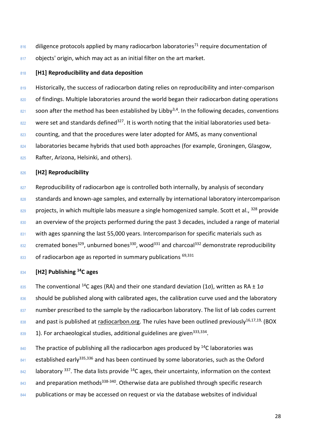$816$  diligence protocols applied by many radiocarbon laboratories<sup>71</sup> require documentation of 817 objects' origin, which may act as an initial filter on the art market.

## <sup>818</sup> **[H1] Reproducibility and data deposition**

819 Historically, the success of radiocarbon dating relies on reproducibility and inter-comparison 820 of findings. Multiple laboratories around the world began their radiocarbon dating operations  $\frac{821}{2}$  soon after the method has been established by Libby<sup>3,4</sup>. In the following decades, conventions  $822$  were set and standards defined<sup>327</sup>. It is worth noting that the initial laboratories used beta-823 counting, and that the procedures were later adopted for AMS, as many conventional 824 laboratories became hybrids that used both approaches (for example, Groningen, Glasgow, 825 Rafter, Arizona, Helsinki, and others).

### <sup>826</sup> **[H2] Reproducibility**

- 827 Reproducibility of radiocarbon age is controlled both internally, by analysis of secondary
- 828 standards and known-age samples, and externally by international laboratory intercomparison
- $829$  projects, in which multiple labs measure a single homogenized sample. Scott et al.,  $328$  provide
- 830 an overview of the projects performed during the past 3 decades, included a range of material
- 831 with ages spanning the last 55,000 years. Intercomparison for specific materials such as
- $_{832}$  cremated bones<sup>329</sup>, unburned bones<sup>330</sup>, wood<sup>331</sup> and charcoal<sup>332</sup> demonstrate reproducibility
- $833$  of radiocarbon age as reported in summary publications  $69,331$

# **[H2] Publishing <sup>14</sup>** <sup>834</sup> **C ages**

- 835 The conventional <sup>14</sup>C ages (RA) and their one standard deviation (1σ), written as RA  $± 1\sigma$
- 836 should be published along with calibrated ages, the calibration curve used and the laboratory
- 837 number prescribed to the sample by the radiocarbon laboratory. The list of lab codes current
- 838 and past is published at [radiocarbon.org.](https://radiocarbon.webhost.uits.arizona.edu/node/11) The rules have been outlined previously<sup>16,17,19,</sup> (BOX
- $1.839$  1). For archaeological studies, additional guidelines are given<sup>333,334</sup>.
- $840$  The practice of publishing all the radiocarbon ages produced by  $14$ C laboratories was
- $841$  established early<sup>335,336</sup> and has been continued by some laboratories, such as the Oxford
- $\frac{842}{4}$  laboratory <sup>337</sup>. The data lists provide <sup>14</sup>C ages, their uncertainty, information on the context
- 843 and preparation methods<sup>338-340</sup>. Otherwise data are published through specific research
- 844 publications or may be accessed on request or via the database websites of individual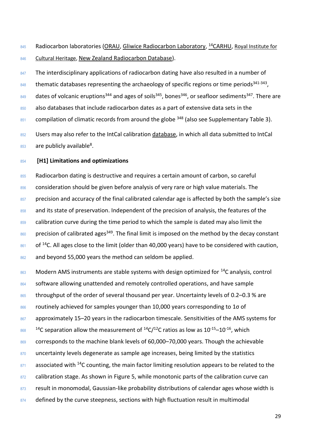845 Radiocarbon laboratories [\(ORAU,](https://c14.arch.ox.ac.uk/databases.html) [Gliwice Radiocarbon Laboratory,](http://www.carbon14.pl/IB_Grdb/index.html) <sup>14</sup>[CARHU,](https://www.oasisnorth.org/carhu.html) Royal Institute for 846 [Cultural Heritage,](http://c14.kikirpa.be/search.php) [New Zealand Radiocarbon Database\)](https://www.waikato.ac.nz/nzcd/).

847 The interdisciplinary applications of radiocarbon dating have also resulted in a number of  $1848$  thematic databases representing the archaeology of specific regions or time periods<sup>341-343</sup>,  $_{849}$  dates of volcanic eruptions<sup>344</sup> and ages of soils<sup>345</sup>, bones<sup>346</sup>, or seafloor sediments<sup>347</sup>. There are 850 also databases that include radiocarbon dates as a part of extensive data sets in the  $851$  compilation of climatic records from around the globe  $348$  (also see Supplementary Table 3). 852 Users may also refer to the IntCal calibration [database,](http://intcal.org/) in which all data submitted to IntCal

 $_{853}$  are publicly available<sup>8</sup>.

## <sup>854</sup> **[H1] Limitations and optimizations**

<sup>855</sup> Radiocarbon dating is destructive and requires a certain amount of carbon, so careful 856 consideration should be given before analysis of very rare or high value materials. The 857 precision and accuracy of the final calibrated calendar age is affected by both the sample's size 858 and its state of preservation. Independent of the precision of analysis, the features of the 859 calibration curve during the time period to which the sample is dated may also limit the  $\frac{860}{200}$  precision of calibrated ages<sup>349</sup>. The final limit is imposed on the method by the decay constant  $861$  of <sup>14</sup>C. All ages close to the limit (older than 40,000 years) have to be considered with caution, 862 and beyond 55,000 years the method can seldom be applied.

 $863$  Modern AMS instruments are stable systems with design optimized for <sup>14</sup>C analysis, control 864 software allowing unattended and remotely controlled operations, and have sample 865 throughput of the order of several thousand per year. Uncertainty levels of 0.2–0.3 % are 866 routinely achieved for samples younger than 10,000 years corresponding to 10 of 867 approximately 15–20 years in the radiocarbon timescale. Sensitivities of the AMS systems for  $14^{\circ}$   $^{14}$ C separation allow the measurement of  $^{14}$ C/ $^{12}$ C ratios as low as 10<sup>-15</sup>–10<sup>-16</sup>, which 869 corresponds to the machine blank levels of 60,000-70,000 years. Though the achievable 870 uncertainty levels degenerate as sample age increases, being limited by the statistics  $871$  associated with <sup>14</sup>C counting, the main factor limiting resolution appears to be related to the 872 calibration stage. As shown in Figure 5, while monotonic parts of the calibration curve can 873 result in monomodal, Gaussian-like probability distributions of calendar ages whose width is 874 defined by the curve steepness, sections with high fluctuation result in multimodal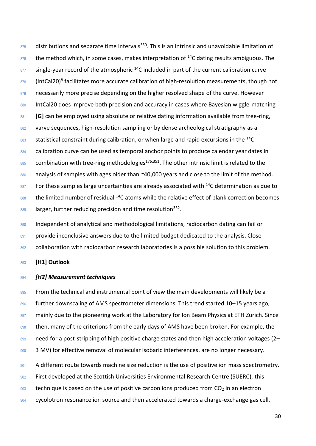$875$  distributions and separate time intervals<sup>350</sup>. This is an intrinsic and unavoidable limitation of  $876$  the method which, in some cases, makes interpretation of <sup>14</sup>C dating results ambiguous. The  $877$  single-year record of the atmospheric  $14$ C included in part of the current calibration curve  $\frac{878}{1000}$  (IntCal20)<sup>8</sup> facilitates more accurate calibration of high-resolution measurements, though not 879 necessarily more precise depending on the higher resolved shape of the curve. However 880 IntCal20 does improve both precision and accuracy in cases where Bayesian wiggle-matching 881 **[G]** can be employed using absolute or relative dating information available from tree-ring, 882 varve sequences, high-resolution sampling or by dense archeological stratigraphy as a  $883$  statistical constraint during calibration, or when large and rapid excursions in the <sup>14</sup>C 884 calibration curve can be used as temporal anchor points to produce calendar year dates in  $885$  combination with tree-ring methodologies<sup>176,351</sup>. The other intrinsic limit is related to the 886 analysis of samples with ages older than ~40,000 years and close to the limit of the method.  $887$  For these samples large uncertainties are already associated with <sup>14</sup>C determination as due to  $888$  the limited number of residual <sup>14</sup>C atoms while the relative effect of blank correction becomes  $\frac{889}{889}$  larger, further reducing precision and time resolution<sup>352</sup>.

890 Independent of analytical and methodological limitations, radiocarbon dating can fail or 891 provide inconclusive answers due to the limited budget dedicated to the analysis. Close 892 collaboration with radiocarbon research laboratories is a possible solution to this problem.

<sup>893</sup> **[H1] Outlook**

## <sup>894</sup> *[H2] Measurement techniques*

895 From the technical and instrumental point of view the main developments will likely be a 896 further downscaling of AMS spectrometer dimensions. This trend started 10–15 years ago, 897 mainly due to the pioneering work at the Laboratory for Ion Beam Physics at ETH Zurich. Since 898 then, many of the criterions from the early days of AMS have been broken. For example, the 899 need for a post-stripping of high positive charge states and then high acceleration voltages (2-900 3 MV) for effective removal of molecular isobaric interferences, are no longer necessary. 901 A different route towards machine size reduction is the use of positive ion mass spectrometry. <sup>902</sup> First developed at the Scottish Universities Environmental Research Centre (SUERC), this  $903$  technique is based on the use of positive carbon ions produced from CO<sub>2</sub> in an electron

<sup>904</sup> cycolotron resonance ion source and then accelerated towards a charge-exchange gas cell.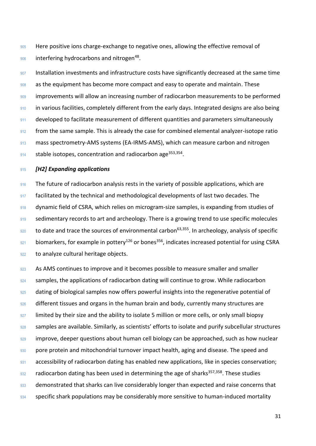905 Here positive ions charge-exchange to negative ones, allowing the effective removal of  $906$  interfering hydrocarbons and nitrogen<sup>48</sup>.

907 Installation investments and infrastructure costs have significantly decreased at the same time <sup>908</sup> as the equipment has become more compact and easy to operate and maintain. These 909 improvements will allow an increasing number of radiocarbon measurements to be performed 910 in various facilities, completely different from the early days. Integrated designs are also being 911 developed to facilitate measurement of different quantities and parameters simultaneously 912 from the same sample. This is already the case for combined elemental analyzer-isotope ratio 913 mass spectrometry-AMS systems (EA-IRMS-AMS), which can measure carbon and nitrogen 914 stable isotopes, concentration and radiocarbon age<sup>353,354</sup>.

#### <sup>915</sup> *[H2] Expanding applications*

916 The future of radiocarbon analysis rests in the variety of possible applications, which are 917 facilitated by the technical and methodological developments of last two decades. The 918 dynamic field of CSRA, which relies on microgram-size samples, is expanding from studies of 919 sedimentary records to art and archeology. There is a growing trend to use specific molecules  $\frac{920}{20}$  to date and trace the sources of environmental carbon<sup>63,355</sup>. In archeology, analysis of specific  $921$  biomarkers, for example in pottery<sup>126</sup> or bones<sup>356</sup>, indicates increased potential for using CSRA 922 to analyze cultural heritage objects.

923 As AMS continues to improve and it becomes possible to measure smaller and smaller 924 samples, the applications of radiocarbon dating will continue to grow. While radiocarbon 925 dating of biological samples now offers powerful insights into the regenerative potential of 926 different tissues and organs in the human brain and body, currently many structures are 927 limited by their size and the ability to isolate 5 million or more cells, or only small biopsy 928 samples are available. Similarly, as scientists' efforts to isolate and purify subcellular structures 929 improve, deeper questions about human cell biology can be approached, such as how nuclear 930 pore protein and mitochondrial turnover impact health, aging and disease. The speed and 931 accessibility of radiocarbon dating has enabled new applications, like in species conservation;  $932$  radiocarbon dating has been used in determining the age of sharks<sup>357,358</sup>. These studies 933 demonstrated that sharks can live considerably longer than expected and raise concerns that 934 specific shark populations may be considerably more sensitive to human-induced mortality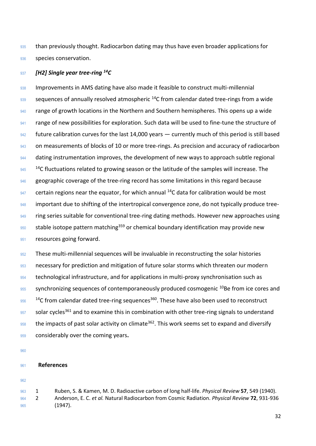<sup>935</sup> than previously thought. Radiocarbon dating may thus have even broader applications for 936 species conservation.

## *937 [H2] Single year tree-ring <sup>14</sup>C*

938 Improvements in AMS dating have also made it feasible to construct multi-millennial 939 sequences of annually resolved atmospheric <sup>14</sup>C from calendar dated tree-rings from a wide 940 range of growth locations in the Northern and Southern hemispheres. This opens up a wide 941 range of new possibilities for exploration. Such data will be used to fine-tune the structure of 942 future calibration curves for the last 14,000 years — currently much of this period is still based 943 on measurements of blocks of 10 or more tree-rings. As precision and accuracy of radiocarbon 944 dating instrumentation improves, the development of new ways to approach subtle regional  $14^{\circ}$   $14^{\circ}$ C fluctuations related to growing season or the latitude of the samples will increase. The 946 geographic coverage of the tree-ring record has some limitations in this regard because  $947$  certain regions near the equator, for which annual <sup>14</sup>C data for calibration would be most 948 important due to shifting of the intertropical convergence zone, do not typically produce tree-949 ring series suitable for conventional tree-ring dating methods. However new approaches using  $\frac{950}{20}$  stable isotope pattern matching<sup>359</sup> or chemical boundary identification may provide new 951 resources going forward.

952 These multi-millennial sequences will be invaluable in reconstructing the solar histories 953 necessary for prediction and mitigation of future solar storms which threaten our modern 954 technological infrastructure, and for applications in multi-proxy synchronisation such as  $955$  synchronizing sequences of contemporaneously produced cosmogenic  $10$ Be from ice cores and  $14^{\circ}$ C from calendar dated tree-ring sequences<sup>360</sup>. These have also been used to reconstruct  $957$  solar cycles<sup>361</sup> and to examine this in combination with other tree-ring signals to understand  $958$  the impacts of past solar activity on climate<sup>362</sup>. This work seems set to expand and diversify <sup>959</sup> considerably over the coming years**.**

960

## <sup>961</sup> **References**

<sup>963</sup> 1 Ruben, S. & Kamen, M. D. Radioactive carbon of long half-life. *Physical Review* **57**, 549 (1940). <sup>964</sup> 2 Anderson, E. C. *et al.* Natural Radiocarbon from Cosmic Radiation. *Physical Review* **72**, 931-936 <sup>965</sup> (1947).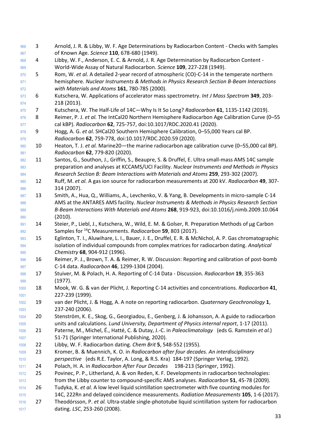3 Arnold, J. R. & Libby, W. F. Age Determinations by Radiocarbon Content - Checks with Samples of Known Age. *Science* **110**, 678-680 (1949). 4 Libby, W. F., Anderson, E. C. & Arnold, J. R. Age Determination by Radiocarbon Content - World-Wide Assay of Natural Radiocarbon. *Science* **109**, 227-228 (1949). 5 Rom, W. *et al.* A detailed 2-year record of atmospheric (CO)-C-14 in the temperate northern hemisphere. *Nuclear Instruments & Methods in Physics Research Section B-Beam Interactions with Materials and Atoms* **161**, 780-785 (2000). 6 Kutschera, W. Applications of accelerator mass spectrometry. *Int J Mass Spectrom* **349**, 203- 218 (2013). 7 Kutschera, W. The Half-Life of 14C—Why Is It So Long? *Radiocarbon* **61**, 1135-1142 (2019). 8 Reimer, P. J. *et al.* The IntCal20 Northern Hemisphere Radiocarbon Age Calibration Curve (0–55 cal kBP). *Radiocarbon* **62**, 725-757, doi:10.1017/RDC.2020.41 (2020). 978 9 Hogg, A. G. *et al.* SHCal20 Southern Hemisphere Calibration, 0–55,000 Years cal BP. *Radiocarbon* **62**, 759-778, doi:10.1017/RDC.2020.59 (2020). 10 Heaton, T. J. *et al.* Marine20—the marine radiocarbon age calibration curve (0–55,000 cal BP). *Radiocarbon* **62**, 779-820 (2020). 11 Santos, G., Southon, J., Griffin, S., Beaupre, S. & Druffel, E. Ultra small-mass AMS 14C sample preparation and analyses at KCCAMS/UCI Facility. *Nuclear Instruments and Methods in Physics Research Section B: Beam Interactions with Materials and Atoms* **259**, 293-302 (2007). 12 Ruff, M. *et al.* A gas ion source for radiocarbon measurements at 200 kV. *Radiocarbon* **49**, 307- 314 (2007). 987 13 Smith, A., Hua, Q., Williams, A., Levchenko, V. & Yang, B. Developments in micro-sample C-14 AMS at the ANTARES AMS facility. *Nuclear Instruments & Methods in Physics Research Section B-Beam Interactions With Materials and Atoms* **268**, 919-923, doi:10.1016/j.nimb.2009.10.064 (2010). 14 Steier, P., Liebl, J., Kutschera, W., Wild, E. M. & Golser, R. Preparation Methods of µg Carbon 992 Samples for <sup>14</sup>C Measurements. *Radiocarbon* **59**, 803 (2017). 15 Eglinton, T. I., Aluwihare, L. I., Bauer, J. E., Druffel, E. R. & McNichol, A. P. Gas chromatographic isolation of individual compounds from complex matrices for radiocarbon dating. *Analytical Chemistry* **68**, 904-912 (1996). 16 Reimer, P. J., Brown, T. A. & Reimer, R. W. Discussion: Reporting and calibration of post-bomb C-14 data. *Radiocarbon* **46**, 1299-1304 (2004). 17 Stuiver, M. & Polach, H. A. Reporting of C-14 Data - Discussion. *Radiocarbon* **19**, 355-363 (1977). 18 Mook, W. G. & van der Plicht, J. Reporting C-14 activities and concentrations. *Radiocarbon* **41**, 227-239 (1999). 19 van der Plicht, J. & Hogg, A. A note on reporting radiocarbon. *Quaternary Geochronology* **1**, 237-240 (2006). 20 Stenström, K. E., Skog, G., Georgiadou, E., Genberg, J. & Johansson, A. A guide to radiocarbon units and calculations. *Lund University, Department of Physics internal report*, 1-17 (2011). 21 Paterne, M., Michel, É., Hatté, C. & Dutay, J.-C. in *Paleoclimatology* (eds G. Ramstein *et al.*) 51-71 (Springer International Publishing, 2020). 22 Libby, W. F. Radiocarbon dating. *Chem Brit* **5**, 548-552 (1955). 23 Kromer, B. & Muennich, K. O. in *Radiocarbon after four decades. An interdisciplinary perspective* (eds R.E. Taylor, A. Long, & R.S. Kra) 184-197 (Springer Verlag, 1992). 24 Polach, H. A. in *Radiocarbon After Four Decades* 198-213 (Springer, 1992). 25 Povinec, P. P., Litherland, A. & von Reden, K. F. Developments in radiocarbon technologies: from the Libby counter to compound-specific AMS analyses. *Radiocarbon* **51**, 45-78 (2009). 26 Tudyka, K. *et al.* A low level liquid scintillation spectrometer with five counting modules for 14C, 222Rn and delayed coincidence measurements. *Radiation Measurements* **105**, 1-6 (2017). 27 Theodórsson, P. *et al.* Ultra-stable single-phototube liquid scintillation system for radiocarbon dating. *LSC*, 253-260 (2008).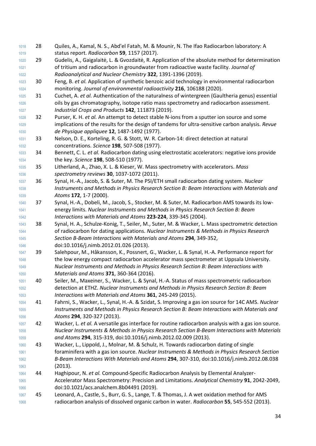- 28 Quiles, A., Kamal, N. S., Abd'el Fatah, M. & Mounir, N. The Ifao Radiocarbon laboratory: A status report. *Radiocarbon* **59**, 1157 (2017).
- 29 Gudelis, A., Gaigalaitė, L. & Gvozdaitė, R. Application of the absolute method for determination of tritium and radiocarbon in groundwater from radioactive waste facility. *Journal of Radioanalytical and Nuclear Chemistry* **322**, 1391-1396 (2019).
- 30 Feng, B. *et al.* Application of synthetic benzoic acid technology in environmental radiocarbon monitoring. *Journal of environmental radioactivity* **216**, 106188 (2020).
- 31 Cuchet, A. *et al.* Authentication of the naturalness of wintergreen (Gaultheria genus) essential oils by gas chromatography, isotope ratio mass spectrometry and radiocarbon assessment. *Industrial Crops and Products* **142**, 111873 (2019).
- 32 Purser, K. H. *et al.* An attempt to detect stable N-ions from a sputter ion source and some implications of the results for the design of tandems for ultra-sensitive carbon analysis. *Revue de Physique appliquee* **12**, 1487-1492 (1977).
- 33 Nelson, D. E., Korteling, R. G. & Stott, W. R. Carbon-14: direct detection at natural concentrations. *Science* **198**, 507-508 (1977).
- 34 Bennett, C. L. *et al.* Radiocarbon dating using electrostatic accelerators: negative ions provide the key. *Science* **198**, 508-510 (1977).
- 35 Litherland, A., Zhao, X. L. & Kieser, W. Mass spectrometry with accelerators. *Mass spectrometry reviews* **30**, 1037-1072 (2011).
- 36 Synal, H.-A., Jacob, S. & Suter, M. The PSI/ETH small radiocarbon dating system. *Nuclear Instruments and Methods in Physics Research Section B: Beam Interactions with Materials and Atoms* **172**, 1-7 (2000).
- 37 Synal, H.-A., Dobeli, M., Jacob, S., Stocker, M. & Suter, M. Radiocarbon AMS towards its low- energy limits. *Nuclear Instruments and Methods in Physics Research Section B: Beam Interactions with Materials and Atoms* **223-224**, 339-345 (2004).
- 38 Synal, H. A., Schulze-Konig, T., Seiler, M., Suter, M. & Wacker, L. Mass spectrometric detection of radiocarbon for dating applications. *Nuclear Instruments & Methods in Physics Research Section B-Beam Interactions with Materials and Atoms* **294**, 349-352, doi:10.1016/j.nimb.2012.01.026 (2013).
- 39 Salehpour, M., Håkansson, K., Possnert, G., Wacker, L. & Synal, H.-A. Performance report for the low energy compact radiocarbon accelerator mass spectrometer at Uppsala University. *Nuclear Instruments and Methods in Physics Research Section B: Beam Interactions with Materials and Atoms* **371**, 360-364 (2016).
- 40 Seiler, M., Maxeiner, S., Wacker, L. & Synal, H.-A. Status of mass spectrometric radiocarbon detection at ETHZ. *Nuclear Instruments and Methods in Physics Research Section B: Beam Interactions with Materials and Atoms* **361**, 245-249 (2015).
- 41 Fahrni, S., Wacker, L., Synal, H.-A. & Szidat, S. Improving a gas ion source for 14C AMS. *Nuclear Instruments and Methods in Physics Research Section B: Beam Interactions with Materials and Atoms* **294**, 320-327 (2013).
- 42 Wacker, L. *et al.* A versatile gas interface for routine radiocarbon analysis with a gas ion source. *Nuclear Instruments & Methods in Physics Research Section B-Beam Interactions with Materials and Atoms* **294**, 315-319, doi:10.1016/j.nimb.2012.02.009 (2013).
- 43 Wacker, L., Lippold, J., Molnar, M. & Schulz, H. Towards radiocarbon dating of single foraminifera with a gas ion source. *Nuclear Instruments & Methods in Physics Research Section B-Beam Interactions With Materials and Atoms* **294**, 307-310, doi:10.1016/j.nimb.2012.08.038 (2013).
- 44 Haghipour, N. *et al.* Compound-Specific Radiocarbon Analysis by Elemental Analyzer- Accelerator Mass Spectrometry: Precision and Limitations. *Analytical Chemistry* **91**, 2042-2049, doi:10.1021/acs.analchem.8b04491 (2019).
- 45 Leonard, A., Castle, S., Burr, G. S., Lange, T. & Thomas, J. A wet oxidation method for AMS radiocarbon analysis of dissolved organic carbon in water. *Radiocarbon* **55**, 545-552 (2013).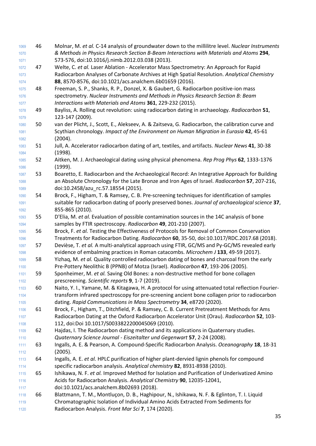| 1119         |    | Chromatographic Isolation of Individual Amino Acids Extracted From Sediments for                                                                                                            |
|--------------|----|---------------------------------------------------------------------------------------------------------------------------------------------------------------------------------------------|
| 1118         | 66 | Blattmann, T. M., Montluçon, D. B., Haghipour, N., Ishikawa, N. F. & Eglinton, T. I. Liquid                                                                                                 |
| 1117         |    | doi:10.1021/acs.analchem.8b02693 (2018).                                                                                                                                                    |
| 1116         |    | Acids for Radiocarbon Analysis. Analytical Chemistry 90, 12035-12041,                                                                                                                       |
| 1115         | 65 | Ishikawa, N. F. et al. Improved Method for Isolation and Purification of Underivatized Amino                                                                                                |
| 1114         |    | specific radiocarbon analysis. Analytical chemistry 82, 8931-8938 (2010).                                                                                                                   |
| 1113         | 64 | Ingalls, A. E. et al. HPLC purification of higher plant-dervied lignin phenols for compound                                                                                                 |
| 1112         |    | (2005).                                                                                                                                                                                     |
| 1111         | 63 | Ingalls, A. E. & Pearson, A. Compound-Specific Radiocarbon Analysis. Oceanography 18, 18-31                                                                                                 |
| 1110         |    | Quaternary Science Journal - Eiszeitalter und Gegenwart 57, 2-24 (2008).                                                                                                                    |
| 1109         | 62 | Hajdas, I. The Radiocarbon dating method and its applications in Quaternary studies.                                                                                                        |
| 1108         |    | 112, doi:Doi 10.1017/S0033822200045069 (2010).                                                                                                                                              |
| 1107         |    | Radiocarbon Dating at the Oxford Radiocarbon Accelerator Unit (Orau). Radiocarbon 52, 103-                                                                                                  |
| 1106         | 61 | Brock, F., Higham, T., Ditchfield, P. & Ramsey, C. B. Current Pretreatment Methods for Ams                                                                                                  |
| 1105         |    | dating. Rapid Communications in Mass Spectrometry 34, e8720 (2020).                                                                                                                         |
| 1104         |    | transform infrared spectroscopy for pre-screening ancient bone collagen prior to radiocarbon                                                                                                |
| 1103         | 60 | Naito, Y. I., Yamane, M. & Kitagawa, H. A protocol for using attenuated total reflection Fourier-                                                                                           |
| 1102         |    | prescreening. Scientific reports 9, 1-7 (2019).                                                                                                                                             |
| 1101         | 59 | Sponheimer, M. et al. Saving Old Bones: a non-destructive method for bone collagen                                                                                                          |
| 1100         |    | Pre-Pottery Neolithic B (PPNB) of Motza (Israel). Radiocarbon 47, 193-206 (2005).                                                                                                           |
| 1099         | 58 | Yizhaq, M. et al. Quality controlled radiocarbon dating of bones and charcoal from the early                                                                                                |
| 1098         |    | evidence of embalming practices in Roman catacombs. Microchem J 133, 49-59 (2017).                                                                                                          |
| 1097         | 57 | Devièse, T. et al. A multi-analytical approach using FTIR, GC/MS and Py-GC/MS revealed early                                                                                                |
| 1096         |    | Treatments for Radiocarbon Dating. Radiocarbon 60, 35-50, doi:10.1017/RDC.2017.68 (2018).                                                                                                   |
| 1095         | 56 | Brock, F. et al. Testing the Effectiveness of Protocols for Removal of Common Conservation                                                                                                  |
| 1094         |    | samples by FTIR spectroscopy. Radiocarbon 49, 201-210 (2007).                                                                                                                               |
| 1093         | 55 | D'Elia, M. et al. Evaluation of possible contamination sources in the 14C analysis of bone                                                                                                  |
| 1092         |    | 855-865 (2010).                                                                                                                                                                             |
| 1091         |    | suitable for radiocarbon dating of poorly preserved bones. Journal of archaeological science 37,                                                                                            |
| 1090         | 54 | Brock, F., Higham, T. & Ramsey, C. B. Pre-screening techniques for identification of samples                                                                                                |
| 1089         |    | doi:10.2458/azu rc.57.18554 (2015).                                                                                                                                                         |
| 1088         |    | an Absolute Chronology for the Late Bronze and Iron Ages of Israel. Radiocarbon 57, 207-216,                                                                                                |
| 1087         | 53 | Boaretto, E. Radiocarbon and the Archaeological Record: An Integrative Approach for Building                                                                                                |
| 1086         |    | (1999).                                                                                                                                                                                     |
| 1085         | 52 | Aitken, M. J. Archaeological dating using physical phenomena. Rep Prog Phys 62, 1333-1376                                                                                                   |
| 1084         |    | (1998).                                                                                                                                                                                     |
| 1083         | 51 | Jull, A. Accelerator radiocarbon dating of art, textiles, and artifacts. Nuclear News 41, 30-38                                                                                             |
| 1082         |    | (2004).                                                                                                                                                                                     |
| 1081         |    | Scythian chronology. Impact of the Environment on Human Migration in Eurasia 42, 45-61                                                                                                      |
| 1080         | 50 | van der Plicht, J., Scott, E., Alekseev, A. & Zaitseva, G. Radiocarbon, the calibration curve and                                                                                           |
| 1079         |    | 123-147 (2009).                                                                                                                                                                             |
| 1078         | 49 | Bayliss, A. Rolling out revolution: using radiocarbon dating in archaeology. Radiocarbon 51,                                                                                                |
| 1077         |    | Interactions with Materials and Atoms 361, 229-232 (2015).                                                                                                                                  |
| 1076         |    | spectrometry. Nuclear Instruments and Methods in Physics Research Section B: Beam                                                                                                           |
| 1075         | 48 | Freeman, S. P., Shanks, R. P., Donzel, X. & Gaubert, G. Radiocarbon positive-ion mass                                                                                                       |
| 1074         |    | 88, 8570-8576, doi:10.1021/acs.analchem.6b01659 (2016).                                                                                                                                     |
| 1073         |    | Radiocarbon Analyses of Carbonate Archives at High Spatial Resolution. Analytical Chemistry                                                                                                 |
| 1071<br>1072 | 47 | Welte, C. et al. Laser Ablation - Accelerator Mass Spectrometry: An Approach for Rapid                                                                                                      |
| 1070         |    | 573-576, doi:10.1016/j.nimb.2012.03.038 (2013).                                                                                                                                             |
| 1069         | 46 | Molnar, M. et al. C-14 analysis of groundwater down to the millilitre level. Nuclear Instruments<br>& Methods in Physics Research Section B-Beam Interactions with Materials and Atoms 294, |
|              |    |                                                                                                                                                                                             |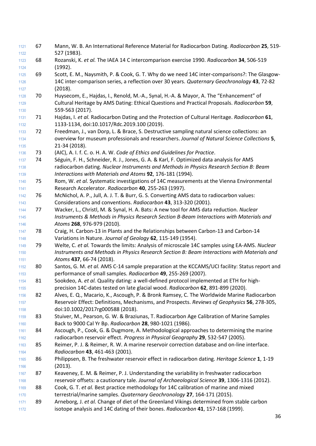| 1121         | 67 | Mann, W. B. An International Reference Material for Radiocarbon Dating. Radiocarbon 25, 519-                                                                    |
|--------------|----|-----------------------------------------------------------------------------------------------------------------------------------------------------------------|
| 1122         |    | 527 (1983).                                                                                                                                                     |
| 1123<br>1124 | 68 | Rozanski, K. et al. The IAEA 14 C intercomparison exercise 1990. Radiocarbon 34, 506-519<br>(1992).                                                             |
| 1125         | 69 | Scott, E. M., Naysmith, P. & Cook, G. T. Why do we need 14C inter-comparisons?: The Glasgow-                                                                    |
| 1126         |    | 14C inter-comparison series, a reflection over 30 years. Quaternary Geochronology 43, 72-82                                                                     |
| 1127         |    | (2018).                                                                                                                                                         |
| 1128         | 70 | Huysecom, E., Hajdas, I., Renold, M.-A., Synal, H.-A. & Mayor, A. The "Enhancement" of                                                                          |
| 1129         |    | Cultural Heritage by AMS Dating: Ethical Questions and Practical Proposals. Radiocarbon 59,                                                                     |
| 1130         |    | 559-563 (2017).                                                                                                                                                 |
| 1131         | 71 | Hajdas, I. et al. Radiocarbon Dating and the Protection of Cultural Heritage. Radiocarbon 61,                                                                   |
| 1132         |    | 1133-1134, doi:10.1017/Rdc.2019.100 (2019).                                                                                                                     |
| 1133         | 72 | Freedman, J., van Dorp, L. & Brace, S. Destructive sampling natural science collections: an                                                                     |
| 1134         |    | overview for museum professionals and researchers. Journal of Natural Science Collections 5,                                                                    |
| 1135         |    | 21-34 (2018).                                                                                                                                                   |
| 1136         | 73 | (AIC), A. I. f. C. o. H. A. W. Code of Ethics and Guidelines for Practice.                                                                                      |
| 1137         | 74 | Séguin, F. H., Schneider, R. J., Jones, G. A. & Karl, F. Optimized data analysis for AMS                                                                        |
| 1138         |    | radiocarbon dating. Nuclear Instruments and Methods in Physics Research Section B: Beam                                                                         |
| 1139         |    | Interactions with Materials and Atoms 92, 176-181 (1994).                                                                                                       |
| 1140         | 75 | Rom, W. et al. Systematic investigations of 14C measurements at the Vienna Environmental                                                                        |
| 1141         |    | Research Accelerator. Radiocarbon 40, 255-263 (1997).                                                                                                           |
| 1142         | 76 | McNichol, A. P., Jull, A. J. T. & Burr, G. S. Converting AMS data to radiocarbon values:                                                                        |
| 1143         |    | Considerations and conventions. Radiocarbon 43, 313-320 (2001).                                                                                                 |
| 1144         | 77 | Wacker, L., Christl, M. & Synal, H. A. Bats: A new tool for AMS data reduction. Nuclear                                                                         |
| 1145         |    | Instruments & Methods in Physics Research Section B-Beam Interactions with Materials and                                                                        |
| 1146         |    | Atoms 268, 976-979 (2010).                                                                                                                                      |
| 1147         | 78 | Craig, H. Carbon-13 in Plants and the Relationships between Carbon-13 and Carbon-14                                                                             |
| 1148         |    | Variations in Nature. Journal of Geology 62, 115-149 (1954).                                                                                                    |
| 1149         | 79 | Welte, C. et al. Towards the limits: Analysis of microscale 14C samples using EA-AMS. Nuclear                                                                   |
| 1150         |    | Instruments and Methods in Physics Research Section B: Beam Interactions with Materials and                                                                     |
| 1151         |    | Atoms 437, 66-74 (2018).                                                                                                                                        |
| 1152<br>1153 | 80 | Santos, G. M. et al. AMS C-14 sample preparation at the KCCAMS/UCI facility: Status report and<br>performance of small samples. Radiocarbon 49, 255-269 (2007). |
| 1154         | 81 | Sookdeo, A. et al. Quality dating: a well-defined protocol implemented at ETH for high-                                                                         |
| 1155         |    | precision 14C-dates tested on late glacial wood. Radiocarbon 62, 891-899 (2020).                                                                                |
| 1156         | 82 | Alves, E. Q., Macario, K., Ascough, P. & Bronk Ramsey, C. The Worldwide Marine Radiocarbon                                                                      |
| 1157         |    | Reservoir Effect: Definitions, Mechanisms, and Prospects. Reviews of Geophysics 56, 278-305,                                                                    |
| 1158         |    | doi:10.1002/2017rg000588 (2018).                                                                                                                                |
| 1159         | 83 | Stuiver, M., Pearson, G. W. & Braziunas, T. Radiocarbon Age Calibration of Marine Samples                                                                       |
| 1160         |    | Back to 9000 Cal Yr Bp. Radiocarbon 28, 980-1021 (1986).                                                                                                        |
| 1161         | 84 | Ascough, P., Cook, G. & Dugmore, A. Methodological approaches to determining the marine                                                                         |
| 1162         |    | radiocarbon reservoir effect. Progress in Physical Geography 29, 532-547 (2005).                                                                                |
| 1163         | 85 | Reimer, P. J. & Reimer, R. W. A marine reservoir correction database and on-line interface.                                                                     |
| 1164         |    | Radiocarbon 43, 461-463 (2001).                                                                                                                                 |
| 1165         | 86 | Philippsen, B. The freshwater reservoir effect in radiocarbon dating. Heritage Science 1, 1-19                                                                  |
| 1166         |    | (2013).                                                                                                                                                         |
| 1167         | 87 | Keaveney, E. M. & Reimer, P. J. Understanding the variability in freshwater radiocarbon                                                                         |
| 1168         |    | reservoir offsets: a cautionary tale. Journal of Archaeological Science 39, 1306-1316 (2012).                                                                   |
| 1169         | 88 | Cook, G. T. et al. Best practice methodology for 14C calibration of marine and mixed                                                                            |
| 1170         |    | terrestrial/marine samples. Quaternary Geochronology 27, 164-171 (2015).                                                                                        |
| 1171         | 89 | Arneborg, J. et al. Change of diet of the Greenland Vikings determined from stable carbon                                                                       |
| 1172         |    | isotope analysis and 14C dating of their bones. Radiocarbon 41, 157-168 (1999).                                                                                 |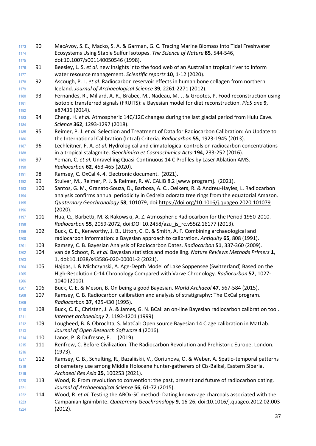- 90 MacAvoy, S. E., Macko, S. A. & Garman, G. C. Tracing Marine Biomass into Tidal Freshwater Ecosystems Using Stable Sulfur Isotopes. *The Science of Nature* **85**, 544-546, doi:10.1007/s001140050546 (1998).
- 91 Beesley, L. S. *et al.* new insights into the food web of an Australian tropical river to inform water resource management. *Scientific reports* **10**, 1-12 (2020).
- 92 Ascough, P. L. *et al.* Radiocarbon reservoir effects in human bone collagen from northern Iceland. *Journal of Archaeological Science* **39**, 2261-2271 (2012).
- 93 Fernandes, R., Millard, A. R., Brabec, M., Nadeau, M.-J. & Grootes, P. Food reconstruction using isotopic transferred signals (FRUITS): a Bayesian model for diet reconstruction. *PloS one* **9**, e87436 (2014).
- 94 Cheng, H. *et al.* Atmospheric 14C/12C changes during the last glacial period from Hulu Cave. *Science* **362**, 1293-1297 (2018).
- 95 Reimer, P. J. *et al.* Selection and Treatment of Data for Radiocarbon Calibration: An Update to the International Calibration (Intcal) Criteria. *Radiocarbon* **55**, 1923-1945 (2013).
- 96 Lechleitner, F. A. *et al.* Hydrological and climatological controls on radiocarbon concentrations in a tropical stalagmite. *Geochimica et Cosmochimica Acta* **194**, 233-252 (2016).
- 97 Yeman, C. *et al.* Unravelling Quasi-Continuous 14 C Profiles by Laser Ablation AMS. *Radiocarbon* **62**, 453-465 (2020).
- 98 Ramsey, C. OxCal 4. 4. Electronic document. (2021).
- 99 Stuiver, M., Reimer, P. J. & Reimer, R. W. CALIB 8.2 [www program]. (2021).
- 100 Santos, G. M., Granato-Souza, D., Barbosa, A. C., Oelkers, R. & Andreu-Hayles, L. Radiocarbon analysis confirms annual periodicity in Cedrela odorata tree rings from the equatorial Amazon. *Quaternary Geochronology* **58**, 101079, doi[:https://doi.org/10.1016/j.quageo.2020.101079](https://doi.org/10.1016/j.quageo.2020.101079) (2020).
- 101 Hua, Q., Barbetti, M. & Rakowski, A. Z. Atmospheric Radiocarbon for the Period 1950-2010. *Radiocarbon* **55**, 2059-2072, doi:DOI 10.2458/azu\_js\_rc.v55i2.16177 (2013).
- 102 Buck, C. E., Kenworthy, J. B., Litton, C. D. & Smith, A. F. Combining archaeological and radiocarbon information: a Bayesian approach to calibration. *Antiquity* **65**, 808 (1991).
- 103 Ramsey, C. B. Bayesian Analysis of Radiocarbon Dates. *Radiocarbon* **51**, 337-360 (2009).
- 104 van de Schoot, R. *et al.* Bayesian statistics and modelling. *Nature Reviews Methods Primers* **1**, 1, doi:10.1038/s43586-020-00001-2 (2021).
- 105 Hajdas, I. & Michczynski, A. Age-Depth Model of Lake Soppensee (Switzerland) Based on the High-Resolution C-14 Chronology Compared with Varve Chronology. *Radiocarbon* **52**, 1027- 1040 (2010).
- 106 Buck, C. E. & Meson, B. On being a good Bayesian. *World Archaeol* **47**, 567-584 (2015).
- 107 Ramsey, C. B. Radiocarbon calibration and analysis of stratigraphy: The OxCal program. *Radiocarbon* **37**, 425-430 (1995).
- 108 Buck, C. E., Christen, J. A. & James, G. N. BCal: an on-line Bayesian radiocarbon calibration tool. *Internet archaeology* **7**, 1192-1201 (1999).
- 109 Lougheed, B. & Obrochta, S. MatCal: Open source Bayesian 14 C age calibration in MatLab. *Journal of Open Research Software* **4** (2016).
- 110 Lanos, P. & Dufresne, P. (2019).
- 111 Renfrew, C. Before Civilization. The Radiocarbon Revolution and Prehistoric Europe. London. (1973).
- 112 Ramsey, C. B., Schulting, R., Bazaliiskii, V., Goriunova, O. & Weber, A. Spatio-temporal patterns of cemetery use among Middle Holocene hunter-gatherers of Cis-Baikal, Eastern Siberia. *Archaeol Res Asia* **25**, 100253 (2021).
- 1220 113 Wood, R. From revolution to convention: the past, present and future of radiocarbon dating. *Journal of Archaeological Science* **56**, 61-72 (2015).
- 114 Wood, R. *et al.* Testing the ABOx-SC method: Dating known-age charcoals associated with the Campanian Ignimbrite. *Quaternary Geochronology* **9**, 16-26, doi:10.1016/j.quageo.2012.02.003 (2012).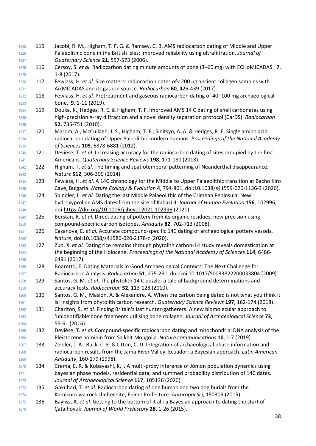- 115 Jacobi, R. M., Higham, T. F. G. & Ramsey, C. B. AMS radiocarbon dating of Middle and Upper Palaeolithic bone in the British Isles: improved reliability using ultrafiltration. *Journal of Quaternary Science* **21**, 557-573 (2006).
- 116 Cersoy, S. *et al.* Radiocarbon dating minute amounts of bone (3–60 mg) with ECHoMICADAS. **7**, 1-8 (2017).
- 117 Fewlass, H. *et al.* Size matters: radiocarbon dates of< 200 µg ancient collagen samples with AixMICADAS and its gas ion source. *Radiocarbon* **60**, 425-439 (2017).
- 118 Fewlass, H. *et al.* Pretreatment and gaseous radiocarbon dating of 40–100 mg archaeological bone. **9**, 1-11 (2019).
- 119 Douka, K., Hedges, R. E. & Higham, T. F. Improved AMS 14 C dating of shell carbonates using high-precision X-ray diffraction and a novel density separation protocol (CarDS). *Radiocarbon* **52**, 735-751 (2010).
- 120 Marom, A., McCullagh, J. S., Higham, T. F., Sinitsyn, A. A. & Hedges, R. E. Single amino acid radiocarbon dating of Upper Paleolithic modern humans. *Proceedings of the National Academy of Sciences* **109**, 6878-6881 (2012).
- 121 Deviese, T. *et al.* Increasing accuracy for the radiocarbon dating of sites occupied by the first Americans. *Quaternary Science Reviews* **198**, 171-180 (2018).
- 122 Higham, T. *et al.* The timing and spatiotemporal patterning of Neanderthal disappearance. *Nature* **512**, 306-309 (2014).
- 123 Fewlass, H. *et al.* A 14C chronology for the Middle to Upper Palaeolithic transition at Bacho Kiro Cave, Bulgaria. *Nature Ecology & Evolution* **4**, 794-801, doi:10.1038/s41559-020-1136-3 (2020).
- 124 Spindler, L. *et al.* Dating the last Middle Palaeolithic of the Crimean Peninsula: New hydroxyproline AMS dates from the site of Kabazi II. *Journal of Human Evolution* **156**, 102996, doi[:https://doi.org/10.1016/j.jhevol.2021.102996](https://doi.org/10.1016/j.jhevol.2021.102996) (2021).
- 125 Berstan, R. *et al.* Direct dating of pottery from its organic residues: new precision using compound-specific carbon isotopes. *Antiquity* **82**, 702-713 (2008).
- 126 Casanova, E. *et al.* Accurate compound-specific 14C dating of archaeological pottery vessels. *Nature*, doi:10.1038/s41586-020-2178-z (2020).
- 127 Zuo, X. *et al.* Dating rice remains through phytolith carbon-14 study reveals domestication at the beginning of the Holocene. *Proceedings of the National Academy of Sciences* **114**, 6486- 6491 (2017).
- 128 Boaretto, E. Dating Materials in Good Archaeological Contexts: The Next Challenge for Radiocarbon Analysis. *Radiocarbon* **51**, 275-281, doi:Doi 10.1017/S0033822200033804 (2009).
- 129 Santos, G. M. *et al.* The phytolith 14 C puzzle: a tale of background determinations and accuracy tests. *Radiocarbon* **52**, 113-128 (2010).
- 130 Santos, G. M., Masion, A. & Alexandre, A. When the carbon being dated is not what you think it is: Insights from phytolith carbon research. *Quaternary Science Reviews* **197**, 162-174 (2018).
- 131 Charlton, S. *et al.* Finding Britain's last hunter-gatherers: A new biomolecular approach to 'unidentifiable'bone fragments utilising bone collagen. *Journal of Archaeological Science* **73**, 55-61 (2016).
- 132 Devièse, T. *et al.* Compound-specific radiocarbon dating and mitochondrial DNA analysis of the Pleistocene hominin from Salkhit Mongolia. *Nature communications* **10**, 1-7 (2019).
- 133 Zeidler, J. A., Buck, C. E. & Litton, C. D. Integration of archaeological phase information and radiocarbon results from the Jama River Valley, Ecuador: a Bayesian approach. *Latin American Antiquity*, 160-179 (1998).
- 134 Crema, E. R. & Kobayashi, K. i. A multi-proxy inference of Jōmon population dynamics using 1271 bayesian phase models, residential data, and summed probability distribution of 14C dates. *Journal of Archaeological Science* **117**, 105136 (2020).
- 135 Gakuhari, T. *et al.* Radiocarbon dating of one human and two dog burials from the Kamikuroiwa rock shelter site, Ehime Prefecture. *Anthropol Sci*, 150309 (2015).
- 136 Bayliss, A. *et al.* Getting to the bottom of it all: a Bayesian approach to dating the start of Çatalhöyük. *Journal of World Prehistory* **28**, 1-26 (2015).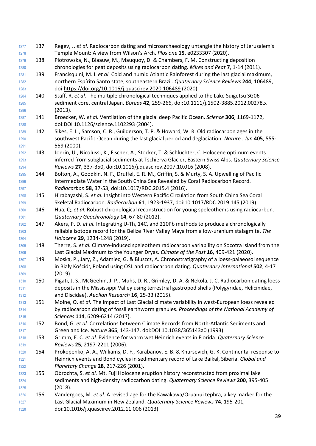| 1277 | 137 | Regev, J. et al. Radiocarbon dating and microarchaeology untangle the history of Jerusalem's         |
|------|-----|------------------------------------------------------------------------------------------------------|
| 1278 |     | Temple Mount: A view from Wilson's Arch. Plos one 15, e0233307 (2020).                               |
| 1279 | 138 | Piotrowska, N., Blaauw, M., Mauquoy, D. & Chambers, F. M. Constructing deposition                    |
| 1280 |     | chronologies for peat deposits using radiocarbon dating. Mires and Peat 7, 1-14 (2011).              |
| 1281 | 139 | Francisquini, M. I. et al. Cold and humid Atlantic Rainforest during the last glacial maximum,       |
| 1282 |     | northern Espírito Santo state, southeastern Brazil. Quaternary Science Reviews 244, 106489,          |
| 1283 |     | doi:https://doi.org/10.1016/j.quascirev.2020.106489 (2020).                                          |
| 1284 | 140 | Staff, R. et al. The multiple chronological techniques applied to the Lake Suigetsu SG06             |
| 1285 |     | sediment core, central Japan. Boreas 42, 259-266, doi:10.1111/j.1502-3885.2012.00278.x               |
| 1286 |     | (2013).                                                                                              |
| 1287 | 141 | Broecker, W. et al. Ventilation of the glacial deep Pacific Ocean. Science 306, 1169-1172,           |
| 1288 |     | doi:DOI 10.1126/science.1102293 (2004).                                                              |
| 1289 | 142 | Sikes, E. L., Samson, C. R., Guilderson, T. P. & Howard, W. R. Old radiocarbon ages in the           |
| 1290 |     | southwest Pacific Ocean during the last glacial period and deglaciation. Nature . Jun 405, 555-      |
| 1291 |     | 559 (2000).                                                                                          |
| 1292 | 143 | Joerin, U., Nicolussi, K., Fischer, A., Stocker, T. & Schluchter, C. Holocene optimum events         |
| 1293 |     | inferred from subglacial sediments at Tschierva Glacier, Eastern Swiss Alps. Quaternary Science      |
| 1294 |     | Reviews 27, 337-350, doi:10.1016/j.quascirev.2007.10.016 (2008).                                     |
| 1295 | 144 | Bolton, A., Goodkin, N. F., Druffel, E. R. M., Griffin, S. & Murty, S. A. Upwelling of Pacific       |
| 1296 |     | Intermediate Water in the South China Sea Revealed by Coral Radiocarbon Record.                      |
| 1297 |     | Radiocarbon 58, 37-53, doi:10.1017/RDC.2015.4 (2016).                                                |
| 1298 | 145 | Hirabayashi, S. et al. Insight into Western Pacific Circulation from South China Sea Coral           |
| 1299 |     | Skeletal Radiocarbon. Radiocarbon 61, 1923-1937, doi:10.1017/RDC.2019.145 (2019).                    |
| 1300 | 146 | Hua, Q. et al. Robust chronological reconstruction for young speleothems using radiocarbon.          |
| 1301 |     | Quaternary Geochronology 14, 67-80 (2012).                                                           |
| 1302 | 147 | Akers, P. D. et al. Integrating U-Th, 14C, and 210Pb methods to produce a chronologically            |
| 1303 |     | reliable isotope record for the Belize River Valley Maya from a low-uranium stalagmite. The          |
| 1304 |     | Holocene 29, 1234-1248 (2019).                                                                       |
| 1305 | 148 | Therre, S. et al. Climate-induced speleothem radiocarbon variability on Socotra Island from the      |
| 1306 |     | Last Glacial Maximum to the Younger Dryas. Climate of the Past 16, 409-421 (2020).                   |
| 1307 | 149 | Moska, P., Jary, Z., Adamiec, G. & Bluszcz, A. Chronostratigraphy of a loess-palaeosol sequence      |
| 1308 |     | in Biały Kościół, Poland using OSL and radiocarbon dating. Quaternary International 502, 4-17        |
| 1309 |     | (2019).                                                                                              |
| 1310 | 150 | Pigati, J. S., McGeehin, J. P., Muhs, D. R., Grimley, D. A. & Nekola, J. C. Radiocarbon dating loess |
| 1311 |     | deposits in the Mississippi Valley using terrestrial gastropod shells (Polygyridae, Helicinidae,     |
| 1312 |     | and Discidae). Aeolian Research 16, 25-33 (2015).                                                    |
| 1313 | 151 | Moine, O. et al. The impact of Last Glacial climate variability in west-European loess revealed      |
| 1314 |     | by radiocarbon dating of fossil earthworm granules. Proceedings of the National Academy of           |
| 1315 |     | Sciences 114, 6209-6214 (2017).                                                                      |
| 1316 | 152 | Bond, G. et al. Correlations between Climate Records from North-Atlantic Sediments and               |
| 1317 |     | Greenland Ice. Nature 365, 143-147, doi:DOI 10.1038/365143a0 (1993).                                 |
| 1318 | 153 | Grimm, E. C. et al. Evidence for warm wet Heinrich events in Florida. Quaternary Science             |
| 1319 |     | Reviews 25, 2197-2211 (2006).                                                                        |
| 1320 | 154 | Prokopenko, A. A., Williams, D. F., Karabanov, E. B. & Khursevich, G. K. Continental response to     |
| 1321 |     | Heinrich events and Bond cycles in sedimentary record of Lake Baikal, Siberia. Global and            |
| 1322 |     | Planetary Change 28, 217-226 (2001).                                                                 |
| 1323 | 155 | Obrochta, S. et al. Mt. Fuji Holocene eruption history reconstructed from proximal lake              |
| 1324 |     | sediments and high-density radiocarbon dating. Quaternary Science Reviews 200, 395-405               |
| 1325 |     | (2018).                                                                                              |
| 1326 | 156 | Vandergoes, M. et al. A revised age for the Kawakawa/Oruanui tephra, a key marker for the            |
| 1327 |     | Last Glacial Maximum in New Zealand. Quaternary Science Reviews 74, 195-201,                         |
| 1328 |     | doi:10.1016/j.quascirev.2012.11.006 (2013).                                                          |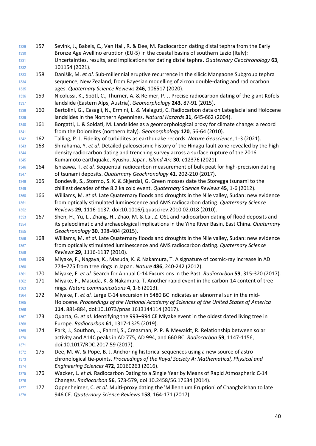- 157 Sevink, J., Bakels, C., Van Hall, R. & Dee, M. Radiocarbon dating distal tephra from the Early Bronze Age Avellino eruption (EU-5) in the coastal basins of southern Lazio (Italy): Uncertainties, results, and implications for dating distal tephra. *Quaternary Geochronology* **63**, 101154 (2021).
- 158 Danišík, M. *et al.* Sub-millennial eruptive recurrence in the silicic Mangaone Subgroup tephra sequence, New Zealand, from Bayesian modelling of zircon double-dating and radiocarbon ages. *Quaternary Science Reviews* **246**, 106517 (2020).
- 159 Nicolussi, K., Spötl, C., Thurner, A. & Reimer, P. J. Precise radiocarbon dating of the giant Köfels landslide (Eastern Alps, Austria). *Geomorphology* **243**, 87-91 (2015).
- 160 Bertolini, G., Casagli, N., Ermini, L. & Malaguti, C. Radiocarbon data on Lateglacial and Holocene landslides in the Northern Apennines. *Natural Hazards* **31**, 645-662 (2004).
- 161 Borgatti, L. & Soldati, M. Landslides as a geomorphological proxy for climate change: a record from the Dolomites (northern Italy). *Geomorphology* **120**, 56-64 (2010).
- 162 Talling, P. J. Fidelity of turbidites as earthquake records. *Nature Geoscience*, 1-3 (2021).
- 163 Shirahama, Y. *et al.* Detailed paleoseismic history of the Hinagu fault zone revealed by the high‐ density radiocarbon dating and trenching survey across a surface rupture of the 2016 Kumamoto earthquake, Kyushu, Japan. *Island Arc* **30**, e12376 (2021).
- 164 Ishizawa, T. *et al.* Sequential radiocarbon measurement of bulk peat for high-precision dating of tsunami deposits. *Quaternary Geochronology* **41**, 202-210 (2017).
- 165 Bondevik, S., Stormo, S. K. & Skjerdal, G. Green mosses date the Storegga tsunami to the chilliest decades of the 8.2 ka cold event. *Quaternary Science Reviews* **45**, 1-6 (2012).
- 166 Williams, M. *et al.* Late Quaternary floods and droughts in the Nile valley, Sudan: new evidence from optically stimulated luminescence and AMS radiocarbon dating. *Quaternary Science Reviews* **29**, 1116-1137, doi:10.1016/j.quascirev.2010.02.018 (2010).
- 167 Shen, H., Yu, L., Zhang, H., Zhao, M. & Lai, Z. OSL and radiocarbon dating of flood deposits and its paleoclimatic and archaeological implications in the Yihe River Basin, East China. *Quaternary Geochronology* **30**, 398-404 (2015).
- 168 Williams, M. *et al.* Late Quaternary floods and droughts in the Nile valley, Sudan: new evidence from optically stimulated luminescence and AMS radiocarbon dating. *Quaternary Science Reviews* **29**, 1116-1137 (2010).
- 169 Miyake, F., Nagaya, K., Masuda, K. & Nakamura, T. A signature of cosmic-ray increase in AD 774–775 from tree rings in Japan. *Nature* **486**, 240-242 (2012).
- 170 Miyake, F. *et al.* Search for Annual C-14 Excursions in the Past. *Radiocarbon* **59**, 315-320 (2017).
- 171 Miyake, F., Masuda, K. & Nakamura, T. Another rapid event in the carbon-14 content of tree rings. *Nature communications* **4**, 1-6 (2013).
- 172 Miyake, F. *et al.* Large C-14 excursion in 5480 BC indicates an abnormal sun in the mid- Holocene. *Proceedings of the National Academy of Sciences of the United States of America* **114**, 881-884, doi:10.1073/pnas.1613144114 (2017).
- 173 Quarta, G. *et al.* Identifying the 993–994 CE Miyake event in the oldest dated living tree in Europe. *Radiocarbon* **61**, 1317-1325 (2019).
- 174 Park, J., Southon, J., Fahrni, S., Creasman, P. P. & Mewaldt, R. Relationship between solar activity and Δ14C peaks in AD 775, AD 994, and 660 BC. *Radiocarbon* **59**, 1147-1156, 1371 doi:10.1017/RDC.2017.59 (2017).
- 175 Dee, M. W. & Pope, B. J. Anchoring historical sequences using a new source of astro- chronological tie-points. *Proceedings of the Royal Society A: Mathematical, Physical and Engineering Sciences* **472**, 20160263 (2016).
- 176 Wacker, L. *et al.* Radiocarbon Dating to a Single Year by Means of Rapid Atmospheric C-14 Changes. *Radiocarbon* **56**, 573-579, doi:10.2458/56.17634 (2014).
- 177 Oppenheimer, C. *et al.* Multi-proxy dating the 'Millennium Eruption' of Changbaishan to late 946 CE. *Quaternary Science Reviews* **158**, 164-171 (2017).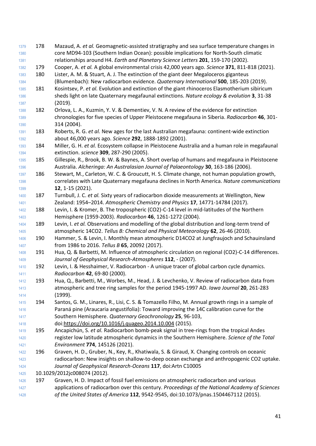178 Mazaud, A. *et al.* Geomagnetic-assisted stratigraphy and sea surface temperature changes in core MD94-103 (Southern Indian Ocean): possible implications for North-South climatic relationships around H4. *Earth and Planetary Science Letters* **201**, 159-170 (2002). 179 Cooper, A. *et al.* A global environmental crisis 42,000 years ago. *Science* **371**, 811-818 (2021). 1383 180 Lister, A. M. & Stuart, A. J. The extinction of the giant deer Megaloceros giganteus (Blumenbach): New radiocarbon evidence. *Quaternary International* **500**, 185-203 (2019). 181 Kosintsev, P. *et al.* Evolution and extinction of the giant rhinoceros Elasmotherium sibiricum sheds light on late Quaternary megafaunal extinctions. *Nature ecology & evolution* **3**, 31-38 (2019). 1388 182 Orlova, L. A., Kuzmin, Y. V. & Dementiev, V. N. A review of the evidence for extinction chronologies for five species of Upper Pleistocene megafauna in Siberia. *Radiocarbon* **46**, 301- 314 (2004). 183 Roberts, R. G. *et al.* New ages for the last Australian megafauna: continent-wide extinction about 46,000 years ago. *Science* **292**, 1888-1892 (2001). 184 Miller, G. H. *et al.* Ecosystem collapse in Pleistocene Australia and a human role in megafaunal extinction. *science* **309**, 287-290 (2005). 185 Gillespie, R., Brook, B. W. & Baynes, A. Short overlap of humans and megafauna in Pleistocene Australia. *Alcheringa: An Australasian Journal of Palaeontology* **30**, 163-186 (2006). 186 Stewart, M., Carleton, W. C. & Groucutt, H. S. Climate change, not human population growth, correlates with Late Quaternary megafauna declines in North America. *Nature communications* **12**, 1-15 (2021). 187 Turnbull, J. C. *et al.* Sixty years of radiocarbon dioxide measurements at Wellington, New Zealand: 1954–2014. *Atmospheric Chemistry and Physics* **17**, 14771-14784 (2017). 188 Levin, I. & Kromer, B. The tropospheric (CO2)-C-14 level in mid-latitudes of the Northern Hemisphere (1959-2003). *Radiocarbon* **46**, 1261-1272 (2004). 189 Levin, I. *et al.* Observations and modelling of the global distribution and long-term trend of atmospheric 14CO2. *Tellus B: Chemical and Physical Meteorology* **62**, 26-46 (2010). 190 Hammer, S. & Levin, I. Monthly mean atmospheric D14CO2 at Jungfraujoch and Schauinsland from 1986 to 2016. *Tellus B* **65**, 20092 (2017). 191 Hua, Q. & Barbetti, M. Influence of atmospheric circulation on regional (CO2)-C-14 differences. *Journal of Geophysical Research-Atmospheres* **112**, - (2007). 192 Levin, I. & Hesshaimer, V. Radiocarbon - A unique tracer of global carbon cycle dynamics. *Radiocarbon* **42**, 69-80 (2000). 193 Hua, Q., Barbetti, M., Worbes, M., Head, J. & Levchenko, V. Review of radiocarbon data from atmospheric and tree ring samples for the period 1945-1997 AD. *Iawa Journal* **20**, 261-283 (1999). 194 Santos, G. M., Linares, R., Lisi, C. S. & Tomazello Filho, M. Annual growth rings in a sample of Paraná pine (Araucaria angustifolia): Toward improving the 14C calibration curve for the Southern Hemisphere. *Quaternary Geochronology* **25**, 96-103, doi[:https://doi.org/10.1016/j.quageo.2014.10.004](https://doi.org/10.1016/j.quageo.2014.10.004) (2015). 195 Ancapichún, S. *et al.* Radiocarbon bomb-peak signal in tree-rings from the tropical Andes register low latitude atmospheric dynamics in the Southern Hemisphere. *Science of the Total Environment* **774**, 145126 (2021). 196 Graven, H. D., Gruber, N., Key, R., Khatiwala, S. & Giraud, X. Changing controls on oceanic radiocarbon: New insights on shallow-to-deep ocean exchange and anthropogenic CO2 uptake. *Journal of Geophysical Research-Oceans* **117**, doi:Artn C10005 10.1029/2012jc008074 (2012). 197 Graven, H. D. Impact of fossil fuel emissions on atmospheric radiocarbon and various applications of radiocarbon over this century. *Proceedings of the National Academy of Sciences of the United States of America* **112**, 9542-9545, doi:10.1073/pnas.1504467112 (2015).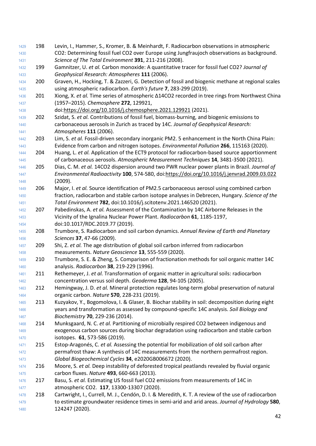198 Levin, I., Hammer, S., Kromer, B. & Meinhardt, F. Radiocarbon observations in atmospheric CO2: Determining fossil fuel CO2 over Europe using Jungfraujoch observations as background. *Science of The Total Environment* **391**, 211-216 (2008). 199 Gamnitzer, U. *et al.* Carbon monoxide: A quantitative tracer for fossil fuel CO2? *Journal of Geophysical Research: Atmospheres* **111** (2006). 200 Graven, H., Hocking, T. & Zazzeri, G. Detection of fossil and biogenic methane at regional scales using atmospheric radiocarbon. *Earth's future* **7**, 283-299 (2019). 201 Xiong, X. *et al.* Time series of atmospheric Δ14CO2 recorded in tree rings from Northwest China (1957–2015). *Chemosphere* **272**, 129921, doi[:https://doi.org/10.1016/j.chemosphere.2021.129921](https://doi.org/10.1016/j.chemosphere.2021.129921) (2021). 202 Szidat, S. *et al.* Contributions of fossil fuel, biomass‐burning, and biogenic emissions to carbonaceous aerosols in Zurich as traced by 14C. *Journal of Geophysical Research: Atmospheres* **111** (2006). 203 Lim, S. *et al.* Fossil-driven secondary inorganic PM2. 5 enhancement in the North China Plain: Evidence from carbon and nitrogen isotopes. *Environmental Pollution* **266**, 115163 (2020). 204 Huang, L. *et al.* Application of the ECT9 protocol for radiocarbon-based source apportionment of carbonaceous aerosols. *Atmospheric Measurement Techniques* **14**, 3481-3500 (2021). 205 Dias, C. M. *et al.* 14CO2 dispersion around two PWR nuclear power plants in Brazil. *Journal of Environmental Radioactivity* **100**, 574-580, doi[:https://doi.org/10.1016/j.jenvrad.2009.03.022](https://doi.org/10.1016/j.jenvrad.2009.03.022) (2009). 206 Major, I. *et al.* Source identification of PM2.5 carbonaceous aerosol using combined carbon fraction, radiocarbon and stable carbon isotope analyses in Debrecen, Hungary. *Science of the Total Environment* **782**, doi:10.1016/j.scitotenv.2021.146520 (2021). 207 Pabedinskas, A. *et al.* Assessment of the Contamination by 14C Airborne Releases in the Vicinity of the Ignalina Nuclear Power Plant. *Radiocarbon* **61**, 1185-1197, doi:10.1017/RDC.2019.77 (2019). 208 Trumbore, S. Radiocarbon and soil carbon dynamics. *Annual Review of Earth and Planetary Sciences* **37**, 47-66 (2009). 209 Shi, Z. *et al.* The age distribution of global soil carbon inferred from radiocarbon measurements. *Nature Geoscience* **13**, 555-559 (2020). 210 Trumbore, S. E. & Zheng, S. Comparison of fractionation methods for soil organic matter 14C analysis. *Radiocarbon* **38**, 219-229 (1996). 211 Rethemeyer, J. *et al.* Transformation of organic matter in agricultural soils: radiocarbon concentration versus soil depth. *Geoderma* **128**, 94-105 (2005). 212 Hemingway, J. D. *et al.* Mineral protection regulates long-term global preservation of natural organic carbon. *Nature* **570**, 228-231 (2019). 213 Kuzyakov, Y., Bogomolova, I. & Glaser, B. Biochar stability in soil: decomposition during eight years and transformation as assessed by compound-specific 14C analysis. *Soil Biology and Biochemistry* **70**, 229-236 (2014). 214 Munksgaard, N. C. *et al.* Partitioning of microbially respired CO2 between indigenous and exogenous carbon sources during biochar degradation using radiocarbon and stable carbon isotopes. **61**, 573-586 (2019). 215 Estop‐Aragonés, C. *et al.* Assessing the potential for mobilization of old soil carbon after 1472 permafrost thaw: A synthesis of 14C measurements from the northern permafrost region. *Global Biogeochemical Cycles* **34**, e2020GB006672 (2020). 216 Moore, S. *et al.* Deep instability of deforested tropical peatlands revealed by fluvial organic carbon fluxes. *Nature* **493**, 660-663 (2013). 217 Basu, S. *et al.* Estimating US fossil fuel CO2 emissions from measurements of 14C in atmospheric CO2. **117**, 13300-13307 (2020). 218 Cartwright, I., Currell, M. J., Cendón, D. I. & Meredith, K. T. A review of the use of radiocarbon to estimate groundwater residence times in semi-arid and arid areas. *Journal of Hydrology* **580**, 124247 (2020).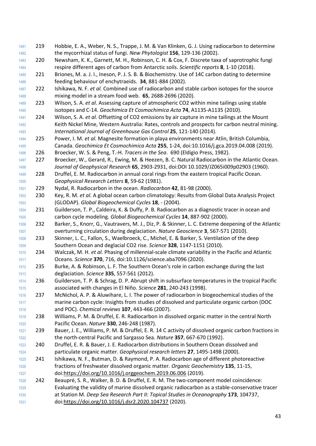- 219 Hobbie, E. A., Weber, N. S., Trappe, J. M. & Van Klinken, G. J. Using radiocarbon to determine the mycorrhizal status of fungi. *New Phytologist* **156**, 129-136 (2002).
- 220 Newsham, K. K., Garnett, M. H., Robinson, C. H. & Cox, F. Discrete taxa of saprotrophic fungi respire different ages of carbon from Antarctic soils. *Scientific reports* **8**, 1-10 (2018).
- 221 Briones, M. a. J. I., Ineson, P. J. S. B. & Biochemistry. Use of 14C carbon dating to determine feeding behaviour of enchytraeids. **34**, 881-884 (2002).
- 222 Ishikawa, N. F. *et al.* Combined use of radiocarbon and stable carbon isotopes for the source mixing model in a stream food web. **65**, 2688-2696 (2020).
- 223 Wilson, S. A. *et al.* Assessing capture of atmospheric CO2 within mine tailings using stable isotopes and C-14. *Geochimica Et Cosmochimica Acta* **74**, A1135-A1135 (2010).
- 224 Wilson, S. A. *et al.* Offsetting of CO2 emissions by air capture in mine tailings at the Mount Keith Nickel Mine, Western Australia: Rates, controls and prospects for carbon neutral mining. *International Journal of Greenhouse Gas Control* **25**, 121-140 (2014).
- 225 Power, I. M. *et al.* Magnesite formation in playa environments near Atlin, British Columbia, Canada. *Geochimica Et Cosmochimica Acta* **255**, 1-24, doi:10.1016/j.gca.2019.04.008 (2019).
- 226 Broecker, W. S. & Peng, T.-H. *Tracers in the Sea*. 690 (Eldigio Press, 1982).
- 227 Broecker, W., Gerard, R., Ewing, M. & Heezen, B. C. Natural Radiocarbon in the Atlantic Ocean. *Journal of Geophysical Research* **65**, 2903-2931, doi:DOI 10.1029/JZ065i009p02903 (1960).
- 228 Druffel, E. M. Radiocarbon in annual coral rings from the eastern tropical Pacific Ocean. *Geophysical Research Letters* **8**, 59-62 (1981).
- 229 Nydal, R. Radiocarbon in the ocean. *Radiocarbon* **42**, 81-98 (2000).
- 230 Key, R. M. *et al.* A global ocean carbon climatology: Results from Global Data Analysis Project (GLODAP). *Global Biogeochemical Cycles* **18**, - (2004).
- 231 Guilderson, T. P., Caldeira, K. & Duffy, P. B. Radiocarbon as a diagnostic tracer in ocean and carbon cycle modeling. *Global Biogeochemical Cycles* **14**, 887-902 (2000).
- 232 Barker, S., Knorr, G., Vautravers, M. J., Diz, P. & Skinner, L. C. Extreme deepening of the Atlantic overturning circulation during deglaciation. *Nature Geoscience* **3**, 567-571 (2010).
- 233 Skinner, L. C., Fallon, S., Waelbroeck, C., Michel, E. & Barker, S. Ventilation of the deep Southern Ocean and deglacial CO2 rise. *Science* **328**, 1147-1151 (2010).
- 234 Walczak, M. H. *et al.* Phasing of millennial-scale climate variability in the Pacific and Atlantic Oceans. *Science* **370**, 716, doi:10.1126/science.aba7096 (2020).
- 235 Burke, A. & Robinson, L. F. The Southern Ocean's role in carbon exchange during the last deglaciation. *Science* **335**, 557-561 (2012).
- 236 Guilderson, T. P. & Schrag, D. P. Abrupt shift in subsurface temperatures in the tropical Pacific associated with changes in El Niño. *Science* **281**, 240-243 (1998).
- 237 McNichol, A. P. & Aluwihare, L. I. The power of radiocarbon in biogeochemical studies of the marine carbon cycle: Insights from studies of dissolved and particulate organic carbon (DOC and POC). *Chemical reviews* **107**, 443-466 (2007).
- 238 Williams, P. M. & Druffel, E. R. Radiocarbon in dissolved organic matter in the central North Pacific Ocean. *Nature* **330**, 246-248 (1987).
- 239 Bauer, J. E., Williams, P. M. & Druffel, E. R. 14 C activity of dissolved organic carbon fractions in the north-central Pacific and Sargasso Sea. *Nature* **357**, 667-670 (1992).
- 240 Druffel, E. R. & Bauer, J. E. Radiocarbon distributions in Southern Ocean dissolved and particulate organic matter. *Geophysical research letters* **27**, 1495-1498 (2000).
- 241 Ishikawa, N. F., Butman, D. & Raymond, P. A. Radiocarbon age of different photoreactive fractions of freshwater dissolved organic matter. *Organic Geochemistry* **135**, 11-15, doi[:https://doi.org/10.1016/j.orggeochem.2019.06.006](https://doi.org/10.1016/j.orggeochem.2019.06.006) (2019).
- 242 Beaupré, S. R., Walker, B. D. & Druffel, E. R. M. The two-component model coincidence: Evaluating the validity of marine dissolved organic radiocarbon as a stable-conservative tracer at Station M. *Deep Sea Research Part II: Topical Studies in Oceanography* **173**, 104737, doi[:https://doi.org/10.1016/j.dsr2.2020.104737](https://doi.org/10.1016/j.dsr2.2020.104737) (2020).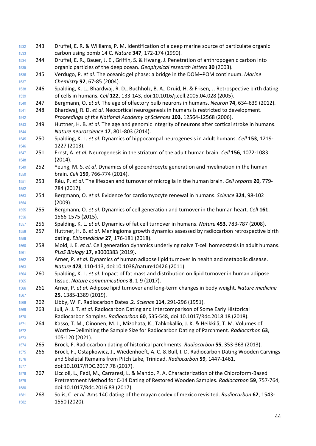243 Druffel, E. R. & Williams, P. M. Identification of a deep marine source of particulate organic carbon using bomb 14 C. *Nature* **347**, 172-174 (1990). 244 Druffel, E. R., Bauer, J. E., Griffin, S. & Hwang, J. Penetration of anthropogenic carbon into organic particles of the deep ocean. *Geophysical research letters* **30** (2003). 245 Verdugo, P. *et al.* The oceanic gel phase: a bridge in the DOM–POM continuum. *Marine Chemistry* **92**, 67-85 (2004). 246 Spalding, K. L., Bhardwaj, R. D., Buchholz, B. A., Druid, H. & Frisen, J. Retrospective birth dating of cells in humans. *Cell* **122**, 133-143, doi:10.1016/j.cell.2005.04.028 (2005). 247 Bergmann, O. *et al.* The age of olfactory bulb neurons in humans. *Neuron* **74**, 634-639 (2012). 248 Bhardwaj, R. D. *et al.* Neocortical neurogenesis in humans is restricted to development. *Proceedings of the National Academy of Sciences* **103**, 12564-12568 (2006). 249 Huttner, H. B. *et al.* The age and genomic integrity of neurons after cortical stroke in humans. *Nature neuroscience* **17**, 801-803 (2014). 250 Spalding, K. L. *et al.* Dynamics of hippocampal neurogenesis in adult humans. *Cell* **153**, 1219- 1227 (2013). 251 Ernst, A. *et al.* Neurogenesis in the striatum of the adult human brain. *Cell* **156**, 1072-1083 (2014). 252 Yeung, M. S. *et al.* Dynamics of oligodendrocyte generation and myelination in the human brain. *Cell* **159**, 766-774 (2014). 253 Réu, P. *et al.* The lifespan and turnover of microglia in the human brain. *Cell reports* **20**, 779- 784 (2017). 254 Bergmann, O. *et al.* Evidence for cardiomyocyte renewal in humans. *Science* **324**, 98-102 (2009). 255 Bergmann, O. *et al.* Dynamics of cell generation and turnover in the human heart. *Cell* **161**, 1566-1575 (2015). 256 Spalding, K. L. *et al.* Dynamics of fat cell turnover in humans. *Nature* **453**, 783-787 (2008). 257 Huttner, H. B. *et al.* Meningioma growth dynamics assessed by radiocarbon retrospective birth dating. *Ebiomedicine* **27**, 176-181 (2018). 258 Mold, J. E. *et al.* Cell generation dynamics underlying naive T-cell homeostasis in adult humans. *PLoS Biology* **17**, e3000383 (2019). 259 Arner, P. *et al.* Dynamics of human adipose lipid turnover in health and metabolic disease. *Nature* **478**, 110-113, doi:10.1038/nature10426 (2011). 260 Spalding, K. L. *et al.* Impact of fat mass and distribution on lipid turnover in human adipose tissue. *Nature communications* **8**, 1-9 (2017). 261 Arner, P. *et al.* Adipose lipid turnover and long-term changes in body weight. *Nature medicine* **25**, 1385-1389 (2019). 262 Libby, W. F. Radiocarbon Dates .2. *Science* **114**, 291-296 (1951). 263 Jull, A. J. T. *et al.* Radiocarbon Dating and Intercomparison of Some Early Historical Radiocarbon Samples. *Radiocarbon* **60**, 535-548, doi:10.1017/Rdc.2018.18 (2018). 264 Kasso, T. M., Oinonen, M. J., Mizohata, K., Tahkokallio, J. K. & Heikkilä, T. M. Volumes of Worth—Delimiting the Sample Size for Radiocarbon Dating of Parchment. *Radiocarbon* **63**, 105-120 (2021). 265 Brock, F. Radiocarbon dating of historical parchments. *Radiocarbon* **55**, 353-363 (2013). 266 Brock, F., Ostapkowicz, J., Wiedenhoeft, A. C. & Bull, I. D. Radiocarbon Dating Wooden Carvings and Skeletal Remains from Pitch Lake, Trinidad. *Radiocarbon* **59**, 1447-1461, doi:10.1017/RDC.2017.78 (2017). 267 Liccioli, L., Fedi, M., Carraresi, L. & Mando, P. A. Characterization of the Chloroform-Based Pretreatment Method for C-14 Dating of Restored Wooden Samples. *Radiocarbon* **59**, 757-764, doi:10.1017/Rdc.2016.83 (2017). 268 Solís, C. *et al.* Ams 14C dating of the mayan codex of mexico revisited. *Radiocarbon* **62**, 1543- 1550 (2020).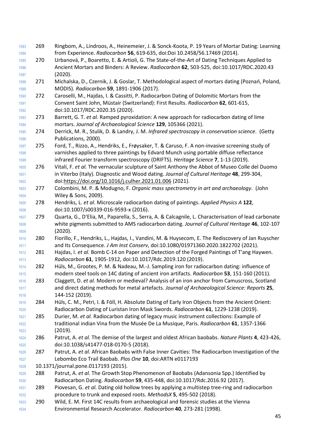- 269 Ringbom, A., Lindroos, A., Heinemeier, J. & Sonck-Koota, P. 19 Years of Mortar Dating: Learning from Experience. *Radiocarbon* **56**, 619-635, doi:Doi 10.2458/56.17469 (2014). 270 Urbanová, P., Boaretto, E. & Artioli, G. The State-of-the-Art of Dating Techniques Applied to Ancient Mortars and Binders: A Review. *Radiocarbon* **62**, 503-525, doi:10.1017/RDC.2020.43 (2020). 271 Michalska, D., Czernik, J. & Goslar, T. Methodological aspect of mortars dating (Poznań, Poland, MODIS). *Radiocarbon* **59**, 1891-1906 (2017). 272 Caroselli, M., Hajdas, I. & Cassitti, P. Radiocarbon Dating of Dolomitic Mortars from the Convent Saint John, Müstair (Switzerland): First Results. *Radiocarbon* **62**, 601-615, doi:10.1017/RDC.2020.35 (2020). 273 Barrett, G. T. *et al.* Ramped pyroxidation: A new approach for radiocarbon dating of lime mortars. *Journal of Archaeological Science* **129**, 105366 (2021). 274 Derrick, M. R., Stulik, D. & Landry, J. M. *Infrared spectroscopy in conservation science*. (Getty Publications, 2000). 275 Ford, T., Rizzo, A., Hendriks, E., Frøysaker, T. & Caruso, F. A non-invasive screening study of varnishes applied to three paintings by Edvard Munch using portable diffuse reflectance infrared Fourier transform spectroscopy (DRIFTS). *Heritage Science* **7**, 1-13 (2019). 276 Vitali, F. *et al.* The vernacular sculpture of Saint Anthony the Abbot of Museo Colle del Duomo in Viterbo (Italy). Diagnostic and Wood dating. *Journal of Cultural Heritage* **48**, 299-304, doi[:https://doi.org/10.1016/j.culher.2021.01.006](https://doi.org/10.1016/j.culher.2021.01.006) (2021). 277 Colombini, M. P. & Modugno, F. *Organic mass spectrometry in art and archaeology*. (John Wiley & Sons, 2009). 278 Hendriks, L. *et al.* Microscale radiocarbon dating of paintings. *Applied Physics A* **122**, doi:10.1007/s00339-016-9593-x (2016). 279 Quarta, G., D'Elia, M., Paparella, S., Serra, A. & Calcagnile, L. Characterisation of lead carbonate white pigments submitted to AMS radiocarbon dating. *Journal of Cultural Heritage* **46**, 102-107 (2020). 280 Fiorillo, F., Hendriks, L., Hajdas, I., Vandini, M. & Huysecom, E. The Rediscovery of Jan Ruyscher and Its Consequence. *J Am Inst Conserv*, doi:10.1080/01971360.2020.1822702 (2021). 281 Hajdas, I. *et al.* Bomb C-14 on Paper and Detection of the Forged Paintings of T'ang Haywen. *Radiocarbon* **61**, 1905-1912, doi:10.1017/Rdc.2019.120 (2019). 282 Hüls, M., Grootes, P. M. & Nadeau, M.-J. Sampling iron for radiocarbon dating: influence of modern steel tools on 14C dating of ancient iron artifacts. *Radiocarbon* **53**, 151-160 (2011). 283 Claggett, D. *et al.* Modern or medieval? Analysis of an iron anchor from Camuscross, Scotland and direct dating methods for metal artefacts. *Journal of Archaeological Science: Reports* **25**, 144-152 (2019). 284 Hüls, C. M., Petri, I. & Föll, H. Absolute Dating of Early Iron Objects from the Ancient Orient: Radiocarbon Dating of Luristan Iron Mask Swords. *Radiocarbon* **61**, 1229-1238 (2019). 285 Durier, M. *et al.* Radiocarbon dating of legacy music instrument collections: Example of traditional indian Vina from the Musée De La Musique, Paris. *Radiocarbon* **61**, 1357-1366 (2019). 286 Patrut, A. *et al.* The demise of the largest and oldest African baobabs. *Nature Plants* **4**, 423-426, doi:10.1038/s41477-018-0170-5 (2018). 287 Patrut, A. *et al.* African Baobabs with False Inner Cavities: The Radiocarbon Investigation of the Lebombo Eco Trail Baobab. *Plos One* **10**, doi:ARTN e0117193 10.1371/journal.pone.0117193 (2015). 288 Patrut, A. *et al.* The Growth Stop Phenomenon of Baobabs (Adansonia Spp.) Identified by Radiocarbon Dating. *Radiocarbon* **59**, 435-448, doi:10.1017/Rdc.2016.92 (2017). 289 Piovesan, G. *et al.* Dating old hollow trees by applying a multistep tree-ring and radiocarbon procedure to trunk and exposed roots. *MethodsX* **5**, 495-502 (2018). 290 Wild, E. M. First 14C results from archaeological and forensic studies at the Vienna
	- Environmental Research Accelerator. *Radiocarbon* **40**, 273-281 (1998).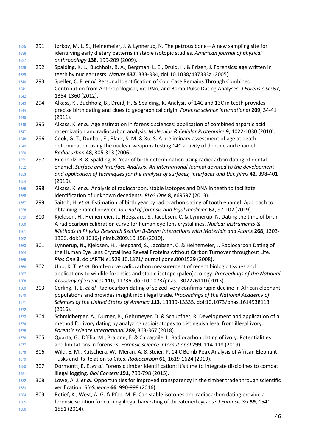| 1635         | 291 | Jørkov, M. L. S., Heinemeier, J. & Lynnerup, N. The petrous bone - A new sampling site for                                                                                                       |
|--------------|-----|--------------------------------------------------------------------------------------------------------------------------------------------------------------------------------------------------|
| 1636         |     | identifying early dietary patterns in stable isotopic studies. American journal of physical                                                                                                      |
| 1637         |     | anthropology 138, 199-209 (2009).                                                                                                                                                                |
| 1638         | 292 | Spalding, K. L., Buchholz, B. A., Bergman, L. E., Druid, H. & Frisen, J. Forensics: age written in                                                                                               |
| 1639         |     | teeth by nuclear tests. Nature 437, 333-334, doi:10.1038/437333a (2005).                                                                                                                         |
| 1640         | 293 | Speller, C. F. et al. Personal Identification of Cold Case Remains Through Combined                                                                                                              |
| 1641         |     | Contribution from Anthropological, mt DNA, and Bomb-Pulse Dating Analyses. J Forensic Sci 57,                                                                                                    |
| 1642         |     | 1354-1360 (2012).                                                                                                                                                                                |
| 1643         | 294 | Alkass, K., Buchholz, B., Druid, H. & Spalding, K. Analysis of 14C and 13C in teeth provides<br>precise birth dating and clues to geographical origin. Forensic science international 209, 34-41 |
| 1644<br>1645 |     | (2011).                                                                                                                                                                                          |
| 1646         | 295 | Alkass, K. et al. Age estimation in forensic sciences: application of combined aspartic acid                                                                                                     |
| 1647         |     | racemization and radiocarbon analysis. Molecular & Cellular Proteomics 9, 1022-1030 (2010).                                                                                                      |
| 1648         | 296 | Cook, G. T., Dunbar, E., Black, S. M. & Xu, S. A preliminary assessment of age at death                                                                                                          |
| 1649         |     | determination using the nuclear weapons testing 14C activity of dentine and enamel.                                                                                                              |
| 1650         |     | Radiocarbon 48, 305-313 (2006).                                                                                                                                                                  |
| 1651         | 297 | Buchholz, B. & Spalding, K. Year of birth determination using radiocarbon dating of dental                                                                                                       |
| 1652         |     | enamel. Surface and Interface Analysis: An International Journal devoted to the development                                                                                                      |
| 1653         |     | and application of techniques for the analysis of surfaces, interfaces and thin films 42, 398-401                                                                                                |
| 1654         |     | (2010).                                                                                                                                                                                          |
| 1655         | 298 | Alkass, K. et al. Analysis of radiocarbon, stable isotopes and DNA in teeth to facilitate                                                                                                        |
| 1656         |     | identification of unknown decedents. PLoS One 8, e69597 (2013).                                                                                                                                  |
| 1657         | 299 | Saitoh, H. et al. Estimation of birth year by radiocarbon dating of tooth enamel: Approach to                                                                                                    |
| 1658         |     | obtaining enamel powder. Journal of forensic and legal medicine 62, 97-102 (2019).                                                                                                               |
| 1659         | 300 | Kjeldsen, H., Heinemeier, J., Heegaard, S., Jacobsen, C. & Lynnerup, N. Dating the time of birth:                                                                                                |
| 1660         |     | A radiocarbon calibration curve for human eye-lens crystallines. Nuclear Instruments &                                                                                                           |
| 1661         |     | Methods in Physics Research Section B-Beam Interactions with Materials and Atoms 268, 1303-                                                                                                      |
| 1662         | 301 | 1306, doi:10.1016/j.nimb.2009.10.158 (2010).<br>Lynnerup, N., Kjeldsen, H., Heegaard, S., Jacobsen, C. & Heinemeier, J. Radiocarbon Dating of                                                    |
| 1663<br>1664 |     | the Human Eye Lens Crystallines Reveal Proteins without Carbon Turnover throughout Life.                                                                                                         |
| 1665         |     | Plos One 3, doi:ARTN e1529 10.1371/journal.pone.0001529 (2008).                                                                                                                                  |
| 1666         | 302 | Uno, K. T. et al. Bomb-curve radiocarbon measurement of recent biologic tissues and                                                                                                              |
| 1667         |     | applications to wildlife forensics and stable isotope (paleo)ecology. Proceedings of the National                                                                                                |
| 1668         |     | Academy of Sciences 110, 11736, doi:10.1073/pnas.1302226110 (2013).                                                                                                                              |
| 1669         | 303 | Cerling, T. E. et al. Radiocarbon dating of seized ivory confirms rapid decline in African elephant                                                                                              |
| 1670         |     | populations and provides insight into illegal trade. Proceedings of the National Academy of                                                                                                      |
| 1671         |     | Sciences of the United States of America 113, 13330-13335, doi:10.1073/pnas.1614938113                                                                                                           |
| 1672         |     | (2016).                                                                                                                                                                                          |
| 1673         | 304 | Schmidberger, A., Durner, B., Gehrmeyer, D. & Schupfner, R. Development and application of a                                                                                                     |
| 1674         |     | method for ivory dating by analyzing radioisotopes to distinguish legal from illegal ivory.                                                                                                      |
| 1675         |     | Forensic science international 289, 363-367 (2018).                                                                                                                                              |
| 1676         | 305 | Quarta, G., D'Elia, M., Braione, E. & Calcagnile, L. Radiocarbon dating of ivory: Potentialities                                                                                                 |
| 1677         |     | and limitations in forensics. Forensic science international 299, 114-118 (2019).                                                                                                                |
| 1678         | 306 | Wild, E. M., Kutschera, W., Meran, A. & Steier, P. 14 C Bomb Peak Analysis of African Elephant                                                                                                   |
| 1679         |     | Tusks and its Relation to Cites. Radiocarbon 61, 1619-1624 (2019).                                                                                                                               |
| 1680         | 307 | Dormontt, E. E. et al. Forensic timber identification: It's time to integrate disciplines to combat                                                                                              |
| 1681<br>1682 | 308 | illegal logging. Biol Conserv 191, 790-798 (2015).<br>Lowe, A. J. et al. Opportunities for improved transparency in the timber trade through scientific                                          |
| 1683         |     | verification. BioScience 66, 990-998 (2016).                                                                                                                                                     |
| 1684         | 309 | Retief, K., West, A. G. & Pfab, M. F. Can stable isotopes and radiocarbon dating provide a                                                                                                       |
| 1685         |     | forensic solution for curbing illegal harvesting of threatened cycads? J Forensic Sci 59, 1541-                                                                                                  |
| 1686         |     | 1551 (2014).                                                                                                                                                                                     |
|              |     |                                                                                                                                                                                                  |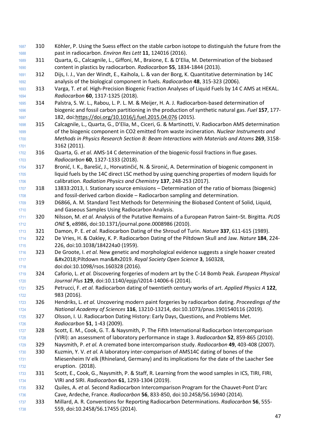1687 310 Köhler, P. Using the Suess effect on the stable carbon isotope to distinguish the future from the past in radiocarbon. *Environ Res Lett* **11**, 124016 (2016). 311 Quarta, G., Calcagnile, L., Giffoni, M., Braione, E. & D'Elia, M. Determination of the biobased content in plastics by radiocarbon. *Radiocarbon* **55**, 1834-1844 (2013). 312 Dijs, I. J., Van der Windt, E., Kaihola, L. & van der Borg, K. Quantitative determination by 14C analysis of the biological component in fuels. *Radiocarbon* **48**, 315-323 (2006). 313 Varga, T. *et al.* High-Precision Biogenic Fraction Analyses of Liquid Fuels by 14 C AMS at HEKAL. *Radiocarbon* **60**, 1317-1325 (2018). 314 Palstra, S. W. L., Rabou, L. P. L. M. & Meijer, H. A. J. Radiocarbon-based determination of biogenic and fossil carbon partitioning in the production of synthetic natural gas. *Fuel* **157**, 177- 182, doi[:https://doi.org/10.1016/j.fuel.2015.04.076](https://doi.org/10.1016/j.fuel.2015.04.076) (2015). 315 Calcagnile, L., Quarta, G., D'Elia, M., Ciceri, G. & Martinotti, V. Radiocarbon AMS determination of the biogenic component in CO2 emitted from waste incineration. *Nuclear Instruments and Methods in Physics Research Section B: Beam Interactions with Materials and Atoms* **269**, 3158- 3162 (2011). 316 Quarta, G. *et al.* AMS-14 C determination of the biogenic-fossil fractions in flue gases. *Radiocarbon* **60**, 1327-1333 (2018). 317 Bronić, I. K., Barešić, J., Horvatinčić, N. & Sironić, A. Determination of biogenic component in liquid fuels by the 14C direct LSC method by using quenching properties of modern liquids for calibration. *Radiation Physics and Chemistry* **137**, 248-253 (2017). 318 13833:2013, I. Stationary source emissions – Determination of the ratio of biomass (biogenic) and fossil-derived carbon dioxide – Radiocarbon sampling and determination. 319 D6866, A. M. Standard Test Methods for Determining the Biobased Content of Solid, Liquid, and Gaseous Samples Using Radiocarbon Analysis. 320 Nilsson, M. *et al.* Analysis of the Putative Remains of a European Patron Saint–St. Birgitta. *PLOS ONE* **5**, e8986, doi:10.1371/journal.pone.0008986 (2010). 321 Damon, P. E. *et al.* Radiocarbon Dating of the Shroud of Turin. *Nature* **337**, 611-615 (1989). 322 De Vries, H. & Oakley, K. P. Radiocarbon Dating of the Piltdown Skull and Jaw. *Nature* **184**, 224- 226, doi:10.1038/184224a0 (1959). 323 De Groote, I. *et al.* New genetic and morphological evidence suggests a single hoaxer created **84tx2018; Piltdown man&#x2019. Royal Society Open Science <b>3**, 160328, doi:doi:10.1098/rsos.160328 (2016). 324 Caforio, L. *et al.* Discovering forgeries of modern art by the C-14 Bomb Peak. *European Physical Journal Plus* **129**, doi:10.1140/epjp/i2014-14006-6 (2014). 325 Petrucci, F. *et al.* Radiocarbon dating of twentieth century works of art. *Applied Physics A* **122**, 983 (2016). 326 Hendriks, L. *et al.* Uncovering modern paint forgeries by radiocarbon dating. *Proceedings of the National Academy of Sciences* **116**, 13210-13214, doi:10.1073/pnas.1901540116 (2019). 1725 327 Olsson, I. U. Radiocarbon Dating History: Early Days, Questions, and Problems Met. *Radiocarbon* **51**, 1-43 (2009). 328 Scott, E. M., Cook, G. T. & Naysmith, P. The Fifth International Radiocarbon Intercomparison (VIRI): an assessment of laboratory performance in stage 3. *Radiocarbon* **52**, 859-865 (2010). 329 Naysmith, P. *et al.* A cremated bone intercomparison study. *Radiocarbon* **49**, 403-408 (2007). 330 Kuzmin, Y. V. *et al.* A laboratory inter-comparison of AMS14C dating of bones of the Miesenheim IV elk (Rhineland, Germany) and its implications for the date of the Laacher See eruption. (2018). 1733 331 Scott, E., Cook, G., Naysmith, P. & Staff, R. Learning from the wood samples in ICS, TIRI, FIRI, VIRI and SIRI. *Radiocarbon* **61**, 1293-1304 (2019). 332 Quiles, A. *et al.* Second Radiocarbon Intercomparison Program for the Chauvet-Pont D'arc Cave, Ardeche, France. *Radiocarbon* **56**, 833-850, doi:10.2458/56.16940 (2014). 333 Millard, A. R. Conventions for Reporting Radiocarbon Determinations. *Radiocarbon* **56**, 555- 559, doi:10.2458/56.17455 (2014).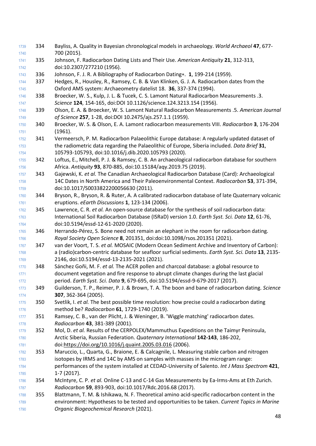334 Bayliss, A. Quality in Bayesian chronological models in archaeology. *World Archaeol* **47**, 677- 700 (2015). 335 Johnson, F. Radiocarbon Dating Lists and Their Use. *American Antiquity* **21**, 312-313, doi:10.2307/277210 (1956). 336 Johnson, F. J. R. A Bibliography of Radiocarbon Dating∗. **1**, 199-214 (1959). 337 Hedges, R., Housley, R., Ramsey, C. B. & Van Klinken, G. J. A. Radiocarbon dates from the Oxford AMS system: Archaeometry datelist 18. **36**, 337-374 (1994). 338 Broecker, W. S., Kulp, J. L. & Tucek, C. S. Lamont Natural Radiocarbon Measurements .3. *Science* **124**, 154-165, doi:DOI 10.1126/science.124.3213.154 (1956). 339 Olson, E. A. & Broecker, W. S. Lamont Natural Radiocarbon Measurements .5. *American Journal of Science* **257**, 1-28, doi:DOI 10.2475/ajs.257.1.1 (1959). 340 Broecker, W. S. & Olson, E. A. Lamont radiocarbon measurements VIII. *Radiocarbon* **3**, 176-204 (1961). 341 Vermeersch, P. M. Radiocarbon Palaeolithic Europe database: A regularly updated dataset of the radiometric data regarding the Palaeolithic of Europe, Siberia included. *Data Brief* **31**, 105793-105793, doi:10.1016/j.dib.2020.105793 (2020). 342 Loftus, E., Mitchell, P. J. & Ramsey, C. B. An archaeological radiocarbon database for southern Africa. *Antiquity* **93**, 870-885, doi:10.15184/aqy.2019.75 (2019). 343 Gajewski, K. *et al.* The Canadian Archaeological Radiocarbon Database (Card): Archaeological 14C Dates in North America and Their Paleoenvironmental Context. *Radiocarbon* **53**, 371-394, doi:10.1017/S0033822200056630 (2011). 344 Bryson, R., Bryson, R. & Ruter, A. A calibrated radiocarbon database of late Quaternary volcanic eruptions. *eEarth Discussions* **1**, 123-134 (2006). 345 Lawrence, C. R. *et al.* An open-source database for the synthesis of soil radiocarbon data: International Soil Radiocarbon Database (ISRaD) version 1.0. *Earth Syst. Sci. Data* **12**, 61-76, doi:10.5194/essd-12-61-2020 (2020). 346 Herrando-Pérez, S. Bone need not remain an elephant in the room for radiocarbon dating. *Royal Society Open Science* **8**, 201351, doi:doi:10.1098/rsos.201351 (2021). 347 van der Voort, T. S. *et al.* MOSAIC (Modern Ocean Sediment Archive and Inventory of Carbon): a (radio)carbon-centric database for seafloor surficial sediments. *Earth Syst. Sci. Data* **13**, 2135- 2146, doi:10.5194/essd-13-2135-2021 (2021). 348 Sánchez Goñi, M. F. *et al.* The ACER pollen and charcoal database: a global resource to document vegetation and fire response to abrupt climate changes during the last glacial period. *Earth Syst. Sci. Data* **9**, 679-695, doi:10.5194/essd-9-679-2017 (2017). 349 Guilderson, T. P., Reimer, P. J. & Brown, T. A. The boon and bane of radiocarbon dating. *Science* **307**, 362-364 (2005). 350 Svetlik, I. *et al.* The best possible time resolution: how precise could a radiocarbon dating method be? *Radiocarbon* **61**, 1729-1740 (2019). 351 Ramsey, C. B., van der Plicht, J. & Weninger, B. 'Wiggle matching' radiocarbon dates. *Radiocarbon* **43**, 381-389 (2001). 352 Mol, D. *et al.* Results of the CERPOLEX/Mammuthus Expeditions on the Taimyr Peninsula, Arctic Siberia, Russian Federation. *Quaternary International* **142-143**, 186-202, doi[:https://doi.org/10.1016/j.quaint.2005.03.016](https://doi.org/10.1016/j.quaint.2005.03.016) (2006). 353 Maruccio, L., Quarta, G., Braione, E. & Calcagnile, L. Measuring stable carbon and nitrogen isotopes by IRMS and 14C by AMS on samples with masses in the microgram range: performances of the system installed at CEDAD-University of Salento. *Int J Mass Spectrom* **421**, 1-7 (2017). 354 McIntyre, C. P. *et al.* Online C-13 and C-14 Gas Measurements by Ea-Irms-Ams at Eth Zurich. *Radiocarbon* **59**, 893-903, doi:10.1017/Rdc.2016.68 (2017). 355 Blattmann, T. M. & Ishikawa, N. F. Theoretical amino acid-specific radiocarbon content in the environment: Hypotheses to be tested and opportunities to be taken. *Current Topics in Marine Organic Biogeochemical Research* (2021).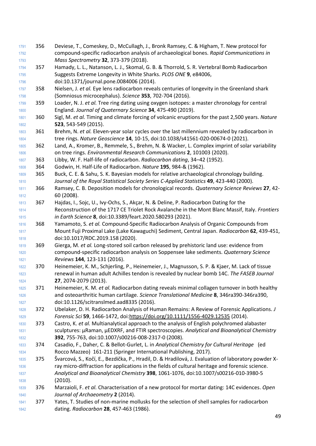- 356 Deviese, T., Comeskey, D., McCullagh, J., Bronk Ramsey, C. & Higham, T. New protocol for compound‐specific radiocarbon analysis of archaeological bones. *Rapid Communications in Mass Spectrometry* **32**, 373-379 (2018).
- 357 Hamady, L. L., Natanson, L. J., Skomal, G. B. & Thorrold, S. R. Vertebral Bomb Radiocarbon Suggests Extreme Longevity in White Sharks. *PLOS ONE* **9**, e84006, doi:10.1371/journal.pone.0084006 (2014).
- 358 Nielsen, J. *et al.* Eye lens radiocarbon reveals centuries of longevity in the Greenland shark (Somniosus microcephalus). *Science* **353**, 702-704 (2016).
- 359 Loader, N. J. *et al.* Tree ring dating using oxygen isotopes: a master chronology for central England. *Journal of Quaternary Science* **34**, 475-490 (2019).
- 360 Sigl, M. *et al.* Timing and climate forcing of volcanic eruptions for the past 2,500 years. *Nature* **523**, 543-549 (2015).
- 361 Brehm, N. *et al.* Eleven-year solar cycles over the last millennium revealed by radiocarbon in tree rings. *Nature Geoscience* **14**, 10-15, doi:10.1038/s41561-020-00674-0 (2021).
- 362 Land, A., Kromer, B., Remmele, S., Brehm, N. & Wacker, L. Complex imprint of solar variability on tree rings. *Environmental Research Communications* **2**, 101003 (2020).
- 363 Libby, W. F. Half-life of radiocarbon. *Radiocarbon dating*, 34–42 (1952).
- 364 Godwin, H. Half-Life of Radiocarbon. *Nature* **195**, 984-& (1962).
- 365 Buck, C. E. & Sahu, S. K. Bayesian models for relative archaeological chronology building. *Journal of the Royal Statistical Society Series C-Applied Statistics* **49**, 423-440 (2000).
- 366 Ramsey, C. B. Deposition models for chronological records. *Quaternary Science Reviews* **27**, 42- 60 (2008).
- 367 Hajdas, I., Sojc, U., Ivy-Ochs, S., Akçar, N. & Deline, P. Radiocarbon Dating for the Reconstruction of the 1717 CE Triolet Rock Avalanche in the Mont Blanc Massif, Italy. *Frontiers in Earth Science* **8**, doi:10.3389/feart.2020.580293 (2021).
- 368 Yamamoto, S. *et al.* Compound-Specific Radiocarbon Analysis of Organic Compounds from Mount Fuji Proximal Lake (Lake Kawaguchi) Sediment, Central Japan. *Radiocarbon* **62**, 439-451, doi:10.1017/RDC.2019.158 (2020).
- 369 Gierga, M. *et al.* Long-stored soil carbon released by prehistoric land use: evidence from compound-specific radiocarbon analysis on Soppensee lake sediments. *Quaternary Science Reviews* **144**, 123-131 (2016).
- 370 Heinemeier, K. M., Schjerling, P., Heinemeier, J., Magnusson, S. P. & Kjaer, M. Lack of tissue renewal in human adult Achilles tendon is revealed by nuclear bomb 14C. *The FASEB Journal* **27**, 2074-2079 (2013).
- 371 Heinemeier, K. M. *et al.* Radiocarbon dating reveals minimal collagen turnover in both healthy and osteoarthritic human cartilage. *Science Translational Medicine* **8**, 346ra390-346ra390, doi:10.1126/scitranslmed.aad8335 (2016).
- 372 Ubelaker, D. H. Radiocarbon Analysis of Human Remains: A Review of Forensic Applications. *J Forensic Sci* **59**, 1466-1472, doi[:https://doi.org/10.1111/1556-4029.12535](https://doi.org/10.1111/1556-4029.12535) (2014).
- 373 Castro, K. *et al.* Multianalytical approach to the analysis of English polychromed alabaster sculptures: μRaman, μEDXRF, and FTIR spectroscopies. *Analytical and Bioanalytical Chemistry* **392**, 755-763, doi:10.1007/s00216-008-2317-0 (2008).
- 374 Casadio, F., Daher, C. & Bellot-Gurlet, L. in *Analytical Chemistry for Cultural Heritage* (ed Rocco Mazzeo) 161-211 (Springer International Publishing, 2017).
- 375 Švarcová, S., Kočí, E., Bezdička, P., Hradil, D. & Hradilová, J. Evaluation of laboratory powder X- ray micro-diffraction for applications in the fields of cultural heritage and forensic science. *Analytical and Bioanalytical Chemistry* **398**, 1061-1076, doi:10.1007/s00216-010-3980-5 (2010).
- 376 Marzaioli, F. *et al.* Characterisation of a new protocol for mortar dating: 14C evidences. *Open Journal of Archaeometry* **2** (2014).
- 377 Yates, T. Studies of non-marine mollusks for the selection of shell samples for radiocarbon dating. *Radiocarbon* **28**, 457-463 (1986).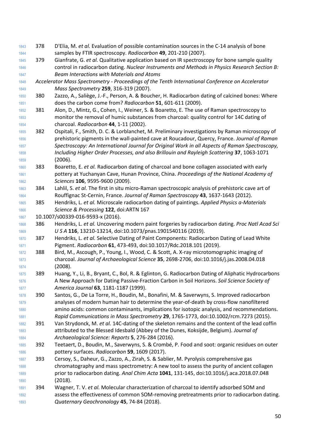- 378 D'Elia, M. *et al.* Evaluation of possible contamination sources in the C-14 analysis of bone samples by FTIR spectroscopy. *Radiocarbon* **49**, 201-210 (2007).
- 379 Gianfrate, G. *et al.* Qualitative application based on IR spectroscopy for bone sample quality control in radiocarbon dating. *Nuclear Instruments and Methods in Physics Research Section B: Beam Interactions with Materials and Atoms*
- *Accelerator Mass Spectrometry - Proceedings of the Tenth International Conference on Accelerator Mass Spectrometry* **259**, 316-319 (2007).
- 380 Zazzo, A., Saliège, J.-F., Person, A. & Boucher, H. Radiocarbon dating of calcined bones: Where does the carbon come from? *Radiocarbon* **51**, 601-611 (2009).
- 381 Alon, D., Mintz, G., Cohen, I., Weiner, S. & Boaretto, E. The use of Raman spectroscopy to monitor the removal of humic substances from charcoal: quality control for 14C dating of charcoal. *Radiocarbon* **44**, 1-11 (2002).
- 382 Ospitali, F., Smith, D. C. & Lorblanchet, M. Preliminary investigations by Raman microscopy of prehistoric pigments in the wall‐painted cave at Roucadour, Quercy, France. *Journal of Raman Spectroscopy: An International Journal for Original Work in all Aspects of Raman Spectroscopy, Including Higher Order Processes, and also Brillouin and Rayleigh Scattering* **37**, 1063-1071 (2006).
- 383 Boaretto, E. *et al.* Radiocarbon dating of charcoal and bone collagen associated with early pottery at Yuchanyan Cave, Hunan Province, China. *Proceedings of the National Academy of Sciences* **106**, 9595-9600 (2009).
- 384 Lahlil, S. *et al.* The first in situ micro‐Raman spectroscopic analysis of prehistoric cave art of Rouffignac St‐Cernin, France. *Journal of Raman Spectroscopy* **43**, 1637-1643 (2012).
- 385 Hendriks, L. *et al.* Microscale radiocarbon dating of paintings. *Applied Physics a-Materials Science & Processing* **122**, doi:ARTN 167
- 10.1007/s00339-016-9593-x (2016).
- 386 Hendriks, L. *et al.* Uncovering modern paint forgeries by radiocarbon dating. *Proc Natl Acad Sci U S A* **116**, 13210-13214, doi:10.1073/pnas.1901540116 (2019).
- 387 Hendriks, L. *et al.* Selective Dating of Paint Components: Radiocarbon Dating of Lead White Pigment. *Radiocarbon* **61**, 473-493, doi:10.1017/Rdc.2018.101 (2019).
- 388 Bird, M., Ascough, P., Young, I., Wood, C. & Scott, A. X-ray microtomographic imaging of charcoal. *Journal of Archaeological Science* **35**, 2698-2706, doi:10.1016/j.jas.2008.04.018 (2008).
- 389 Huang, Y., Li, B., Bryant, C., Bol, R. & Eglinton, G. Radiocarbon Dating of Aliphatic Hydrocarbons A New Approach for Dating Passive‐Fraction Carbon in Soil Horizons. *Soil Science Society of America Journal* **63**, 1181-1187 (1999).
- 390 Santos, G., De La Torre, H., Boudin, M., Bonafini, M. & Saverwyns, S. Improved radiocarbon analyses of modern human hair to determine the year-of-death by cross-flow nanofiltered amino acids: common contaminants, implications for isotopic analysis, and recommendations. *Rapid Communications in Mass Spectrometry* **29**, 1765-1773, doi:10.1002/rcm.7273 (2015).
- 391 Van Strydonck, M. *et al.* 14C-dating of the skeleton remains and the content of the lead coffin attributed to the Blessed Idesbald (Abbey of the Dunes, Koksijde, Belgium). *Journal of Archaeological Science: Reports* **5**, 276-284 (2016).
- 392 Teetaert, D., Boudin, M., Saverwyns, S. & Crombé, P. Food and soot: organic residues on outer pottery surfaces. *Radiocarbon* **59**, 1609 (2017).
- 393 Cersoy, S., Daheur, G., Zazzo, A., Zirah, S. & Sablier, M. Pyrolysis comprehensive gas chromatography and mass spectrometry: A new tool to assess the purity of ancient collagen prior to radiocarbon dating. *Anal Chim Acta* **1041**, 131-145, doi:10.1016/j.aca.2018.07.048 (2018).
- 394 Wagner, T. V. *et al.* Molecular characterization of charcoal to identify adsorbed SOM and assess the effectiveness of common SOM-removing pretreatments prior to radiocarbon dating. *Quaternary Geochronology* **45**, 74-84 (2018).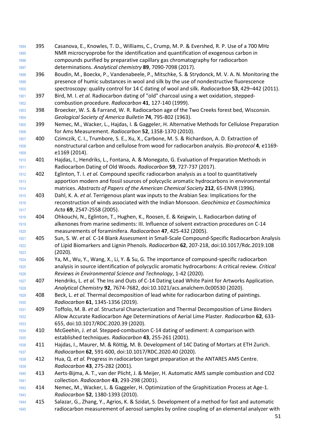NMR microcryoprobe for the identification and quantification of exogenous carbon in compounds purified by preparative capillary gas chromatography for radiocarbon determinations. *Analytical chemistry* **89**, 7090-7098 (2017). 396 Boudin, M., Boeckx, P., Vandenabeele, P., Mitschke, S. & Strydonck, M. V. A. N. Monitoring the presence of humic substances in wool and silk by the use of nondestructive fluorescence spectroscopy: quality control for 14 C dating of wool and silk. *Radiocarbon* **53**, 429–442 (2011). 397 Bird, M. I. *et al.* Radiocarbon dating of "old" charcoal using a wet oxidation, stepped- combustion procedure. *Radiocarbon* **41**, 127-140 (1999). 398 Broecker, W. S. & Farrand, W. R. Radiocarbon age of the Two Creeks forest bed, Wisconsin. *Geological Society of America Bulletin* **74**, 795-802 (1963). 399 Nemec, M., Wacker, L., Hajdas, I. & Gaggeler, H. Alternative Methods for Cellulose Preparation for Ams Measurement. *Radiocarbon* **52**, 1358-1370 (2010). 400 Czimczik, C. I., Trumbore, S. E., Xu, X., Carbone, M. S. & Richardson, A. D. Extraction of nonstructural carbon and cellulose from wood for radiocarbon analysis. *Bio-protocol* **4**, e1169- **e1169 (2014).**  401 Hajdas, I., Hendriks, L., Fontana, A. & Monegato, G. Evaluation of Preparation Methods in Radiocarbon Dating of Old Woods. *Radiocarbon* **59**, 727-737 (2017). 402 Eglinton, T. I. *et al.* Compound specific radiocarbon analysis as a tool to quantitatively apportion modern and fossil sources of polycyclic aromatic hydrocarbons in environmental matrices. *Abstracts of Papers of the American Chemical Society* **212**, 65-ENVR (1996). 403 Dahl, K. A. *et al.* Terrigenous plant wax inputs to the Arabian Sea: Implications for the reconstruction of winds associated with the Indian Monsoon. *Geochimica et Cosmochimica Acta* **69**, 2547-2558 (2005). 404 Ohkouchi, N., Eglinton, T., Hughen, K., Roosen, E. & Keigwin, L. Radiocarbon dating of alkenones from marine sediments: III. Influence of solvent extraction procedures on C-14 measurements of foraminifera. *Radiocarbon* **47**, 425-432 (2005). 405 Sun, S. W. *et al.* C-14 Blank Assessment in Small-Scale Compound-Specific Radiocarbon Analysis of Lipid Biomarkers and Lignin Phenols. *Radiocarbon* **62**, 207-218, doi:10.1017/Rdc.2019.108 (2020). 406 Ya, M., Wu, Y., Wang, X., Li, Y. & Su, G. The importance of compound-specific radiocarbon analysis in source identification of polycyclic aromatic hydrocarbons: A critical review. *Critical Reviews in Environmental Science and Technology*, 1-42 (2020). 407 Hendriks, L. *et al.* The Ins and Outs of C-14 Dating Lead White Paint for Artworks Application. *Analytical Chemistry* **92**, 7674-7682, doi:10.1021/acs.analchem.0c00530 (2020). 408 Beck, L. *et al.* Thermal decomposition of lead white for radiocarbon dating of paintings. *Radiocarbon* **61**, 1345-1356 (2019). 409 Toffolo, M. B. *et al.* Structural Characterization and Thermal Decomposition of Lime Binders Allow Accurate Radiocarbon Age Determinations of Aerial Lime Plaster. *Radiocarbon* **62**, 633- 655, doi:10.1017/RDC.2020.39 (2020). 410 McGeehin, J. *et al.* Stepped-combustion C-14 dating of sediment: A comparison with established techniques. *Radiocarbon* **43**, 255-261 (2001). 411 Hajdas, I., Maurer, M. & Röttig, M. B. Development of 14C Dating of Mortars at ETH Zurich. *Radiocarbon* **62**, 591-600, doi:10.1017/RDC.2020.40 (2020). 412 Hua, Q. *et al.* Progress in radiocarbon target preparation at the ANTARES AMS Centre.

395 Casanova, E., Knowles, T. D., Williams, C., Crump, M. P. & Evershed, R. P. Use of a 700 MHz

 *Radiocarbon* **43**, 275-282 (2001). 413 Aerts-Bijma, A. T., van der Plicht, J. & Meijer, H. Automatic AMS sample combustion and CO2 collection. *Radiocarbon* **43**, 293-298 (2001).

- 414 Nemec, M., Wacker, L. & Gaggeler, H. Optimization of the Graphitization Process at Age-1. *Radiocarbon* **52**, 1380-1393 (2010).
- 415 Salazar, G., Zhang, Y., Agrios, K. & Szidat, S. Development of a method for fast and automatic radiocarbon measurement of aerosol samples by online coupling of an elemental analyzer with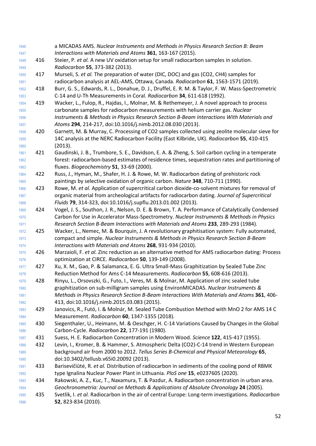| 1946         |     | a MICADAS AMS. Nuclear Instruments and Methods in Physics Research Section B: Beam                                                                                                |
|--------------|-----|-----------------------------------------------------------------------------------------------------------------------------------------------------------------------------------|
| 1947         |     | Interactions with Materials and Atoms 361, 163-167 (2015).                                                                                                                        |
| 1948         | 416 | Steier, P. et al. A new UV oxidation setup for small radiocarbon samples in solution.                                                                                             |
| 1949         |     | Radiocarbon 55, 373-382 (2013).                                                                                                                                                   |
| 1950         | 417 | Murseli, S. et al. The preparation of water (DIC, DOC) and gas (CO2, CH4) samples for                                                                                             |
| 1951         |     | radiocarbon analysis at AEL-AMS, Ottawa, Canada. Radiocarbon 61, 1563-1571 (2019).                                                                                                |
| 1952         | 418 | Burr, G. S., Edwards, R. L., Donahue, D. J., Druffel, E. R. M. & Taylor, F. W. Mass-Spectrometric                                                                                 |
| 1953         |     | C-14 and U-Th Measurements in Coral. Radiocarbon 34, 611-618 (1992).                                                                                                              |
| 1954         | 419 | Wacker, L., Fulop, R., Hajdas, I., Molnar, M. & Rethemeyer, J. A novel approach to process                                                                                        |
| 1955         |     | carbonate samples for radiocarbon measurements with helium carrier gas. Nuclear                                                                                                   |
| 1956         |     | Instruments & Methods in Physics Research Section B-Beam Interactions With Materials and                                                                                          |
| 1957         |     | Atoms 294, 214-217, doi:10.1016/j.nimb.2012.08.030 (2013).                                                                                                                        |
| 1958         | 420 | Garnett, M. & Murray, C. Processing of CO2 samples collected using zeolite molecular sieve for                                                                                    |
| 1959         |     | 14C analysis at the NERC Radiocarbon Facility (East Kilbride, UK). Radiocarbon 55, 410-415                                                                                        |
| 1960         |     | (2013).                                                                                                                                                                           |
| 1961         | 421 | Gaudinski, J. B., Trumbore, S. E., Davidson, E. A. & Zheng, S. Soil carbon cycling in a temperate                                                                                 |
| 1962         |     | forest: radiocarbon-based estimates of residence times, sequestration rates and partitioning of                                                                                   |
| 1963         |     | fluxes. Biogeochemistry 51, 33-69 (2000).                                                                                                                                         |
| 1964         | 422 | Russ, J., Hyman, M., Shafer, H. J. & Rowe, M. W. Radiocarbon dating of prehistoric rock                                                                                           |
| 1965         | 423 | paintings by selective oxidation of organic carbon. Nature 348, 710-711 (1990).<br>Rowe, M. et al. Application of supercritical carbon dioxide-co-solvent mixtures for removal of |
| 1966<br>1967 |     | organic material from archeological artifacts for radiocarbon dating. Journal of Supercritical                                                                                    |
| 1968         |     | Fluids 79, 314-323, doi:10.1016/j.supflu.2013.01.002 (2013).                                                                                                                      |
| 1969         | 424 | Vogel, J. S., Southon, J. R., Nelson, D. E. & Brown, T. A. Performance of Catalytically Condensed                                                                                 |
| 1970         |     | Carbon for Use in Accelerator Mass-Spectrometry. Nuclear Instruments & Methods in Physics                                                                                         |
| 1971         |     | Research Section B-Beam Interactions with Materials and Atoms 233, 289-293 (1984).                                                                                                |
| 1972         | 425 | Wacker, L., Nemec, M. & Bourquin, J. A revolutionary graphitisation system: Fully automated,                                                                                      |
| 1973         |     | compact and simple. Nuclear Instruments & Methods in Physics Research Section B-Beam                                                                                              |
| 1974         |     | Interactions with Materials and Atoms 268, 931-934 (2010).                                                                                                                        |
| 1975         | 426 | Marzaioli, F. et al. Zinc reduction as an alternative method for AMS radiocarbon dating: Process                                                                                  |
| 1976         |     | optimization at CIRCE. Radiocarbon 50, 139-149 (2008).                                                                                                                            |
| 1977         | 427 | Xu, X. M., Gao, P. & Salamanca, E. G. Ultra Small-Mass Graphitization by Sealed Tube Zinc                                                                                         |
| 1978         |     | Reduction Method for Ams C-14 Measurements. Radiocarbon 55, 608-616 (2013).                                                                                                       |
| 1979         | 428 | Rinyu, L., Orsovszki, G., Futo, I., Veres, M. & Molnar, M. Application of zinc sealed tube                                                                                        |
| 1980         |     | graphitization on sub-milligram samples using EnvironMICADAS. Nuclear Instruments &                                                                                               |
| 1981         |     | Methods in Physics Research Section B-Beam Interactions With Materials and Atoms 361, 406-                                                                                        |
| 1982         |     | 413, doi:10.1016/j.nimb.2015.03.083 (2015).                                                                                                                                       |
| 1983         | 429 | Janovics, R., Futó, I. & Molnár, M. Sealed Tube Combustion Method with MnO 2 for AMS 14 C                                                                                         |
| 1984         |     | Measurement. Radiocarbon 60, 1347-1355 (2018).                                                                                                                                    |
| 1985         | 430 | Siegenthaler, U., Heimann, M. & Oeschger, H. C-14 Variations Caused by Changes in the Global                                                                                      |
| 1986         |     | Carbon-Cycle. Radiocarbon 22, 177-191 (1980).                                                                                                                                     |
| 1987         | 431 | Suess, H. E. Radiocarbon Concentration in Modern Wood. Science 122, 415-417 (1955).                                                                                               |
| 1988         | 432 | Levin, I., Kromer, B. & Hammer, S. Atmospheric Delta (CO2)-C-14 trend in Western European                                                                                         |
| 1989         |     | background air from 2000 to 2012. Tellus Series B-Chemical and Physical Meteorology 65,                                                                                           |
| 1990         |     | doi:10.3402/tellusb.v65i0.20092 (2013).                                                                                                                                           |
| 1991         | 433 | Barisevičiūtė, R. et al. Distribution of radiocarbon in sediments of the cooling pond of RBMK                                                                                     |
| 1992         |     | type Ignalina Nuclear Power Plant in Lithuania. PloS one 15, e0237605 (2020).                                                                                                     |
| 1993         | 434 | Rakowski, A. Z., Kuc, T., Naxamura, T. & Pazdur, A. Radiocarbon concentration in urban area.                                                                                      |
| 1994         |     | Geochronometria: Journal on Methods & Applications of Absolute Chronology 24 (2005).                                                                                              |
| 1995         | 435 | Svetlik, I. et al. Radiocarbon in the air of central Europe: Long-term investigations. Radiocarbon                                                                                |
| 1996         |     | 52, 823-834 (2010).                                                                                                                                                               |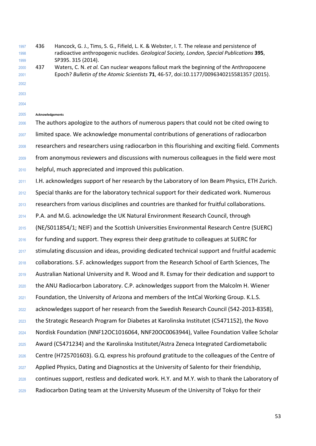436 Hancock, G. J., Tims, S. G., Fifield, L. K. & Webster, I. T. The release and persistence of radioactive anthropogenic nuclides. *Geological Society, London, Special Publications* **395**, **SP395. 315 (2014).** 

 437 Waters, C. N. *et al.* Can nuclear weapons fallout mark the beginning of the Anthropocene Epoch? *Bulletin of the Atomic Scientists* **71**, 46-57, doi:10.1177/0096340215581357 (2015).

- 
- 
- 

## **Acknowledgements**

 The authors apologize to the authors of numerous papers that could not be cited owing to limited space. We acknowledge monumental contributions of generations of radiocarbon researchers and researchers using radiocarbon in this flourishing and exciting field. Comments from anonymous reviewers and discussions with numerous colleagues in the field were most helpful, much appreciated and improved this publication.

- I.H. acknowledges support of her research by the Laboratory of Ion Beam Physics, ETH Zurich.
- Special thanks are for the laboratory technical support for their dedicated work. Numerous
- researchers from various disciplines and countries are thanked for fruitful collaborations.
- P.A. and M.G. acknowledge the UK Natural Environment Research Council, through
- (NE/S011854/1; NEIF) and the Scottish Universities Environmental Research Centre (SUERC)
- for funding and support. They express their deep gratitude to colleagues at SUERC for
- stimulating discussion and ideas, providing dedicated technical support and fruitful academic
- collaborations. S.F. acknowledges support from the Research School of Earth Sciences, The
- Australian National University and R. Wood and R. Esmay for their dedication and support to
- the ANU Radiocarbon Laboratory. C.P. acknowledges support from the Malcolm H. Wiener
- Foundation, the University of Arizona and members of the IntCal Working Group. K.L.S.
- acknowledges support of her research from the Swedish Research Council (542-2013-8358),
- the Strategic Research Program for Diabetes at Karolinska Institutet (C5471152), the Novo
- Nordisk Foundation (NNF12OC1016064, NNF20OC0063944), Vallee Foundation Vallee Scholar
- Award (C5471234) and the Karolinska Institutet/Astra Zeneca Integrated Cardiometabolic
- Centre (H725701603). G.Q. express his profound gratitude to the colleagues of the Centre of
- 2027 Applied Physics, Dating and Diagnostics at the University of Salento for their friendship,
- continues support, restless and dedicated work. H.Y. and M.Y. wish to thank the Laboratory of
- Radiocarbon Dating team at the University Museum of the University of Tokyo for their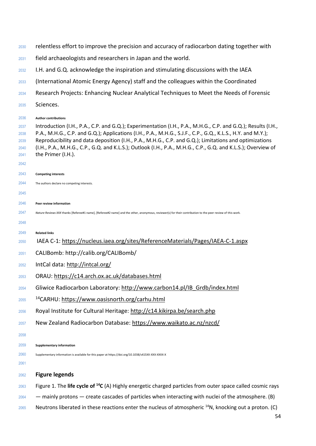| 2030         | relentless effort to improve the precision and accuracy of radiocarbon dating together with                                                                                                                                  |
|--------------|------------------------------------------------------------------------------------------------------------------------------------------------------------------------------------------------------------------------------|
| 2031         | field archaeologists and researchers in Japan and the world.                                                                                                                                                                 |
| 2032         | I.H. and G.Q. acknowledge the inspiration and stimulating discussions with the IAEA                                                                                                                                          |
| 2033         | (International Atomic Energy Agency) staff and the colleagues within the Coordinated                                                                                                                                         |
| 2034         | Research Projects: Enhancing Nuclear Analytical Techniques to Meet the Needs of Forensic                                                                                                                                     |
| 2035         | Sciences.                                                                                                                                                                                                                    |
|              |                                                                                                                                                                                                                              |
| 2036         | <b>Author contributions</b>                                                                                                                                                                                                  |
| 2037<br>2038 | Introduction (I.H., P.A., C.P. and G.Q.); Experimentation (I.H., P.A., M.H.G., C.P. and G.Q.); Results (I.H.,<br>P.A., M.H.G., C.P. and G.Q.); Applications (I.H., P.A., M.H.G., S.J.F., C.P., G.Q., K.L.S., H.Y. and M.Y.); |
| 2039         | Reproducibility and data deposition (I.H., P.A., M.H.G., C.P. and G.Q.); Limitations and optimizations                                                                                                                       |
| 2040         | (I.H., P.A., M.H.G., C.P., G.Q. and K.L.S.); Outlook (I.H., P.A., M.H.G., C.P., G.Q. and K.L.S.); Overview of                                                                                                                |
| 2041         | the Primer (I.H.).                                                                                                                                                                                                           |
| 2042         |                                                                                                                                                                                                                              |
| 2043         | <b>Competing interests</b>                                                                                                                                                                                                   |
| 2044         | The authors declare no competing interests.                                                                                                                                                                                  |
| 2045         |                                                                                                                                                                                                                              |
| 2046         | Peer review information                                                                                                                                                                                                      |
| 2047         | Nature Reviews XXX thanks [Referee#1 name], [Referee#2 name] and the other, anonymous, reviewer(s) for their contribution to the peer review of this work.                                                                   |
| 2048         |                                                                                                                                                                                                                              |
| 2049         | <b>Related links</b>                                                                                                                                                                                                         |
| 2050         | IAEA C-1: https://nucleus.iaea.org/sites/ReferenceMaterials/Pages/IAEA-C-1.aspx                                                                                                                                              |
| 2051         | CALIBomb: http://calib.org/CALIBomb/                                                                                                                                                                                         |
| 2052         | IntCal data: http://intcal.org/                                                                                                                                                                                              |
| 2053         | ORAU: https://c14.arch.ox.ac.uk/databases.html                                                                                                                                                                               |
| 2054         | Gliwice Radiocarbon Laboratory: http://www.carbon14.pl/IB Grdb/index.html                                                                                                                                                    |
| 2055         | <sup>14</sup> CARHU: https://www.oasisnorth.org/carhu.html                                                                                                                                                                   |
| 2056         | Royal Institute for Cultural Heritage: http://c14.kikirpa.be/search.php                                                                                                                                                      |
| 2057         | New Zealand Radiocarbon Database: https://www.waikato.ac.nz/nzcd/                                                                                                                                                            |
| 2058         |                                                                                                                                                                                                                              |
| 2059         | <b>Supplementary information</b>                                                                                                                                                                                             |
| 2060         | Supplementary information is available for this paper at https://doi.org/10.1038/s415XX-XXX-XXXX-X                                                                                                                           |
| 2061         |                                                                                                                                                                                                                              |
| 2062         | <b>Figure legends</b>                                                                                                                                                                                                        |
| 2063         | Figure 1. The life cycle of $^{14}C$ (A) Highly energetic charged particles from outer space called cosmic rays                                                                                                              |
| 2064         | - mainly protons - create cascades of particles when interacting with nuclei of the atmosphere. (B)                                                                                                                          |

Neutrons liberated in these reactions enter the nucleus of atmospheric  $14$ N, knocking out a proton. (C)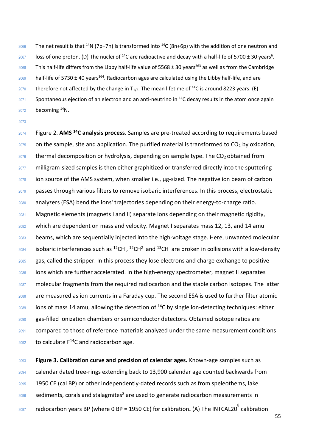2066 The net result is that <sup>14</sup>N (7p+7n) is transformed into <sup>14</sup>C (8n+6p) with the addition of one neutron and  $_{2067}$  loss of one proton. (D) The nuclei of <sup>14</sup>C are radioactive and decay with a half-life of 5700 ± 30 years<sup>6</sup>. 2068 This half-life differs from the Libby half-life value of 5568  $\pm$  30 years<sup>363</sup> as well as from the Cambridge half-life of 5730 ± 40 years<sup>364</sup>. Radiocarbon ages are calculated using the Libby half-life, and are 2070 therefore not affected by the change in  $T_{1/2}$ . The mean lifetime of <sup>14</sup>C is around 8223 years. (E) Spontaneous ejection of an electron and an anti-neutrino in  $^{14}$ C decay results in the atom once again becoming  $14$ N.

Figure 2. **AMS <sup>14</sup> C analysis process**. Samples are pre-treated according to requirements based on the sample, site and application. The purified material is transformed to CO<sub>2</sub> by oxidation, thermal decomposition or hydrolysis, depending on sample type. The CO<sub>2</sub> obtained from 2077 milligram-sized samples is then either graphitized or transferred directly into the sputtering ion source of the AMS system, when smaller i.e.,  $\mu$ g-sized. The negative ion beam of carbon passes through various filters to remove isobaric interferences. In this process, electrostatic analyzers (ESA) bend the ions' trajectories depending on their energy-to-charge ratio. Magnetic elements (magnets I and II) separate ions depending on their magnetic rigidity, which are dependent on mass and velocity. Magnet I separates mass 12, 13, and 14 amu beams, which are sequentially injected into the high-voltage stage. Here, unwanted molecular isobaric interferences such as <sup>12</sup>CH<sup>-</sup>, <sup>12</sup>CH<sup>2-</sup> and <sup>13</sup>CH<sup>-</sup> are broken in collisions with a low-density 2085 gas, called the stripper. In this process they lose electrons and charge exchange to positive ions which are further accelerated. In the high-energy spectrometer, magnet II separates molecular fragments from the required radiocarbon and the stable carbon isotopes. The latter are measured as ion currents in a Faraday cup. The second ESA is used to further filter atomic ions of mass 14 amu, allowing the detection of <sup>14</sup>C by single ion-detecting techniques: either gas-filled ionization chambers or semiconductor detectors. Obtained isotope ratios are compared to those of reference materials analyzed under the same measurement conditions to calculate  $F^{14}C$  and radiocarbon age.

 **Figure 3. Calibration curve and precision of calendar ages.** Known‐age samples such as calendar dated tree‐rings extending back to 13,900 calendar age counted backwards from 1950 CE (cal BP) or other independently-dated records such as from speleothems, lake sediments, corals and stalagmites<sup>8</sup> are used to generate radiocarbon measurements in 2097 Tadiocarbon years BP (where 0 BP = 1950 CE) for calibration**.** (A) The INTCAL20<sup>8</sup> calibration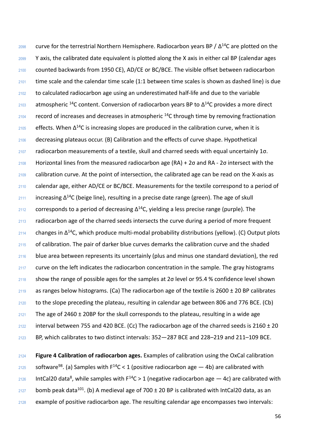2098 Lurve for the terrestrial Northern Hemisphere. Radiocarbon years BP /  $Δ^{14}C$  are plotted on the <sup>2099</sup> Y axis, the calibrated date equivalent is plotted along the X axis in either cal BP (calendar ages <sup>2100</sup> counted backwards from 1950 CE), AD/CE or BC/BCE. The visible offset between radiocarbon <sup>2101</sup> time scale and the calendar time scale (1:1 between time scales is shown as dashed line) is due 2102 to calculated radiocarbon age using an underestimated half-life and due to the variable 2103 atmospheric <sup>14</sup>C content. Conversion of radiocarbon years BP to  $Δ^{14}C$  provides a more direct  $2104$  record of increases and decreases in atmospheric <sup>14</sup>C through time by removing fractionation  $2105$  effects. When  $Δ^{14}C$  is increasing slopes are produced in the calibration curve, when it is <sup>2106</sup> decreasing plateaus occur. (B) Calibration and the effects of curve shape. Hypothetical <sup>2107</sup> radiocarbon measurements of a textile, skull and charred seeds with equal uncertainly 1σ. 2108 Horizontal lines from the measured radiocarbon age  $(RA) + 2\sigma$  and RA - 2 $\sigma$  intersect with the <sup>2109</sup> calibration curve. At the point of intersection, the calibrated age can be read on the X‐axis as 2110 calendar age, either AD/CE or BC/BCE. Measurements for the textile correspond to a period of  $_{2111}$  cincreasing Δ<sup>14</sup>C (beige line), resulting in a precise date range (green). The age of skull  $2112$  corresponds to a period of decreasing  $\Delta^{14}$ C, yielding a less precise range (purple). The  $2113$  radiocarbon age of the charred seeds intersects the curve during a period of more frequent 2114 changes in Δ<sup>14</sup>C, which produce multi-modal probability distributions (yellow). (C) Output plots <sup>2115</sup> of calibration. The pair of darker blue curves demarks the calibration curve and the shaded 2116 blue area between represents its uncertainly (plus and minus one standard deviation), the red <sup>2117</sup> curve on the left indicates the radiocarbon concentration in the sample. The gray histograms  $2118$  show the range of possible ages for the samples at 2 $\sigma$  level or 95.4 % confidence level shown  $2119$  as ranges below histograms. (Ca) The radiocarbon age of the textile is 2600 ± 20 BP calibrates 2120 to the slope preceding the plateau, resulting in calendar age between 806 and 776 BCE. (Cb) 2121 The age of 2460  $\pm$  20BP for the skull corresponds to the plateau, resulting in a wide age 2122 interval between 755 and 420 BCE. (Cc) The radiocarbon age of the charred seeds is 2160  $\pm$  20 <sup>2123</sup> BP, which calibrates to two distinct intervals: 352—287 BCE and 228–219 and 211–109 BCE.

<sup>2124</sup> **Figure 4 Calibration of radiocarbon ages.** Examples of calibration using the OxCal calibration 2125 Software<sup>98</sup>. (a) Samples with F<sup>14</sup>C < 1 (positive radiocarbon age  $-$  4b) are calibrated with 2126 IntCal20 data<sup>8</sup>, while samples with  $F^{14}C > 1$  (negative radiocarbon age  $-$  4c) are calibrated with  $2127$  bomb peak data<sup>101</sup>. (b) A medieval age of 700 ± 20 BP is calibrated with IntCal20 data, as an <sup>2128</sup> example of positive radiocarbon age. The resulting calendar age encompasses two intervals: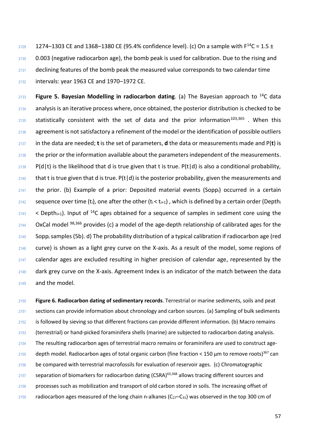2129 1274–1303 CE and 1368–1380 CE (95.4% confidence level). (c) On a sample with  $F^{14}C = 1.5 \pm 1.5$  0.003 (negative radiocarbon age), the bomb peak is used for calibration. Due to the rising and declining features of the bomb peak the measured value corresponds to two calendar time intervals: year 1963 CE and 1970–1972 CE.

**Figure 5. Bayesian Modelling in radiocarbon dating**. (a) The Bayesian approach to <sup>14</sup> C data analysis is an iterative process where, once obtained, the posterior distribution is checked to be statistically consistent with the set of data and the prior information<sup>103,365</sup>. When this 2136 agreement is not satisfactory a refinement of the model or the identification of possible outliers in the data are needed; **t** is the set of parameters, **d** the data or measurements made and P(**t**) is the prior or the information available about the parameters independent of the measurements. P(d|t) is the likelihood that d is true given that t is true. P(t|d) is also a conditional probability, 2140 that t is true given that d is true.  $P(t|d)$  is the posterior probability, given the measurements and the prior. (b) Example of a prior: Deposited material events (Sopp<sub>i</sub>) occurred in a certain 2142 sequence over time (t<sub>i</sub>), one after the other (t<sub>i</sub> < t<sub>i+1</sub>), which is defined by a certain order (Depth<sub>i</sub> < Depth<sub>i+1</sub>). Input of <sup>14</sup>C ages obtained for a sequence of samples in sediment core using the OxCal model  $98,366$  provides (c) a model of the age-depth relationship of calibrated ages for the Sopp<sub>i</sub> samples (5b). d) The probability distribution of a typical calibration if radiocarbon age (red curve) is shown as a light grey curve on the X-axis. As a result of the model, some regions of calendar ages are excluded resulting in higher precision of calendar age, represented by the dark grey curve on the X-axis. Agreement Index is an indicator of the match between the data and the model.

 **Figure 6. Radiocarbon dating of sedimentary records**. Terrestrial or marine sediments, soils and peat sections can provide information about chronology and carbon sources. (a) Sampling of bulk sediments 2152 is followed by sieving so that different fractions can provide different information. (b) Macro remains (terrestrial) or hand-picked foraminifera shells (marine) are subjected to radiocarbon dating analysis. The resulting radiocarbon ages of terrestrial macro remains or foraminifera are used to construct age-2155 depth model. Radiocarbon ages of total organic carbon (fine fraction < 150  $\mu$ m to remove roots)<sup>367</sup> can 2156 be compared with terrestrial macrofossils for evaluation of reservoir ages. (c) Chromatographic 2157 separation of biomarkers for radiocarbon dating (CSRA)<sup>63,368</sup> allows tracing different sources and 2158 processes such as mobilization and transport of old carbon stored in soils. The increasing offset of 2159 radiocarbon ages measured of the long chain n-alkanes ( $C_{27}-C_{31}$ ) was observed in the top 300 cm of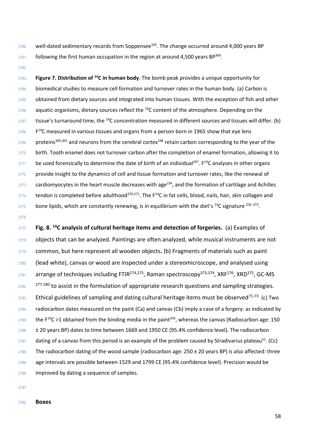2160 well-dated sedimentary records from Soppensee<sup>105</sup>. The change occurred around 4,000 years BP following the first human occupation in the region at around 4,500 years BP<sup>369</sup>.

**Figure 7. Distribution of <sup>14</sup> C in human body**. The bomb peak provides a unique opportunity for biomedical studies to measure cell formation and turnover rates in the human body. (a) Carbon is obtained from dietary sources and integrated into human tissues. With the exception of fish and other aquatic organisms, dietary sources reflect the  $14$ C content of the atmosphere. Depending on the tissue's turnaround time, the <sup>14</sup>C concentration measured in different sources and tissues will differ. (b) F<sup>14</sup>C measured in various tissues and organs from a person born in 1965 show that eye lens 2169 proteins<sup>300,301</sup> and neurons from the cerebral cortex<sup>248</sup> retain carbon corresponding to the year of the birth. Tooth enamel does not turnover carbon after the completion of enamel formation, allowing it to 2171 be used forensically to determine the date of birth of an individual<sup>297</sup>.  $F^{14}C$  analyses in other organs 2172 provide insight to the dynamics of cell and tissue formation and turnover rates, like the renewal of cardiomyocytes in the heart muscle decreases with age<sup>254</sup>, and the formation of cartilage and Achilles 2174 tendon is completed before adulthood<sup>370,371</sup>. The  $F^{14}C$  in fat cells, blood, nails, hair, skin collagen and 2175 bone lipids, which are constantly renewing, is in equilibrium with the diet's  $^{14}$ C signature  $^{256}$   $^{372}$ .

**Fig. 8. <sup>14</sup> C analysis of cultural heritage items and detection of forgeries.** (a) Examples of objects that can be analyzed. Paintings are often analyzed, while musical instruments are not common, but here represent all wooden objects**.** (b) Fragments of materials such as paint (lead white), canvas or wood are inspected under a stereomicroscope, and analysed using 2181 arrange of techniques including FTIR<sup>274,275</sup>, Raman spectroscopy<sup>373,374</sup>, XRF<sup>276</sup>, XRD<sup>375</sup>, GC-MS  $277-280$  to assist in the formulation of appropriate research questions and sampling strategies. 2183 Ethical guidelines of sampling and dating cultural heritage items must be observed<sup>71-73</sup> (c) Two radiocarbon dates measured on the paint (Ca) and canvas (Cb) imply a case of a forgery: as indicated by 2185 the F<sup>14</sup>C >1 obtained from the binding media in the paint<sup>326</sup>, whereas the canvas (Radiocarbon age: 150 ± 20 years BP) dates to time between 1669 and 1950 CE (95.4% confidence level). The radiocarbon dating of a canvas from this period is an example of the problem caused by Stradivarius plateau<sup>51</sup>. (Cc) 2188 The radiocarbon dating of the wood sample (radiocarbon age:  $250 \pm 20$  years BP) is also affected: three age intervals are possible between 1529 and 1799 CE (95.4% confidence level). Precision would be improved by dating a sequence of samples.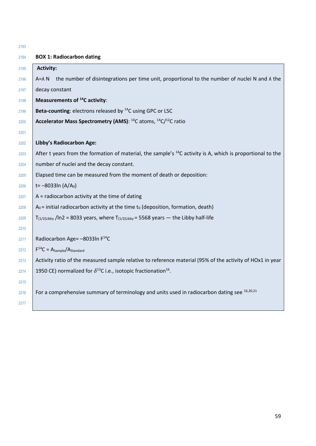| <b>BOX 1: Radiocarbon dating</b><br>2194<br><b>Activity:</b><br>2195<br>the number of disintegrations per time unit, proportional to the number of nuclei N and A the<br>$A = \Lambda N$<br>2196<br>decay constant<br>2197<br><b>Measurements of <sup>14</sup>C activity:</b><br>2198<br>Beta-counting: electrons released by <sup>14</sup> C using GPC or LSC<br>2199 |  |
|------------------------------------------------------------------------------------------------------------------------------------------------------------------------------------------------------------------------------------------------------------------------------------------------------------------------------------------------------------------------|--|
|                                                                                                                                                                                                                                                                                                                                                                        |  |
|                                                                                                                                                                                                                                                                                                                                                                        |  |
|                                                                                                                                                                                                                                                                                                                                                                        |  |
|                                                                                                                                                                                                                                                                                                                                                                        |  |
|                                                                                                                                                                                                                                                                                                                                                                        |  |
|                                                                                                                                                                                                                                                                                                                                                                        |  |
| Accelerator Mass Spectrometry (AMS): <sup>14</sup> C atoms, <sup>14</sup> C/ <sup>12</sup> C ratio<br>2200                                                                                                                                                                                                                                                             |  |
| 2201                                                                                                                                                                                                                                                                                                                                                                   |  |
| <b>Libby's Radiocarbon Age:</b><br>2202                                                                                                                                                                                                                                                                                                                                |  |
| After t years from the formation of material, the sample's <sup>14</sup> C activity is A, which is proportional to the<br>2203                                                                                                                                                                                                                                         |  |
| number of nuclei and the decay constant.<br>2204                                                                                                                                                                                                                                                                                                                       |  |
| Elapsed time can be measured from the moment of death or deposition:<br>2205                                                                                                                                                                                                                                                                                           |  |
| t= $-8033ln(A/A0)$<br>2206                                                                                                                                                                                                                                                                                                                                             |  |
| $A =$ radiocarbon activity at the time of dating<br>2207                                                                                                                                                                                                                                                                                                               |  |
| $A_0$ = initial radiocarbon activity at the time $t_0$ (deposition, formation, death)<br>2208                                                                                                                                                                                                                                                                          |  |
| $T_{[1/2]Libby}$ /ln2 = 8033 years, where $T_{[1/2]Libby}$ = 5568 years — the Libby half-life<br>2209                                                                                                                                                                                                                                                                  |  |
| 2210                                                                                                                                                                                                                                                                                                                                                                   |  |
| Radiocarbon Age= - 8033In F <sup>14</sup> C<br>2211                                                                                                                                                                                                                                                                                                                    |  |
| $F^{14}C = A_{Sample}/A_{Standard}$<br>2212                                                                                                                                                                                                                                                                                                                            |  |
| Activity ratio of the measured sample relative to reference material (95% of the activity of HOx1 in year<br>2213                                                                                                                                                                                                                                                      |  |
| 1950 CE) normalized for $\delta^{13}$ C i.e., isotopic fractionation <sup>16</sup> .<br>2214                                                                                                                                                                                                                                                                           |  |
| 2215                                                                                                                                                                                                                                                                                                                                                                   |  |
| For a comprehensive summary of terminology and units used in radiocarbon dating see 16,20,21<br>2216                                                                                                                                                                                                                                                                   |  |
| 2217                                                                                                                                                                                                                                                                                                                                                                   |  |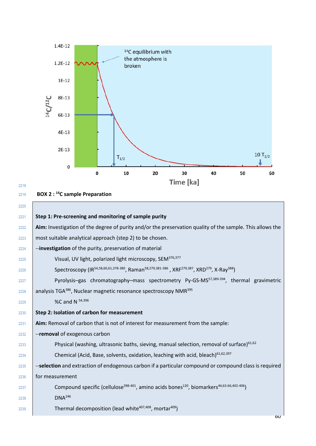

## 

# **BOX 2 : <sup>14</sup>C sample Preparation**

| 2220 |                                                                                                                                             |
|------|---------------------------------------------------------------------------------------------------------------------------------------------|
| 2221 | Step 1: Pre-screening and monitoring of sample purity                                                                                       |
| 2222 | Aim: Investigation of the degree of purity and/or the preservation quality of the sample. This allows the                                   |
| 2223 | most suitable analytical approach (step 2) to be chosen.                                                                                    |
| 2224 | --investigation of the purity, preservation of material                                                                                     |
| 2225 | Visual, UV light, polarized light microscopy, SEM <sup>376,377</sup>                                                                        |
| 2226 | Spectroscopy (IR54,58,60,61,378-380, Raman <sup>58,279,381-386</sup> , XRF <sup>279,387</sup> , XRD <sup>279</sup> , X-Ray <sup>388</sup> ) |
| 2227 | Pyrolysis-gas chromatography-mass spectrometry Py-GS-MS <sup>57,389-394</sup> , thermal gravimetric                                         |
| 2228 | analysis TGA <sup>386</sup> , Nuclear magnetic resonance spectroscopy NMR <sup>395</sup>                                                    |
| 2229 | %C and N 54,396                                                                                                                             |
| 2230 | Step 2: Isolation of carbon for measurement                                                                                                 |
| 2231 | Aim: Removal of carbon that is not of interest for measurement from the sample:                                                             |
| 2232 | --removal of exogenous carbon                                                                                                               |
| 2233 | Physical (washing, ultrasonic baths, sieving, manual selection, removal of surface) <sup>61,62</sup>                                        |
| 2234 | Chemical (Acid, Base, solvents, oxidation, leaching with acid, bleach) <sup>61,62,397</sup>                                                 |
| 2235 | --selection and extraction of endogenous carbon if a particular compound or compound class is required                                      |
| 2236 | for measurement                                                                                                                             |
| 2237 | Compound specific (cellulose <sup>398-401</sup> , amino acids bones <sup>120</sup> , biomarkers <sup>44,63-66,402-406</sup> )               |
| 2238 | DNA <sup>246</sup>                                                                                                                          |
| 2239 | Thermal decomposition (lead white <sup>407,408</sup> , mortar <sup>409</sup> )                                                              |
|      | bU                                                                                                                                          |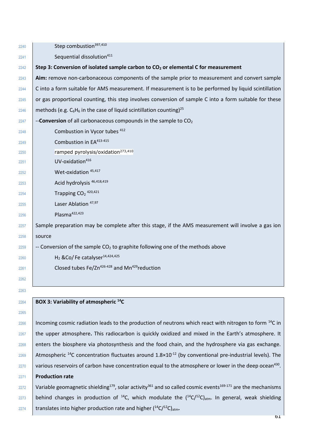| 2240 | Step combustion <sup>397,410</sup>                                                                                                              |
|------|-------------------------------------------------------------------------------------------------------------------------------------------------|
| 2241 | Sequential dissolution <sup>411</sup>                                                                                                           |
| 2242 | Step 3: Conversion of isolated sample carbon to CO <sub>2</sub> or elemental C for measurement                                                  |
| 2243 | Aim: remove non-carbonaceous components of the sample prior to measurement and convert sample                                                   |
| 2244 | C into a form suitable for AMS measurement. If measurement is to be performed by liquid scintillation                                           |
| 2245 | or gas proportional counting, this step involves conversion of sample C into a form suitable for these                                          |
| 2246 | methods (e.g. $C_6H_6$ in the case of liquid scintillation counting) <sup>25</sup>                                                              |
| 2247 | --Conversion of all carbonaceous compounds in the sample to $CO2$                                                                               |
| 2248 | Combustion in Vycor tubes 412                                                                                                                   |
| 2249 | Combustion in EA <sup>413-415</sup>                                                                                                             |
| 2250 | ramped pyrolysis/oxidation <sup>273,410</sup>                                                                                                   |
| 2251 | UV-oxidation <sup>416</sup>                                                                                                                     |
| 2252 | Wet-oxidation <sup>45,417</sup>                                                                                                                 |
| 2253 | Acid hydrolysis <sup>46,418,419</sup>                                                                                                           |
| 2254 | Trapping $CO2$ 420,421                                                                                                                          |
| 2255 | Laser Ablation 47,97                                                                                                                            |
| 2256 | Plasma <sup>422,423</sup>                                                                                                                       |
| 2257 | Sample preparation may be complete after this stage, if the AMS measurement will involve a gas ion                                              |
| 2258 | source                                                                                                                                          |
| 2259 | -- Conversion of the sample $CO2$ to graphite following one of the methods above                                                                |
| 2260 | H <sub>2</sub> &Co/Fe catalyser <sup>14,424,425</sup>                                                                                           |
| 2261 | Closed tubes $Fe/Zn^{426-428}$ and Mn <sup>429</sup> reduction                                                                                  |
| 2262 |                                                                                                                                                 |
| 2263 |                                                                                                                                                 |
| 2264 | BOX 3: Variability of atmospheric <sup>14</sup> C                                                                                               |
| 2265 |                                                                                                                                                 |
| 2266 | Incoming cosmic radiation leads to the production of neutrons which react with nitrogen to form <sup>14</sup> C in                              |
| 2267 | the upper atmosphere. This radiocarbon is quickly oxidized and mixed in the Earth's atmosphere. It                                              |
| 2268 | enters the biosphere via photosynthesis and the food chain, and the hydrosphere via gas exchange.                                               |
| 2269 | Atmospheric <sup>14</sup> C concentration fluctuates around $1.8 \times 10^{-12}$ (by conventional pre-industrial levels). The                  |
| 2270 | various reservoirs of carbon have concentration equal to the atmosphere or lower in the deep ocean <sup>430</sup> .                             |
| 2271 | <b>Production rate</b>                                                                                                                          |
| 2272 | Variable geomagnetic shielding <sup>179</sup> , solar activity <sup>361</sup> and so called cosmic events <sup>169-171</sup> are the mechanisms |
| 2273 | behind changes in production of <sup>14</sup> C, which modulate the $(^{14}C/^{12}C)_{atm}$ . In general, weak shielding                        |
| 2274 | translates into higher production rate and higher $(^{14}C/^{12}C)_{atm}$ .                                                                     |
|      |                                                                                                                                                 |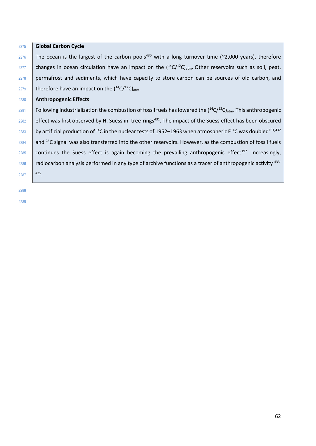<sup>2275</sup> **Global Carbon Cycle**  $2276$  The ocean is the largest of the carbon pools<sup>430</sup> with a long turnover time (~2,000 years), therefore  $2277$  changes in ocean circulation have an impact on the  $(14C/12C)_{atm}$ . Other reservoirs such as soil, peat, 2278 permafrost and sediments, which have capacity to store carbon can be sources of old carbon, and 2279 therefore have an impact on the  $(^{14}C/^{12}C)_{atm}$ . <sup>2280</sup> **Anthropogenic Effects** 2281 | Following Industrialization the combustion of fossil fuels has lowered the  $(^{14}C/^{12}C)_{atm}$ . This anthropogenic 2282  $\vert$  effect was first observed by H. Suess in tree-rings<sup>431</sup>. The impact of the Suess effect has been obscured 2283 by artificial production of <sup>14</sup>C in the nuclear tests of 1952–1963 when atmospheric  $F^{14}C$  was doubled<sup>101,432</sup>  $2284$  and <sup>14</sup>C signal was also transferred into the other reservoirs. However, as the combustion of fossil fuels  $2285$  continues the Suess effect is again becoming the prevailing anthropogenic effect<sup>197</sup>. Increasingly, radiocarbon analysis performed in any type of archive functions as a tracer of anthropogenic activity <sup>433-</sup> 2286 2287 435

2288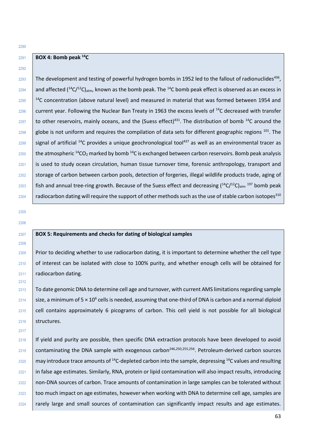## **BOX 4: Bomb peak <sup>14</sup>C**

2293 The development and testing of powerful hydrogen bombs in 1952 led to the fallout of radionuclides<sup>436</sup>.  $_{2294}$  and affected (<sup>14</sup>C/<sup>12</sup>C)<sub>atm</sub>, known as the bomb peak. The <sup>14</sup>C bomb peak effect is observed as an excess in  $14$ <sup>14</sup>C concentration (above natural level) and measured in material that was formed between 1954 and  $2296$  current year. Following the Nuclear Ban Treaty in 1963 the excess levels of <sup>14</sup>C decreased with transfer  $2297$  to other reservoirs, mainly oceans, and the (Suess effect)<sup>431</sup>. The distribution of bomb <sup>14</sup>C around the  $2298$  globe is not uniform and requires the compilation of data sets for different geographic regions  $101$ . The  $2299$  signal of artificial <sup>14</sup>C provides a unique geochronological tool<sup>437</sup> as well as an environmental tracer as 2300 the atmospheric  $^{14}CO_2$  marked by bomb  $^{14}C$  is exchanged between carbon reservoirs. Bomb peak analysis 2301 is used to study ocean circulation, human tissue turnover time, forensic anthropology, transport and 2302 storage of carbon between carbon pools, detection of forgeries, illegal wildlife products trade, aging of  $_{2303}$  | fish and annual tree-ring growth. Because of the Suess effect and decreasing ( $^{14}$ C/ $^{12}$ C)<sub>atm</sub>  $^{197}$  bomb peak  $2304$  | radiocarbon dating will require the support of other methods such as the use of stable carbon isotopes<sup>310</sup>

## 2305 2306

2308

2312

2317

2290

2292

#### <sup>2307</sup> **BOX 5: Requirements and checks for dating of biological samples**

2309 Prior to deciding whether to use radiocarbon dating, it is important to determine whether the cell type 2310 of interest can be isolated with close to 100% purity, and whether enough cells will be obtained for 2311 **radiocarbon dating.** 

2313 To date genomic DNA to determine cell age and turnover, with current AMS limitations regarding sample 2314 Size, a minimum of 5  $\times$  10<sup>6</sup> cells is needed, assuming that one-third of DNA is carbon and a normal diploid <sup>2315</sup> cell contains approximately 6 picograms of carbon. This cell yield is not possible for all biological 2316 structures.

2318 If yield and purity are possible, then specific DNA extraction protocols have been developed to avoid  $2319$  contaminating the DNA sample with exogenous carbon<sup>246,250,255,256</sup>. Petroleum-derived carbon sources  $2320$  may introduce trace amounts of <sup>14</sup>C-depleted carbon into the sample, depressing <sup>14</sup>C values and resulting 2321 in false age estimates. Similarly, RNA, protein or lipid contamination will also impact results, introducing <sup>2322</sup> non-DNA sources of carbon. Trace amounts of contamination in large samples can be tolerated without 2323 too much impact on age estimates, however when working with DNA to determine cell age, samples are 2324 rarely large and small sources of contamination can significantly impact results and age estimates.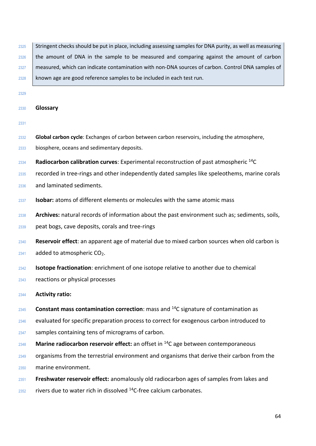2325 Stringent checks should be put in place, including assessing samples for DNA purity, as well as measuring 2326 the amount of DNA in the sample to be measured and comparing against the amount of carbon measured, which can indicate contamination with non-DNA sources of carbon. Control DNA samples of known age are good reference samples to be included in each test run.

#### **Glossary**

- **Global carbon cycle**: Exchanges of carbon between carbon reservoirs, including the atmosphere,
- biosphere, oceans and sedimentary deposits.
- **Radiocarbon calibration curves:** Experimental reconstruction of past atmospheric <sup>14</sup>C
- recorded in tree-rings and other independently dated samples like speleothems, marine corals
- and laminated sediments.
- **Isobar:** atoms of different elements or molecules with the same atomic mass
- **Archives:** natural records of information about the past environment such as; sediments, soils,
- peat bogs, cave deposits, corals and tree-rings
- **Reservoir effect**: an apparent age of material due to mixed carbon sources when old carbon is
- added to atmospheric CO<sub>2</sub>.
- **Isotope fractionation**: enrichment of one isotope relative to another due to chemical
- reactions or physical processes
- **Activity ratio:**
- **Constant mass contamination correction**: mass and <sup>14</sup>C signature of contamination as
- evaluated for specific preparation process to correct for exogenous carbon introduced to
- 2347 samples containing tens of micrograms of carbon.
- 2348 Marine radiocarbon reservoir effect: an offset in <sup>14</sup>C age between contemporaneous
- 2349 organisms from the terrestrial environment and organisms that derive their carbon from the
- marine environment.
- **Freshwater reservoir effect:** anomalously old radiocarbon ages of samples from lakes and
- rivers due to water rich in dissolved  $14$ C-free calcium carbonates.